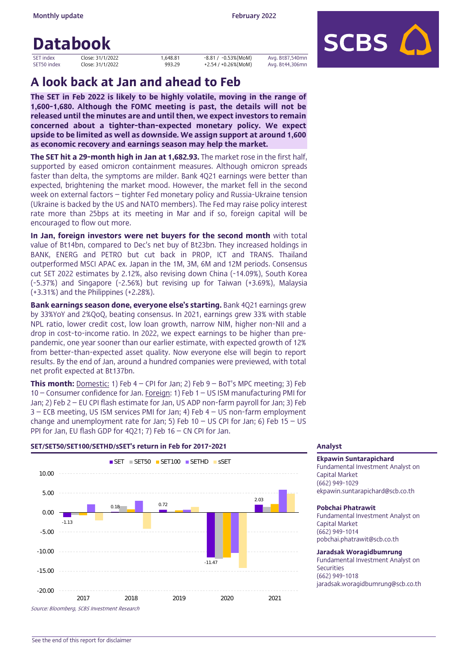# Databook

| <b>SET index</b> |  |
|------------------|--|
| SET50 index      |  |

العبية المالكة: 1,648.81 -0.53%(MoM) Avg. Bt87,540mn<br>- 10se: 31/1/2022 - 993.29 +2.54 / +0.26%(MoM) Avg. Bt44.306mn Avg. Bt44,306mn



# A look back at Jan and ahead to Feb

The SET in Feb 2022 is likely to be highly volatile, moving in the range of 1,600-1,680. Although the FOMC meeting is past, the details will not be released until the minutes are and until then, we expect investors to remain concerned about a tighter-than-expected monetary policy. We expect upside to be limited as well as downside. We assign support at around 1,600 as economic recovery and earnings season may help the market.

**The SET hit a 29-month high in Jan at 1,682.93.** The market rose in the first half. supported by eased omicron containment measures. Although omicron spreads faster than delta, the symptoms are milder. Bank 4Q21 earnings were better than expected, brightening the market mood. However, the market fell in the second week on external factors – tighter Fed monetary policy and Russia-Ukraine tension (Ukraine is backed by the US and NATO members). The Fed may raise policy interest rate more than 25bps at its meeting in Mar and if so, foreign capital will be encouraged to flow out more.

In Jan, foreign investors were net buyers for the second month with total value of Bt14bn, compared to Dec's net buy of Bt23bn. They increased holdings in BANK, ENERG and PETRO but cut back in PROP, ICT and TRANS. Thailand outperformed MSCI APAC ex. Japan in the 1M, 3M, 6M and 12M periods. Consensus cut SET 2022 estimates by 2.12%, also revising down China (-14.09%), South Korea (-5.37%) and Singapore (-2.56%) but revising up for Taiwan (+3.69%), Malaysia (+3.31%) and the Philippines (+2.28%).

Bank earnings season done, everyone else's starting. Bank 4Q21 earnings grew by 33%YoY and 2%QoQ, beating consensus. In 2021, earnings grew 33% with stable NPL ratio, lower credit cost, low loan growth, narrow NIM, higher non-NII and a drop in cost-to-income ratio. In 2022, we expect earnings to be higher than prepandemic, one year sooner than our earlier estimate, with expected growth of 12% from better-than-expected asset quality. Now everyone else will begin to report results. By the end of Jan, around a hundred companies were previewed, with total net profit expected at Bt137bn.

**This month:** Domestic: 1) Feb  $4 - \text{CPI}$  for Jan; 2) Feb  $9 - \text{BoT's MPC meeting; 3)}$  Feb 10 – Consumer confidence for Jan. Foreign: 1) Feb 1 – US ISM manufacturing PMI for Jan; 2) Feb 2 – EU CPI flash estimate for Jan, US ADP non-farm payroll for Jan; 3) Feb 3 – ECB meeting, US ISM services PMI for Jan; 4) Feb 4 – US non-farm employment change and unemployment rate for Jan; 5) Feb 10 – US CPI for Jan; 6) Feb 15 – US PPI for Jan, EU flash GDP for 4Q21; 7) Feb 16 – CN CPI for Jan.

### SET/SET50/SET100/SETHD/sSET's return in Feb for 2017-2021 Analyst



## Ekpawin Suntarapichard

Fundamental Investment Analyst on Capital Market (662) 949-1029 ekpawin.suntarapichard@scb.co.th

### Pobchai Phatrawit

Fundamental Investment Analyst on Capital Market (662) 949-1014 pobchai.phatrawit@scb.co.th

## Jaradsak Woragidbumrung

Fundamental Investment Analyst on **Securities** (662) 949-1018 jaradsak.woragidbumrung@scb.co.th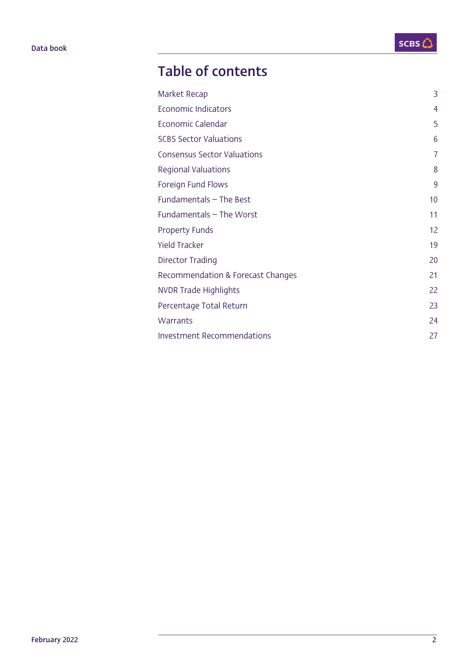# Table of contents

| Market Recap                       | 3              |
|------------------------------------|----------------|
| <b>Economic Indicators</b>         | $\overline{4}$ |
| Economic Calendar                  | 5              |
| <b>SCBS Sector Valuations</b>      | 6              |
| <b>Consensus Sector Valuations</b> | 7              |
| <b>Regional Valuations</b>         | 8              |
| Foreign Fund Flows                 | 9              |
| Fundamentals - The Best            | 10             |
| Fundamentals - The Worst           | 11             |
| <b>Property Funds</b>              | 12             |
| <b>Yield Tracker</b>               | 19             |
| Director Trading                   | 20             |
| Recommendation & Forecast Changes  | 21             |
| NVDR Trade Highlights              | 22             |
| Percentage Total Return            | 23             |
| Warrants                           | 24             |
| <b>Investment Recommendations</b>  | 27             |
|                                    |                |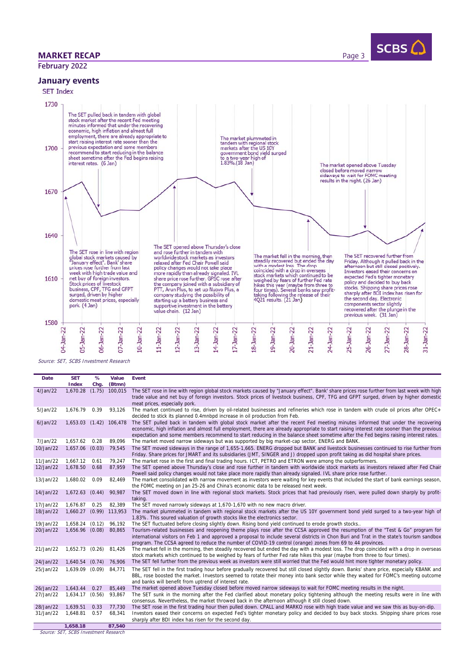## **MARKET RECAP** Page 3

February 2022

SCBS $C$ 

January events



Source: SET, SCBS Investment Research

| Date      | <b>SET</b><br>Index | %<br>Chg. | Value<br>(Btmn)  | Event                                                                                                                                                                                                                                                                                                                                                                                                               |
|-----------|---------------------|-----------|------------------|---------------------------------------------------------------------------------------------------------------------------------------------------------------------------------------------------------------------------------------------------------------------------------------------------------------------------------------------------------------------------------------------------------------------|
| 4/Jan/22  | 1.670.28            |           | $(1.75)$ 100.015 | The SET rose in line with region global stock markets caused by "January effect". Bank' share prices rose further from last week with high<br>trade value and net buy of foreign investors. Stock prices of livestock business, CPF, TFG and GFPT surged, driven by higher domestic<br>meat prices, especially pork.                                                                                                |
| 5/Jan/22  | 1.676.79            | 0.39      | 93.126           | The market continued to rise, driven by oil-related businesses and refineries which rose in tandem with crude oil prices after OPEC+<br>decided to stick its planned 0.4mnbpd increase in oil production from Feb.                                                                                                                                                                                                  |
| 6/Jan/22  | 1.653.03            |           | $(1.42)$ 106.478 | The SET pulled back in tandem with global stock market after the recent Fed meeting minutes informed that under the recovering<br>economic, high inflation and almost full employment, there are already appropriate to start raising interest rate sooner than the previous<br>expectation and some members recommend to start reducing in the balance sheet sometime after the Fed begins raising interest rates. |
| 7/Jan/22  | 1.657.62            | 0.28      | 89,096           | The market moved narrow sideways but was supported by big market-cap sector, ENERG and BANK.                                                                                                                                                                                                                                                                                                                        |
| 10/Jan/22 | 1,657.06            | (0.03)    | 79,545           | The SET moved sideways in the range of 1,655-1,665. ENERG dropped but BANK and livestock businesses continued to rise further from<br>Friday. Share prices for JMART and its subsidiaries (JMT, SINGER and J) dropped upon profit taking as did hospital share prices.                                                                                                                                              |
| 11/Jan/22 | 1,667.12            | 0.61      | 79.247           | The market rose in the first and final trading hours. ICT, PETRO and ETRON were among the outperformers.                                                                                                                                                                                                                                                                                                            |
| 12/Jan/22 | 1,678.50            | 0.68      | 87.959           | The SET opened above Thursday's close and rose further in tandem with worldwide stock markets as investors relaxed after Fed Chair<br>Powell said policy changes would not take place more rapidly than already signaled. IVL share price rose further.                                                                                                                                                             |
| 13/Jan/22 | 1,680.02            | 0.09      | 82.469           | The market consolidated with narrow movement as investors were waiting for key events that included the start of bank earnings season,<br>the FOMC meeting on Jan 25-26 and China's economic data to be released next week.                                                                                                                                                                                         |
| 14/Jan/22 | 1,672.63            | (0.44)    | 90,987           | The SET moved down in line with regional stock markets. Stock prices that had previously risen, were pulled down sharply by profit-<br>taking.                                                                                                                                                                                                                                                                      |
| 17/Jan/22 | 1,676.87            | 0.25      | 82,389           | The SET moved narrowly sideways at 1,670-1,670 with no new macro driver.                                                                                                                                                                                                                                                                                                                                            |
| 18/Jan/22 | 1.660.27            |           | $(0.99)$ 113.953 | The market plummeted in tandem with regional stock markets after the US 10Y government bond yield surged to a two-year high of<br>1.83%. This soured valuation of growth stocks like the electronics sector.                                                                                                                                                                                                        |
| 19/Jan/22 | 1.658.24            | (0.12)    | 96.192           | The SET fluctuated before closing slightly down. Rising bond yield continued to erode growth stocks                                                                                                                                                                                                                                                                                                                 |
| 20/Jan/22 | 1,656.96 (0.08)     |           | 80,865           | Tourism-related businesses and reopening theme plays rose after the CCSA approved the resumption of the "Test & Go" program for<br>international visitors on Feb 1 and approved a proposal to include several districts in Chon Buri and Trat in the state's tourism sandbox<br>program. The CCSA agreed to reduce the number of COVID-19 control (orange) zones from 69 to 44 provinces.                           |
| 21/Jan/22 | 1,652.73 (0.26)     |           | 81,426           | The market fell in the morning, then steadily recovered but ended the day with a modest loss. The drop coincided with a drop in overseas<br>stock markets which continued to be weighed by fears of further Fed rate hikes this year (maybe from three to four times).                                                                                                                                              |
| 24/Jan/22 | 1.640.54            | (0.74)    | 76,906           | The SET fell further from the previous week as investors were still worried that the Fed would hint more tighter monetary policy.                                                                                                                                                                                                                                                                                   |
| 25/Jan/22 | 1,639.09            | (0.09)    | 84,771           | The SET fell in the first trading hour before gradually recovered but still closed slightly down. Banks' share price, especially KBANK and<br>BBL, rose boosted the market. Investors seemed to rotate their money into bank sector while they waited for FOMC's meeting outcome<br>and banks will benefit from uptrend of interest rate.                                                                           |
| 26/Jan/22 | 1,643.44            | 0.27      | 85,449           | The market opened above Tuesday closed before moved narrow sideways to wait for FOMC meeting results in the night.                                                                                                                                                                                                                                                                                                  |
| 27/Jan/22 | 1.634.17            | (0.56)    | 93,867           | The SET sunk in the morning after the Fed clarified about monetary policy tightening although the meeting results were in line with<br>consensus. Nevertheless, the market throwed back in the afternoon although it still closed down.                                                                                                                                                                             |
| 28/Jan/22 | 1,639.51            | 0.33      | 77,730           | The SET rose in the first trading hour then pulled down. CPALL and MARKO rose with high trade value and we saw this as buy-on-dip.                                                                                                                                                                                                                                                                                  |
| 31/Jan/22 | 1,648.81            | 0.57      | 68,341           | Investors eased their concerns on expected Fed's tighter monetary policy and decided to buy back stocks. Shipping share prices rose<br>sharply after BDI index has risen for the second day.                                                                                                                                                                                                                        |
|           | 1,658.18            |           | 87,540           |                                                                                                                                                                                                                                                                                                                                                                                                                     |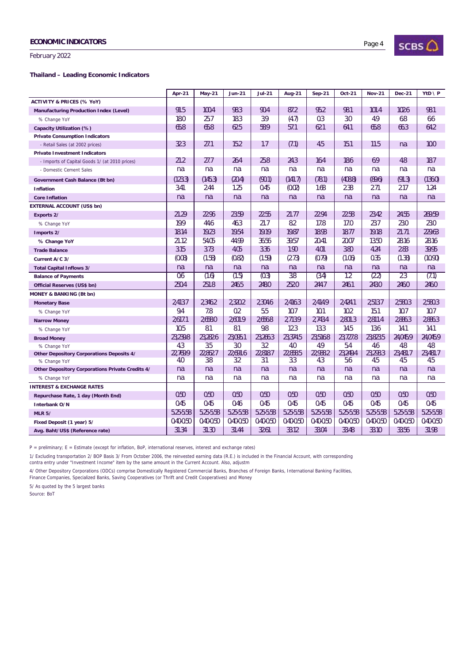February 2022

l,

#### **Thailand – Leading Economic Indicators**

|                                                         | <b>Apr-21</b> | <b>May-21</b> | <b>Jun-21</b> | <b>Jul-21</b> | <b>Aug-21</b>    | $Sep-21$      | Oct-21        | <b>Nov-21</b> | <b>Dec-21</b> | $YtD \setminus P$ |
|---------------------------------------------------------|---------------|---------------|---------------|---------------|------------------|---------------|---------------|---------------|---------------|-------------------|
| <b>ACTIVITY &amp; PRICES (% YoY)</b>                    |               |               |               |               |                  |               |               |               |               |                   |
| <b>Manufacturing Production Index (Level)</b>           | 91.5          | 100.4         | 98.3          | 90.4          | 87.2             | 95.2          | 98.1          | 101.4         | 102.6         | 98.1              |
| % Change YoY                                            | 18.0          | 25.7          | 18.3          | 3.9           | (4.7)            | 0.3           | 3.0           | 4.9           | 6.8           | 6.6               |
| Capacity Utilization (%)                                | 65.8          | 65.8          | 62.5          | 58.9          | 57.1             | 62.1          | 64.1          | 65.8          | 66.3          | 64.2              |
| <b>Private Consumption Indicators</b>                   |               |               |               |               |                  |               |               |               |               |                   |
| - Retail Sales (at 2002 prices)                         | 32.3          | 27.1          | 15.2          | 1.7           | (7.1)            | 4.5           | 15.1          | 11.5          | n.a.          | 10.0              |
| <b>Private Investment Indicators</b>                    |               |               |               |               |                  |               |               |               |               |                   |
| - Imports of Capital Goods 1/ (at 2010 prices)          | 21.2          | 27.7          | 26.4          | 25.8          | 24.3             | 16.4          | 18.6          | 6.9           | 4.8           | 18.7              |
| - Domestic Cement Sales                                 | n.a.          | n.a.          | n.a.          | n.a.          | n.a.             | n.a.          | n.a.          | n.a.          | n.a.          | n.a.              |
| Government Cash Balance (Bt bn)                         | (123.3)       | (145.3)       | (20.4)        | (90.1)        | (141.7)          | (78.1)        | (408.8)       | (89.6)        | (91.3)        | (136.0)           |
| <b>Inflation</b>                                        | 3.41          | 2.44          | 1.25          | 0.45          | (0.02)           | 1.68          | 2.38          | 2.71          | 2.17          | 1.24              |
| <b>Core Inflation</b>                                   | n.a.          | n.a.          | n.a.          | n.a.          | n.a.             | n.a.          | n.a.          | n.a.          | n.a.          | n.a.              |
| <b>EXTERNAL ACCOUNT (US\$ bn)</b>                       |               |               |               |               |                  |               |               |               |               |                   |
| Exports 2/                                              | 21.29         | 22.96         | 23.59         | 22.55         | 21.77            | 22.94         | 22.58         | 23.42         | 24.55         | 269.59            |
| % Change YoY                                            | 19.9          | 44.6          | 46.3          | 21.7          | 8.2              | 17.8          | 17.0          | 23.7          | 23.0          | 23.0              |
| Imports 2/                                              | 18.14         | 19.23         | 19.54         | 19.19         | 19.87            | 18.93         | 18.77         | 19.18         | 21.71         | 229.63            |
| % Change YoY                                            | 21.12         | 54.05         | 44.99         | 36.56         | 39.57            | 20.41         | 20.07         | 13.50         | 28.16         | 28.16             |
| <b>Trade Balance</b>                                    | 3.15          | 3.73          | 4.05          | 3.36          | 1.90             | 4.01          | 3.80          | 4.24          | 2.83          | 39.95             |
| Current A/C 3/                                          | (0.08)        | (1.58)        | (0.82)        | (1.59)        | (2.73)           | (0.79)        | (1.06)        | 0.35          | (1.38)        | (10.90)           |
| <b>Total Capital Inflows 3/</b>                         | n.a.          | n.a.          | n.a.          | n.a.          | n.a.             | n.a.          | n.a.          | n.a.          | n.a.          | n.a.              |
| <b>Balance of Payments</b>                              | 0.6           | (1.6)         | (1.5)         | (0.3)         | $\overline{3.8}$ | (3.4)         | 1.2           | (2.2)         | 2.3           | (7.1)             |
| Official Reserves (US\$ bn)                             | 250.4         | 251.8         | 246.5         | 248.0         | 252.0            | 244.7         | 246.1         | 243.0         | 246.0         | 246.0             |
| <b>MONEY &amp; BANKING (Bt bn)</b>                      |               |               |               |               |                  |               |               |               |               |                   |
| <b>Monetary Base</b>                                    | 2,413.7       | 2,346.2       | 2,320.2       | 2,304.6       | 2,416.3          | 2,414.9       | 2,424.1       | 2,513.7       | 2,580.3       | 2,580.3           |
| % Change YoY                                            | 9.4           | 7.8           | 0.2           | 5.5           | 10.7             | 10.1          | 10.2          | 15.1          | 10.7          | 10.7              |
| <b>Narrow Money</b>                                     | 2,617.1       | 2,658.0       | 2,601.9       | 2,656.8       | 2,713.9          | 2,743.4       | 2,801.3       | 2,811.4       | 2,886.3       | 2,886.3           |
| % Change YoY                                            | 10.5          | 8.1           | 8.1           | 9.8           | 12.3             | 13.3          | 14.5          | 13.6          | 14.1          | 14.1              |
| <b>Broad Money</b>                                      | 23,239.8      | 23,282.6      | 23,095.1      | 23.266.3      | 23,374.5         | 23.516.8      | 23.727.8      | 23,823.5      | 24.045.9      | 24.045.9          |
| % Change YoY                                            | 4.3           | 3.5           | 3.0           | 3.2           | 4.0              | 4.9           | 5.4           | 4.6           | 4.8           | 4.8               |
| <b>Other Depository Corporations Deposits 4/</b>        | 22.769.9      | 22,862.7      | 22.691.6      | 22,818.7      | 22.858.5         | 22,938.2      | 23.249.4      | 23.293.3      | 23,481.7      | 23,481.7          |
| % Change YoY                                            | 4.0           | 3.8           | 3.2           | 3.1           | 3.3              | 4.3           | 5.6           | 4.5           | 4.5           | 4.5               |
| <b>Other Depository Corporations Private Credits 4/</b> | n.a.          | n.a.          | n.a.          | n.a.          | n.a.             | n.a.          | n.a.          | n.a.          | n.a.          | n.a.              |
| % Change YoY                                            | n.a.          | n.a.          | n.a.          | n.a.          | n.a.             | n.a.          | n.a.          | n.a.          | n.a.          | n.a.              |
| <b>INTEREST &amp; EXCHANGE RATES</b>                    |               |               |               |               |                  |               |               |               |               |                   |
| Repurchase Rate, 1 day (Month End)                      | 0.50          | 0.50          | 0.50          | 0.50          | 0.50             | 0.50          | 0.50          | 0.50          | 0.50          | 0.50              |
| Interbank O/N                                           | 0.45          | 0.45          | 0.46          | 0.45          | 0.45             | 0.45          | 0.45          | 0.45          | 0.45          | 0.45              |
| <b>MLR 5/</b>                                           | 5.25-5.58     | 5.25-5.58     | 5.25-5.58     | 5.25-5.58     | 5.25-5.58        | 5.25-5.58     | 5.25-5.58     | 5.25-5.58     | 5.25-5.58     | 5.25-5.58         |
| Fixed Deposit (1 year) 5/                               | $0.40 - 0.50$ | $0.40 - 0.50$ | $0.40 - 0.50$ | $0.40 - 0.50$ | $0.40 - 0.50$    | $0.40 - 0.50$ | $0.40 - 0.50$ | $0.40 - 0.50$ | $0.40 - 0.50$ | $0.40 - 0.50$     |
| Avg. Baht/US\$ (Reference rate)                         | 31.34         | 31.30         | 31.44         | 32.61         | 33.12            | 33.04         | 33.48         | 33.10         | 33.56         | 31.98             |

P = preliminary; E = Estimate (except for inflation, BoP, international reserves, interest and exchange rates)

1/ Excluding transportation 2/ BOP Basis 3/ From October 2006, the reinvested earning data (R.E.) is included in the Financial Account, with corresponding<br>contra entry under "Investment Income" item by the same amount in t

4/ Other Depository Corporations (ODCs) comprise Domestically Registered Commercial Banks, Branches of Foreign Banks, International Banking Facilities,

Finance Companies, Specialized Banks, Saving Cooperatives (or Thrift and Credit Cooperatives) and Money

5/ As quoted by the 5 largest banks

Source: BoT

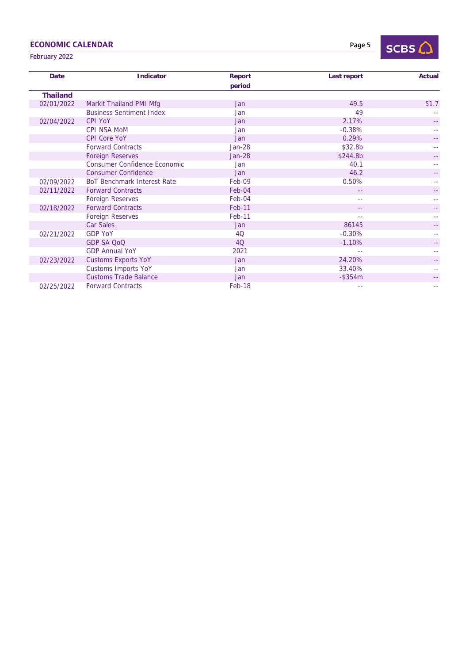# ECONOMIC CALENDAR

Page 5



# February 2022

| <b>Date</b>     | <b>Indicator</b>                    | <b>Report</b> | Last report | Actual |
|-----------------|-------------------------------------|---------------|-------------|--------|
|                 |                                     | period        |             |        |
| <b>Thailand</b> |                                     |               |             |        |
| 02/01/2022      | Markit Thailand PMI Mfg             | Jan           | 49.5        | 51.7   |
|                 | <b>Business Sentiment Index</b>     | Jan           | 49          |        |
| 02/04/2022      | <b>CPI YoY</b>                      | Jan           | 2.17%       |        |
|                 | <b>CPI NSA MoM</b>                  | Jan           | $-0.38%$    |        |
|                 | <b>CPI Core YoY</b>                 | Jan           | 0.29%       |        |
|                 | <b>Forward Contracts</b>            | <b>Jan-28</b> | \$32.8b     |        |
|                 | <b>Foreign Reserves</b>             | $Jan-28$      | \$244.8b    |        |
|                 | <b>Consumer Confidence Economic</b> | Jan           | 40.1        |        |
|                 | <b>Consumer Confidence</b>          | <b>Jan</b>    | 46.2        |        |
| 02/09/2022      | <b>BoT Benchmark Interest Rate</b>  | Feb-09        | 0.50%       |        |
| 02/11/2022      | <b>Forward Contracts</b>            | Feb-04        | $-1$        |        |
|                 | <b>Foreign Reserves</b>             | Feb-04        | --          |        |
| 02/18/2022      | <b>Forward Contracts</b>            | Feb-11        | 44          |        |
|                 | <b>Foreign Reserves</b>             | Feb-11        | $\sim$ $-$  |        |
|                 | <b>Car Sales</b>                    | <b>Jan</b>    | 86145       |        |
| 02/21/2022      | <b>GDP YoY</b>                      | <b>4Q</b>     | $-0.30%$    |        |
|                 | <b>GDP SA QoQ</b>                   | 4Q            | $-1.10%$    |        |
|                 | <b>GDP Annual YoY</b>               | 2021          |             |        |
| 02/23/2022      | <b>Customs Exports YoY</b>          | Jan           | 24.20%      |        |
|                 | <b>Customs Imports YoY</b>          | Jan           | 33.40%      |        |
|                 | <b>Customs Trade Balance</b>        | Jan           | $-$ \$354m  |        |
| 02/25/2022      | <b>Forward Contracts</b>            | Feb-18        |             |        |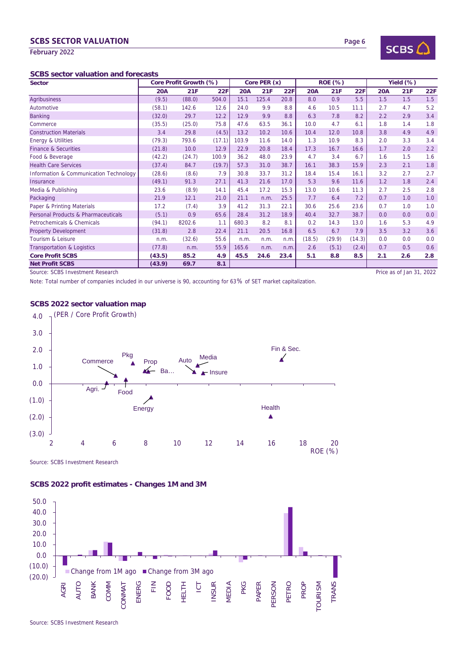## **SCBS SECTOR VALUATION Page 6**

February 2022

#### **SCBS sector valuation and forecasts**

| <b>Sector</b>                          |            | Core Profit Growth (%) |        | Core PER (x) |       |      | <b>ROE (%)</b> |        |            | Yield (%)  |                          |     |
|----------------------------------------|------------|------------------------|--------|--------------|-------|------|----------------|--------|------------|------------|--------------------------|-----|
|                                        | <b>20A</b> | 21F                    | 22F    | <b>20A</b>   | 21F   | 22F  | 20A            | 21F    | <b>22F</b> | <b>20A</b> | 21F                      | 22F |
| <b>Agribusiness</b>                    | (9.5)      | (88.0)                 | 504.0  | 15.1         | 125.4 | 20.8 | 8.0            | 0.9    | 5.5        | 1.5        | 1.5                      | 1.5 |
| Automotive                             | (58.1)     | 142.6                  | 12.6   | 24.0         | 9.9   | 8.8  | 4.6            | 10.5   | 11.1       | 2.7        | 4.7                      | 5.2 |
| <b>Banking</b>                         | (32.0)     | 29.7                   | 12.2   | 12.9         | 9.9   | 8.8  | 6.3            | 7.8    | 8.2        | 2.2        | 2.9                      | 3.4 |
| Commerce                               | (35.5)     | (25.0)                 | 75.8   | 47.6         | 63.5  | 36.1 | 10.0           | 4.7    | 6.1        | 1.8        | 1.4                      | 1.8 |
| <b>Construction Materials</b>          | 3.4        | 29.8                   | (4.5)  | 13.2         | 10.2  | 10.6 | 10.4           | 12.0   | 10.8       | 3.8        | 4.9                      | 4.9 |
| <b>Energy &amp; Utilities</b>          | (79.3)     | 793.6                  | (17.1) | 103.9        | 11.6  | 14.0 | 1.3            | 10.9   | 8.3        | 2.0        | 3.3                      | 3.4 |
| <b>Finance &amp; Securities</b>        | (21.8)     | 10.0                   | 12.9   | 22.9         | 20.8  | 18.4 | 17.3           | 16.7   | 16.6       | 1.7        | 2.0                      | 2.2 |
| Food & Beverage                        | (42.2)     | (24.7)                 | 100.9  | 36.2         | 48.0  | 23.9 | 4.7            | 3.4    | 6.7        | 1.6        | 1.5                      | 1.6 |
| <b>Health Care Services</b>            | (37.4)     | 84.7                   | (19.7) | 57.3         | 31.0  | 38.7 | 16.1           | 38.3   | 15.9       | 2.3        | 2.1                      | 1.8 |
| Information & Communication Technology | (28.6)     | (8.6)                  | 7.9    | 30.8         | 33.7  | 31.2 | 18.4           | 15.4   | 16.1       | 3.2        | 2.7                      | 2.7 |
| Insurance                              | (49.1)     | 91.3                   | 27.1   | 41.3         | 21.6  | 17.0 | 5.3            | 9.6    | 11.6       | 1.2        | 1.8                      | 2.4 |
| Media & Publishing                     | 23.6       | (8.9)                  | 14.1   | 45.4         | 17.2  | 15.3 | 13.0           | 10.6   | 11.3       | 2.7        | 2.5                      | 2.8 |
| Packaging                              | 21.9       | 12.1                   | 21.0   | 21.1         | n.m.  | 25.5 | 7.7            | 6.4    | 7.2        | 0.7        | 1.0                      | 1.0 |
| Paper & Printing Materials             | 17.2       | (7.4)                  | 3.9    | 41.2         | 31.3  | 22.1 | 30.6           | 25.6   | 23.6       | 0.7        | 1.0                      | 1.0 |
| Personal Products & Pharmaceuticals    | (5.1)      | 0.9                    | 65.6   | 28.4         | 31.2  | 18.9 | 40.4           | 32.7   | 38.7       | 0.0        | 0.0                      | 0.0 |
| Petrochemicals & Chemicals             | (94.1)     | 8202.6                 | 1.1    | 680.3        | 8.2   | 8.1  | 0.2            | 14.3   | 13.0       | 1.6        | 5.3                      | 4.9 |
| <b>Property Development</b>            | (31.8)     | 2.8                    | 22.4   | 21.1         | 20.5  | 16.8 | 6.5            | 6.7    | 7.9        | 3.5        | 3.2                      | 3.6 |
| Tourism & Leisure                      | n.m.       | (32.6)                 | 55.6   | n.m.         | n.m.  | n.m. | (18.5)         | (29.9) | (14.3)     | 0.0        | 0.0                      | 0.0 |
| <b>Transportation &amp; Logistics</b>  | (77.8)     | n.m.                   | 55.9   | 165.6        | n.m.  | n.m. | 2.6            | (5.1)  | (2.4)      | 0.7        | 0.5                      | 0.6 |
| <b>Core Profit SCBS</b>                | (43.5)     | 85.2                   | 4.9    | 45.5         | 24.6  | 23.4 | 5.1            | 8.8    | 8.5        | 2.1        | 2.6                      | 2.8 |
| <b>Net Profit SCBS</b>                 | (43.9)     | 69.7                   | 8.1    |              |       |      |                |        |            |            |                          |     |
| Source: SCBS Investment Research       |            |                        |        |              |       |      |                |        |            |            | Price as of Jan 31, 2022 |     |

Note: Total number of companies included in our universe is 90, accounting for 63% of SET market capitalization.

# **SCBS 2022 sector valuation map**



Source: SCBS Investment Research

# **SCBS 2022 profit estimates - Changes 1M and 3M**



Source: SCBS Investment Research

# SCBS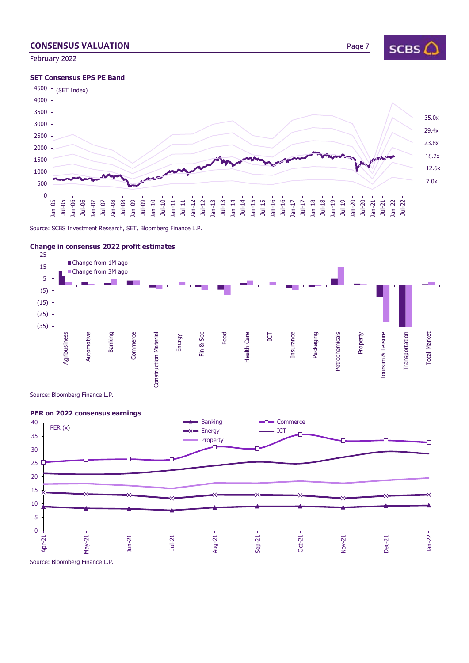# **CONSENSUS VALUATION Page 7**

February 2022

#### **SET Consensus EPS PE Band**



Source: SCBS Investment Research, SET, Bloomberg Finance L.P.







# **Change in consensus 2022 profit estimates**

SCBS $\bigcirc$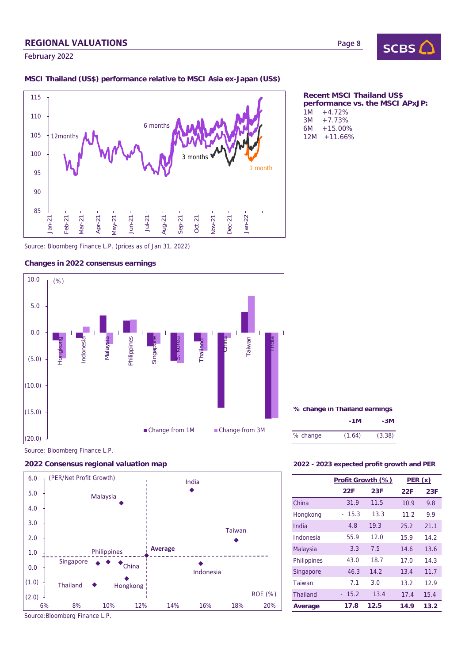# REGIONAL VALUATIONS

February 2022

### **MSCI Thailand (US\$) performance relative to MSCI Asia ex-Japan (US\$)**



Source: Bloomberg Finance L.P. (prices as of Jan 31, 2022)

### **Changes in 2022 consensus earnings**







Source:Bloomberg Finance L.P.

#### **Recent MSCI Thailand US\$ performance vs. the MSCI APxJP:**   $1M + 4.72%$  $3M + 7.73\%$ <br>6M  $+15.00\%$  $+15.00%$ 12M +11.66%

| % change in Thailand earnings |        |        |  |  |  |  |  |
|-------------------------------|--------|--------|--|--|--|--|--|
|                               | -3M    |        |  |  |  |  |  |
| % change                      | (1.64) | (3.38) |  |  |  |  |  |

#### **2022 Consensus regional valuation map 2022 - 2023 expected profit growth and PER**

|                 | Profit Growth (%) |      | PER(x) |      |  |
|-----------------|-------------------|------|--------|------|--|
|                 | 22F               | 23F  | 22F    | 23F  |  |
| China           | 31.9              | 11.5 | 10.9   | 9.8  |  |
| Hongkong        | 15.3<br>$\sim$    | 13.3 | 11.2   | 9.9  |  |
| India           | 4.8               | 19.3 | 25.2   | 21.1 |  |
| Indonesia       | 55.9              | 12.0 | 15.9   | 14.2 |  |
| Malaysia        | 3.3               | 7.5  | 14.6   | 13.6 |  |
| Philippines     | 43.0              | 18.7 | 17.0   | 14.3 |  |
| Singapore       | 46.3              | 14.2 | 13.4   | 11.7 |  |
| Taiwan          | 7.1               | 3.0  | 13.2   | 12.9 |  |
| <b>Thailand</b> | 15.2              | 13.4 | 17.4   | 15.4 |  |
| Average         | 17.8              | 12.5 | 14.9   | 13.2 |  |

### Page 8

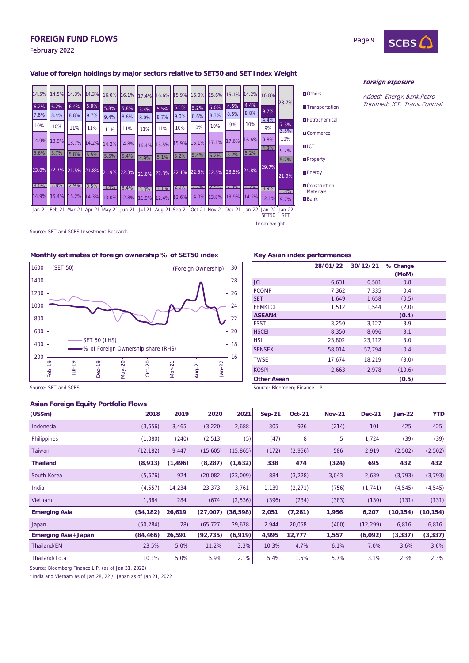# FOREIGN FUND FLOWS

### February 2022

### **Value of foreign holdings by major sectors relative to SET50 and SET Index Weight**



**O**Construction Materials **Bank** 

Index weight

#### Foreign exposure

Page 9

Added: Energy, Bank,Petro Trimmed: ICT, Trans, Conmat

## Source: SET and SCBS Investment Research

#### **Monthly estimates of foreign ownership % of SET50 index Key Asian index performances**



# **28/01/22 30/12/21 % Change**

|                    | 28/01/22 | 30/12/21 | % change |  |
|--------------------|----------|----------|----------|--|
|                    |          |          | (MoM)    |  |
| <b>JCI</b>         | 6,631    | 6,581    | 0.8      |  |
| <b>PCOMP</b>       | 7,362    | 7,335    | 0.4      |  |
| <b>SET</b>         | 1.649    | 1,658    | (0.5)    |  |
| <b>FBMKLCI</b>     | 1,512    | 1,544    | (2.0)    |  |
| <b>ASEAN4</b>      |          |          | (0.4)    |  |
| <b>FSSTI</b>       | 3,250    | 3,127    | 3.9      |  |
| <b>HSCEI</b>       | 8,350    | 8,096    | 3.1      |  |
| <b>HSI</b>         | 23,802   | 23,112   | 3.0      |  |
| <b>SENSEX</b>      | 58,014   | 57,794   | 0.4      |  |
| <b>TWSE</b>        | 17,674   | 18,219   | (3.0)    |  |
| <b>KOSPI</b>       | 2,663    | 2,978    | (10.6)   |  |
| <b>Other Asean</b> |          |          | (0.5)    |  |

Source: SET and SCBS Source: Set and SCBS Source: Bloomberg Finance L.P.

#### **Asian Foreign Equity Portfolio Flows**

| (US\$m)                    | 2018      | 2019     | 2020      | 2021                  | $Sep-21$ | <b>Oct-21</b> | <b>Nov-21</b> | <b>Dec-21</b> | <b>Jan-22</b> | <b>YTD</b> |
|----------------------------|-----------|----------|-----------|-----------------------|----------|---------------|---------------|---------------|---------------|------------|
| Indonesia                  | (3,656)   | 3,465    | (3,220)   | 2,688                 | 305      | 926           | (214)         | 101           | 425           | 425        |
| <b>Philippines</b>         | (1,080)   | (240)    | (2, 513)  | (5)                   | (47)     | 8             | 5             | 1,724         | (39)          | (39)       |
| Taiwan                     | (12, 182) | 9,447    | (15,605)  | (15, 865)             | (172)    | (2,956)       | 586           | 2,919         | (2,502)       | (2,502)    |
| <b>Thailand</b>            | (8,913)   | (1, 496) | (8, 287)  | (1,632)               | 338      | 474           | (324)         | 695           | 432           | 432        |
| South Korea                | (5,676)   | 924      | (20,082)  | (23,009)              | 884      | (3,228)       | 3,043         | 2,639         | (3, 793)      | (3, 793)   |
| India                      | (4, 557)  | 14,234   | 23,373    | 3,761                 | 1,139    | (2,271)       | (756)         | (1, 741)      | (4, 545)      | (4, 545)   |
| Vietnam                    | 1,884     | 284      | (674)     | (2,536)               | (396)    | (234)         | (383)         | (130)         | (131)         | (131)      |
| <b>Emerging Asia</b>       | (34, 182) | 26,619   |           | $(27,007)$ $(36,598)$ | 2,051    | (7, 281)      | 1,956         | 6,207         | (10, 154)     | (10, 154)  |
| Japan                      | (50, 284) | (28)     | (65, 727) | 29,678                | 2,944    | 20,058        | (400)         | (12, 299)     | 6,816         | 6,816      |
| <b>Emerging Asia+Japan</b> | (84, 466) | 26,591   | (92, 735) | (6,919)               | 4,995    | 12,777        | 1,557         | (6,092)       | (3, 337)      | (3, 337)   |
| Thailand/EM                | 23.5%     | 5.0%     | 11.2%     | 3.3%                  | 10.3%    | 4.7%          | 6.1%          | 7.0%          | 3.6%          | 3.6%       |
| Thailand/Total             | 10.1%     | 5.0%     | 5.9%      | 2.1%                  | 5.4%     | 1.6%          | 5.7%          | 3.1%          | 2.3%          | 2.3%       |

Source: Bloomberg Finance L.P. (as of Jan 31, 2022)

\*India and Vietnam as of Jan 28, 22 / Japan as of Jan 21, 2022

**SCBS**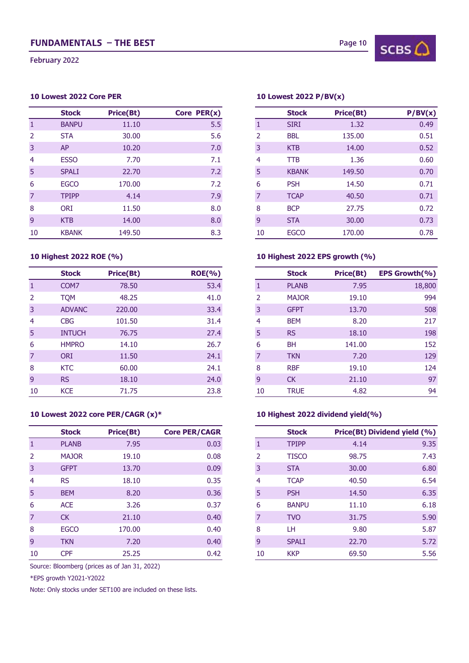February 2022

## **10 Lowest 2022 Core PER 10 Lowest 2022 P/BV(x)**

|                | <b>Stock</b> | <b>Price(Bt)</b> | Core PER(x) |    | <b>Stock</b> | <b>Price(Bt)</b> | P/BV(x) |
|----------------|--------------|------------------|-------------|----|--------------|------------------|---------|
| 1              | <b>BANPU</b> | 11.10            | 5.5         |    | <b>SIRI</b>  | 1.32             | 0.49    |
| 2              | <b>STA</b>   | 30.00            | 5.6         | 2  | <b>BBL</b>   | 135.00           | 0.51    |
| 3              | <b>AP</b>    | 10.20            | 7.0         | 3  | <b>KTB</b>   | 14.00            | 0.52    |
| $\overline{4}$ | <b>ESSO</b>  | 7.70             | 7.1         | 4  | <b>TTB</b>   | 1.36             | 0.60    |
| 5              | <b>SPALI</b> | 22.70            | 7.2         | 5  | <b>KBANK</b> | 149.50           | 0.70    |
| 6              | <b>EGCO</b>  | 170.00           | 7.2         | 6  | <b>PSH</b>   | 14.50            | 0.71    |
| $\overline{7}$ | <b>TPIPP</b> | 4.14             | 7.9         |    | <b>TCAP</b>  | 40.50            | 0.71    |
| 8              | <b>ORI</b>   | 11.50            | 8.0         | 8  | <b>BCP</b>   | 27.75            | 0.72    |
| 9              | <b>KTB</b>   | 14.00            | 8.0         | 9  | <b>STA</b>   | 30.00            | 0.73    |
| 10             | <b>KBANK</b> | 149.50           | 8.3         | 10 | <b>EGCO</b>  | 170.00           | 0.78    |

|                | <b>Stock</b>     | <b>Price(Bt)</b> | <b>ROE(%)</b> |    | <b>Stock</b> | <b>Price(Bt)</b> | EPS Growth(%) |
|----------------|------------------|------------------|---------------|----|--------------|------------------|---------------|
| 1              | COM <sub>7</sub> | 78.50            | 53.4          |    | <b>PLANB</b> | 7.95             | 18,800        |
| 2              | <b>TOM</b>       | 48.25            | 41.0          | 2  | <b>MAJOR</b> | 19.10            | 994           |
| 3              | <b>ADVANC</b>    | 220,00           | 33.4          | 3  | <b>GFPT</b>  | 13.70            | 508           |
| $\overline{4}$ | <b>CBG</b>       | 101.50           | 31.4          | 4  | <b>BEM</b>   | 8.20             | 217           |
| 5              | <b>INTUCH</b>    | 76.75            | 27.4          | 5  | <b>RS</b>    | 18.10            | 198           |
| 6              | <b>HMPRO</b>     | 14.10            | 26.7          | 6  | <b>BH</b>    | 141.00           | 152           |
| $\overline{7}$ | <b>ORI</b>       | 11.50            | 24.1          | 7  | <b>TKN</b>   | 7.20             | 129           |
| 8              | <b>KTC</b>       | 60.00            | 24.1          | 8  | <b>RBF</b>   | 19.10            | 124           |
| 9              | <b>RS</b>        | 18.10            | 24.0          | 9  | <b>CK</b>    | 21.10            | 97            |
| 10             | <b>KCE</b>       | 71.75            | 23.8          | 10 | <b>TRUE</b>  | 4.82             | 94            |

|                | <b>Stock</b> | <b>Price(Bt)</b> | <b>Core PER/CAGR</b> |                | <b>Stock</b> | Price(Bt) Dividend yield (%) |  |
|----------------|--------------|------------------|----------------------|----------------|--------------|------------------------------|--|
| 1              | <b>PLANB</b> | 7.95             | 0.03                 |                | <b>TPIPP</b> | 4.14                         |  |
| 2              | <b>MAJOR</b> | 19.10            | 0.08                 | 2              | <b>TISCO</b> | 98.75                        |  |
| 3              | <b>GFPT</b>  | 13.70            | 0.09                 | 3              | <b>STA</b>   | 30.00                        |  |
| 4              | <b>RS</b>    | 18.10            | 0.35                 | 4              | <b>TCAP</b>  | 40.50                        |  |
| 5              | <b>BEM</b>   | 8.20             | 0.36                 | 5              | <b>PSH</b>   | 14.50                        |  |
| 6              | <b>ACE</b>   | 3.26             | 0.37                 | 6              | <b>BANPU</b> | 11.10                        |  |
| $\overline{7}$ | <b>CK</b>    | 21.10            | 0.40                 | 7              | <b>TVO</b>   | 31.75                        |  |
| 8              | <b>EGCO</b>  | 170.00           | 0.40                 | 8              | LH.          | 9.80                         |  |
| 9              | <b>TKN</b>   | 7.20             | 0.40                 | $\overline{9}$ | <b>SPALI</b> | 22.70                        |  |
| 10             | <b>CPF</b>   | 25.25            | 0.42                 | 10             | <b>KKP</b>   | 69.50                        |  |

Source: Bloomberg (prices as of Jan 31, 2022)

\*EPS growth Y2021-Y2022

Note: Only stocks under SET100 are included on these lists.

| Stock        | <b>Price(Bt)</b> | Core PER(x) |    | <b>Stock</b> | <b>Price(Bt)</b> | P/BV(x) |
|--------------|------------------|-------------|----|--------------|------------------|---------|
| <b>BANPU</b> | 11.10            | 5.5         |    | <b>SIRI</b>  | 1.32             |         |
| STA          | 30.00            | 5.6         | 2  | <b>BBL</b>   | 135.00           |         |
| AP           | 10.20            | 7.0         | 3  | <b>KTB</b>   | 14.00            |         |
| <b>ESSO</b>  | 7.70             | 7.1         | 4  | <b>TTB</b>   | 1.36             |         |
| <b>SPALI</b> | 22.70            | 7.2         | 5  | <b>KBANK</b> | 149.50           |         |
| <b>EGCO</b>  | 170.00           | 7.2         | 6  | <b>PSH</b>   | 14.50            |         |
| <b>TPIPP</b> | 4.14             | 7.9         |    | <b>TCAP</b>  | 40.50            |         |
| <b>ORI</b>   | 11.50            | 8.0         | 8  | <b>BCP</b>   | 27.75            |         |
| <b>KTB</b>   | 14.00            | 8.0         | 9  | <b>STA</b>   | 30.00            |         |
| <b>KBANK</b> | 149.50           | 8.3         | 10 | <b>EGCO</b>  | 170.00           |         |

# **10 Highest 2022 ROE (%) 10 Highest 2022 EPS growth (%)**

| Stock         | <b>Price(Bt)</b> | <b>ROE(%)</b> |
|---------------|------------------|---------------|
| COM7          | 78.50            | 53.4          |
| <b>TQM</b>    | 48.25            | 41.0          |
| <b>ADVANC</b> | 220,00           | 33.4          |
| <b>CBG</b>    | 101.50           | 31.4          |
| INTUCH        | 76.75            | 27.4          |
| <b>HMPRO</b>  | 14.10            | 26.7          |
| <b>ORI</b>    | 11.50            | 24.1          |
| KTC           | 60.00            | 24.1          |
| RS            | 18.10            | 24.0          |
| KCE           | 71.75            | 23.8          |

## **10 Lowest 2022 core PER/CAGR (x)\* 10 Highest 2022 dividend yield(%)**

| Stock        | <b>Price(Bt)</b> | <b>Core PER/CAGR</b> |
|--------------|------------------|----------------------|
| <b>PLANB</b> | 7.95             | 0.03                 |
| <b>MAJOR</b> | 19.10            | 0.08                 |
| <b>GFPT</b>  | 13.70            | 0.09                 |
| <b>RS</b>    | 18.10            | 0.35                 |
| <b>BEM</b>   | 8.20             | 0.36                 |
| <b>ACE</b>   | 3.26             | 0.37                 |
| <b>CK</b>    | 21.10            | 0.40                 |
| <b>EGCO</b>  | 170.00           | 0.40                 |
| <b>TKN</b>   | 7.20             | 0.40                 |
| <b>CPF</b>   | 25.25            | 0.42                 |

 $SCBS$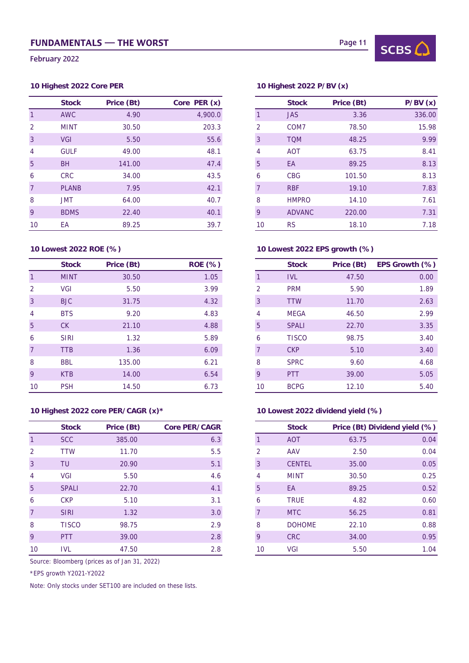February 2022

# **10 Highest 2022 Core PER 10 Highest 2022 P/BV (x)**

|                | <b>Stock</b> | Price (Bt) | Core PER (x) |
|----------------|--------------|------------|--------------|
| 1              | <b>AWC</b>   | 4.90       | 4,900.0      |
| 2              | <b>MINT</b>  | 30.50      | 203.3        |
| $\overline{3}$ | <b>VGI</b>   | 5.50       | 55.6         |
| 4              | <b>GULF</b>  | 49.00      | 48.1         |
| 5 <sup>5</sup> | <b>BH</b>    | 141.00     | 47.4         |
| 6              | <b>CRC</b>   | 34.00      | 43.5         |
| $\overline{7}$ | <b>PLANB</b> | 7.95       | 42.1         |
| 8              | <b>JMT</b>   | 64.00      | 40.7         |
| 9              | <b>BDMS</b>  | 22.40      | 40.1         |
| 10             | EA           | 89.25      | 39.7         |

|                | <b>Stock</b> | Price (Bt) | <b>ROE (%)</b> |                | <b>Stock</b> | Price (Bt) | EPS Growth (% |
|----------------|--------------|------------|----------------|----------------|--------------|------------|---------------|
|                | <b>MINT</b>  | 30.50      | 1.05           |                | <b>IVL</b>   | 47.50      |               |
| 2              | <b>VGI</b>   | 5.50       | 3.99           | $\overline{2}$ | <b>PRM</b>   | 5.90       |               |
| $\mathbf{3}$   | <b>BJC</b>   | 31.75      | 4.32           | 3              | <b>TTW</b>   | 11.70      |               |
| 4              | <b>BTS</b>   | 9.20       | 4.83           | 4              | <b>MEGA</b>  | 46.50      |               |
| 5              | CK           | 21.10      | 4.88           | 5              | <b>SPALI</b> | 22.70      |               |
| 6              | <b>SIRI</b>  | 1.32       | 5.89           | 6              | <b>TISCO</b> | 98.75      |               |
| $\overline{7}$ | <b>TTB</b>   | 1.36       | 6.09           |                | <b>CKP</b>   | 5.10       |               |
| 8              | <b>BBL</b>   | 135.00     | 6.21           | 8              | <b>SPRC</b>  | 9.60       |               |
| 9              | <b>KTB</b>   | 14.00      | 6.54           | 9              | <b>PTT</b>   | 39.00      |               |
| 10             | <b>PSH</b>   | 14.50      | 6.73           | 10             | <b>BCPG</b>  | 12.10      |               |

## **10 Highest 2022 core PER/CAGR (x)\* 10 Lowest 2022 dividend yield (%)**

|                 | <b>Stock</b> | Price (Bt) | <b>Core PER/CAGR</b> |
|-----------------|--------------|------------|----------------------|
|                 | <b>SCC</b>   | 385.00     | 6.3                  |
| 2               | <b>TTW</b>   | 11.70      | 5.5                  |
| 3               | TU           | 20.90      | 5.1                  |
| 4               | <b>VGI</b>   | 5.50       | 4.6                  |
| $5\overline{)}$ | <b>SPALI</b> | 22.70      | 4.1                  |
| 6               | <b>CKP</b>   | 5.10       | 3.1                  |
| $\overline{7}$  | <b>SIRI</b>  | 1.32       | 3.0                  |
| 8               | <b>TISCO</b> | 98.75      | 2.9                  |
| 9               | <b>PTT</b>   | 39.00      | 2.8                  |
| 10              | <b>IVL</b>   | 47.50      | 2.8                  |

Source: Bloomberg (prices as of Jan 31, 2022)

\*EPS growth Y2021-Y2022

Note: Only stocks under SET100 are included on these lists.



| <b>Stock</b> | Price (Bt) | Core PER (x) |    | <b>Stock</b>     | Price (Bt) |
|--------------|------------|--------------|----|------------------|------------|
| <b>AWC</b>   | 4.90       | 4,900.0      |    | <b>JAS</b>       | 3.36       |
| MINT         | 30.50      | 203.3        | 2  | COM <sub>7</sub> | 78.50      |
| VGI          | 5.50       | 55.6         | 3  | <b>TQM</b>       | 48.25      |
| <b>GULF</b>  | 49.00      | 48.1         | 4  | <b>AOT</b>       | 63.75      |
| <b>BH</b>    | 141.00     | 47.4         | 5  | EA               | 89.25      |
| <b>CRC</b>   | 34.00      | 43.5         | 6  | <b>CBG</b>       | 101.50     |
| <b>PLANB</b> | 7.95       | 42.1         |    | <b>RBF</b>       | 19.10      |
| JMT          | 64.00      | 40.7         | 8  | <b>HMPRO</b>     | 14.10      |
| <b>BDMS</b>  | 22.40      | 40.1         | 9  | <b>ADVANC</b>    | 220.00     |
| ЕA           | 89.25      | 39.7         | 10 | <b>RS</b>        | 18.10      |

# **10 Lowest 2022 ROE (%) 10 Lowest 2022 EPS growth (%)**

| <b>Stock</b> | Price (Bt) | <b>ROE (%)</b> |    | <b>Stock</b> | Price (Bt) | EPS Growth (%) |
|--------------|------------|----------------|----|--------------|------------|----------------|
| <b>MINT</b>  | 30.50      | 1.05           |    | <b>IVL</b>   | 47.50      | 0.00           |
| VGI          | 5.50       | 3.99           | 2  | <b>PRM</b>   | 5.90       | 1.89           |
| <b>BJC</b>   | 31.75      | 4.32           | 3  | <b>TTW</b>   | 11.70      | 2.63           |
| <b>BTS</b>   | 9.20       | 4.83           | 4  | <b>MEGA</b>  | 46.50      | 2.99           |
| CK           | 21.10      | 4.88           | 5  | <b>SPALI</b> | 22.70      | 3.35           |
| <b>SIRI</b>  | 1.32       | 5.89           | 6  | <b>TISCO</b> | 98.75      | 3.40           |
| TTB          | 1.36       | 6.09           |    | <b>CKP</b>   | 5.10       | 3.40           |
| <b>BBL</b>   | 135.00     | 6.21           | 8  | <b>SPRC</b>  | 9.60       | 4.68           |
| <b>KTB</b>   | 14.00      | 6.54           | 9  | <b>PTT</b>   | 39.00      | 5.05           |
| <b>PSH</b>   | 14.50      | 6.73           | 10 | <b>BCPG</b>  | 12.10      | 5.40           |

| <b>Stock</b> | Price (Bt) | <b>Core PER/CAGR</b> | <b>Stock</b>       | Price (Bt) Dividend yield (%) |
|--------------|------------|----------------------|--------------------|-------------------------------|
| <b>SCC</b>   | 385.00     | 6.3                  | <b>AOT</b>         | 63.75                         |
| TTW          | 11.70      | 5.5                  | 2<br>AAV           | 2.50                          |
| TU           | 20.90      | 5.1                  | <b>CENTEL</b><br>3 | 35.00                         |
| VGI          | 5.50       | 4.6                  | <b>MINT</b><br>4   | 30.50                         |
| <b>SPALI</b> | 22.70      | 4.1                  | 5<br>EA            | 89.25                         |
| <b>CKP</b>   | 5.10       | 3.1                  | <b>TRUE</b><br>6   | 4.82                          |
| <b>SIRI</b>  | 1.32       | 3.0                  | <b>MTC</b>         | 56.25                         |
| TISCO        | 98.75      | 2.9                  | <b>DOHOME</b><br>8 | 22.10                         |
| <b>PTT</b>   | 39.00      | 2.8                  | <b>CRC</b><br>9    | 34.00                         |
| <b>IVL</b>   | 47.50      | 2.8                  | VGI<br>10          | 5.50                          |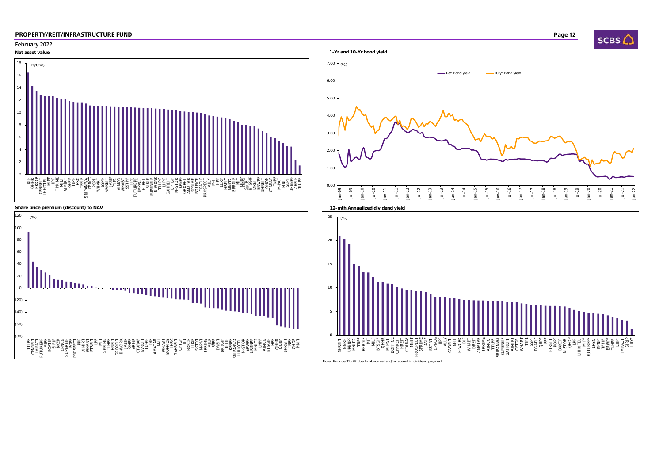## February 2022

D Dans the contract of the contract of the contract of the contract of the contract of the contract of the contract of the contract of the contract of the contract of the contract of the contract of the contract of the con









Note: Exclude TU-PF due to abnormal and/or absent in dividend payment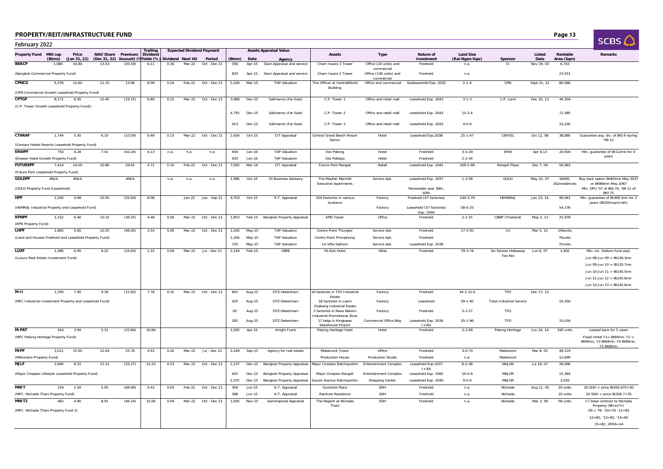| D | Page 13 |
|---|---------|
|---|---------|

| SCRSI |  |
|-------|--|
|       |  |

| February 2022                                             |        |                           |                                                                           |         |                      |      |          |                                            |        |               |                                         |                                                                         |                                                    |                                              |                                    |                                 |                |                         | <b>SCBS ()</b>                                                                   |
|-----------------------------------------------------------|--------|---------------------------|---------------------------------------------------------------------------|---------|----------------------|------|----------|--------------------------------------------|--------|---------------|-----------------------------------------|-------------------------------------------------------------------------|----------------------------------------------------|----------------------------------------------|------------------------------------|---------------------------------|----------------|-------------------------|----------------------------------------------------------------------------------|
| Property Fund MKt cap                                     | (Btmn) | Price<br>(Jan 31, 22)     | NAV/Share Premium/<br>(Dec 31, 22) )iscount) (Wields (%) Dividend Next XD |         | Trailing<br>Dividend |      |          | <b>Expected Dividend Payment</b><br>Period | (Btmn) | Date          | <b>Assets Appraisal Value</b><br>Agency | <b>Assets</b>                                                           | Type                                               | Nature of<br>investment                      | <b>Land Size</b><br>(Rai-Ngan-Sqw) | Sponsor                         | Listed<br>Date | Rentable<br>Area (Sqm)  | Remarks                                                                          |
| <b>BKKCP</b>                                              | 1.080  | 10.80                     | 13.53                                                                     | (20.19) | 6.11                 | 0.16 | Mar-22   | Oct - Dec 21                               | 356    | Apr-15        | Siam Appraisal and service              | Charn Issara 1 Tower                                                    | Office (24 units) and                              | Freehold                                     | n.a.                               | <b>CI</b>                       | Nov 19, 03     | 6,743                   |                                                                                  |
| (Bangkok Commercial Property Fund)                        |        |                           |                                                                           |         |                      |      |          |                                            | 833    | Apr-15        | Siam Appraisal and service              | Charn Issara 2 Tower                                                    | commercial<br>Office (136 units) and<br>commercial | Freehold                                     | n.a.                               |                                 |                | 23,551                  |                                                                                  |
| <b>CPNCG</b>                                              | 5,376  | 12.60                     | 11.15                                                                     | 13.06   | 8.09                 | 0.24 | Feb-22   | Oct - Dec 21                               | 5,100  | Mar-15        | <b>TAP Valuation</b>                    | The Offices at CentralWorld<br>Building                                 |                                                    | Office and commercial Subleasehold Exp. 2032 | $2 - 1 - 4$                        | CPN                             | Sept 21, 12    | 80,566                  |                                                                                  |
| (CPN Commercial Growth Leasehold Property Fund)           |        |                           |                                                                           |         |                      |      |          |                                            |        |               |                                         |                                                                         |                                                    |                                              |                                    |                                 |                |                         |                                                                                  |
| <b>CPTGF</b>                                              | 8,171  | 8.45                      | 10.45                                                                     | (19.15) | 6.89                 | 0.12 | Mar-22   | Oct - Dec 21                               | 3,988  | Dec-15        | Sallmanns (Far East)                    | C.P. Tower 1                                                            | Office and retail mall                             | Leasehold Exp. 2043                          | $3 - 1 - 3$                        | C.P. Land                       | Dec 16, 13     | 44,304                  |                                                                                  |
| (C.P. Tower Growth Leasehold Property Fund))              |        |                           |                                                                           |         |                      |      |          |                                            | 4,755  | Dec-15        | Sallmanns (Far East)                    | C.P. Tower 2                                                            | Office and retail mall                             | Leasehold Exp. 2043                          | $15 - 3 - 4$                       |                                 |                | 72,385                  |                                                                                  |
|                                                           |        |                           |                                                                           |         |                      |      |          |                                            | 913    | Dec-15        | Sallmanns (Far East)                    | C.P. Tower 3                                                            | Office and retail mall                             | Leasehold Exp. 2043                          | $4 - 0 - 0$                        |                                 |                | 15,226                  |                                                                                  |
| CTARAF                                                    | 1,744  | 5.45                      | 6.10                                                                      | (10.59) | 9.49                 | 0.13 | Mar-22   | Oct - Dec 21                               | 2,426  | Oct-15        | CIT Appraisal                           | Central Grand Beach Resort<br>Samui                                     | Hotel                                              | Leasehold Exp.2038                           | $25 - 1 - 47$                      | CENTEL                          | Oct 12, 08     | 38,880                  | Guarantee avg. div. of Bt0.9 during<br>$'08-12$                                  |
| (Centara Hotels Resorts Leasehold Property Fund)          |        |                           |                                                                           |         |                      |      |          |                                            |        |               |                                         |                                                                         |                                                    |                                              |                                    |                                 |                |                         |                                                                                  |
| <b>ERWPF</b>                                              | 754    | 4.28                      | 7.41                                                                      | (42.24) | 4.13                 | n.a. | n.a.     | n.a                                        | 904    | Jan-16        | TAP Valuatoin                           | Ibis Patong                                                             | Hotel                                              | Freehold                                     | $3 - 3 - 29$                       | ERW                             | Apr 4,13       | 20,500                  | Min. guarantee of Bt112mn for 4<br>years                                         |
| (Erawan Hotel Growth Property Fund)                       |        |                           |                                                                           |         |                      |      |          |                                            | 933    | Jan-16        | <b>TAP Valuatoin</b>                    | Ibis Pattaya                                                            | Hotel                                              | Freehold                                     | $2 - 2 - 34$                       |                                 |                |                         |                                                                                  |
| <b>FUTUREPF</b>                                           | 7,414  | 14.00                     | 10.80                                                                     | 29.61   | 4.71                 | 0.10 | Feb-22   | Oct - Dec 21                               | 7,005  | Mar-16        | CIT Appraisal                           | Future Park Rangsit                                                     | Retail                                             | Leasehold Exp. 2041                          | $109 - 1 - 68$                     | Rangsit Plaza                   | Dec 7, 06      | 56,983                  |                                                                                  |
| (Future Park Leasehold Property Fund)<br><b>GOLDPF</b>    | #N/A   | $\#\mathsf{N}/\mathsf{A}$ |                                                                           | #N/A    |                      | n.a. | n.a.     | n.a                                        | 1,996  | Oct-15        | 15 Business Advisory                    | The Mayfair Marriott                                                    | Service Apt.                                       | Leasehold Exp. 2037                          | $1 - 2 - 58$                       | GOLD                            | May 22, 07     | 16000,<br>162residences | Buy back option Bt405mn May 2037                                                 |
| (GOLD Property Fund (Leasehold)                           |        |                           |                                                                           |         |                      |      |          |                                            |        |               |                                         | <b>Executive Apartments</b>                                             |                                                    | Renewable year 30th,                         |                                    |                                 |                |                         | or Bt984mn May 2067<br>Min. DPU '07 of Bt0.74, '08-11 of                         |
| <b>HPF</b>                                                | 2,200  | 4.68                      | 10.55                                                                     | (55.64) | 8.08                 |      | Jan-22   | Jan - Sep 21                               | 4,703  | Oct-15        | K.T. Appraisal                          | 104 Factories in various                                                | Factory                                            | 60th<br>Freehold (47 factories)              | 144-3-79                           | <b>HEMARAJ</b>                  | Jan 23, 14     | 95,941                  | Bt0.75<br>Min. guarantee of Bt369.3mn for 3                                      |
|                                                           |        |                           |                                                                           |         |                      |      |          |                                            |        |               |                                         | locations                                                               |                                                    |                                              |                                    |                                 |                |                         | years (Bt205/sqm/mth)                                                            |
| (HEMRAJ Industrial Property and Leasehold Fund)           |        |                           |                                                                           |         |                      |      |          |                                            |        |               |                                         |                                                                         | Factory                                            | Leasehold (57 factories)<br>Exp. 2044        | 58-0-25                            |                                 |                | 54.176                  |                                                                                  |
| <b>KPNPF</b>                                              | 1,152  | 6.40                      | 10.32                                                                     | (39.25) | 4.48                 | 0.06 | Mar-22   | Oct - Dec 21                               | 1,853  |               | Feb-15 Bangkok Property Appraisal       | <b>KPN Tower</b>                                                        | Office                                             | Freehold                                     | $2 - 2 - 15$                       | CBNP (Thailand)                 | May 3, 13      | 25,978                  |                                                                                  |
| (KPN Property Fund)                                       |        |                           |                                                                           |         |                      |      |          |                                            |        |               |                                         |                                                                         |                                                    |                                              |                                    |                                 |                |                         |                                                                                  |
| <b>LHPF</b>                                               | 1,865  | 5.65                      | 10.55                                                                     | (46.45) | 3.54                 | 0.05 | Mar-22   | Oct - Dec 21                               | 1,430  | May-15        | <b>TAP Valuation</b>                    | Centre Point Thonglor                                                   | Service Apt.                                       | Freehold                                     | $17-3-50$                          | LH.                             | Mar 5, 12      | 156units                |                                                                                  |
| (Land and Houses Freehold and Leasehold Property Fund)    |        |                           |                                                                           |         |                      |      |          |                                            | 1,204  | May-15        | <b>TAP Valuation</b>                    | Centre Point Promphong                                                  | Service Apt.                                       | Freehold                                     |                                    |                                 |                | 76units                 |                                                                                  |
|                                                           |        |                           |                                                                           |         |                      |      |          |                                            | 725    | May-15        | <b>TAP Valuation</b><br>CBRF            | LH Villa Sathorn                                                        | Service Apt.                                       | Leasehold Exp. 2038                          |                                    |                                 |                | 37units                 |                                                                                  |
| <b>LUXF</b><br>(Luxury Real Estate Investment Fund)       | 1,366  | 6.95                      | 9.22                                                                      | (24.63) | 1.22                 | 0.09 | Mar-22   | Jul - Dec 21                               | 2,144  | Feb-15        |                                         | Pa Koh Hotel                                                            | Villas                                             | Freehold                                     | 79-3-74                            | Six Senses Hideaway<br>Yao Noi  | Jun 6, 07      | 1,402                   | Min. inc. (before fund exp)<br>Jun 08-Jun 09 = Bt136.3mn                         |
|                                                           |        |                           |                                                                           |         |                      |      |          |                                            |        |               |                                         |                                                                         |                                                    |                                              |                                    |                                 |                |                         | Jun 09-Jun 10 = Bt135.7mn                                                        |
|                                                           |        |                           |                                                                           |         |                      |      |          |                                            |        |               |                                         |                                                                         |                                                    |                                              |                                    |                                 |                |                         | Jun 10-Jun 11 = Bt145.5mn                                                        |
|                                                           |        |                           |                                                                           |         |                      |      |          |                                            |        |               |                                         |                                                                         |                                                    |                                              |                                    |                                 |                |                         | Jun 11-Jun 12 = Bt145.6mn                                                        |
|                                                           |        |                           |                                                                           |         |                      |      |          |                                            |        |               |                                         |                                                                         |                                                    |                                              |                                    |                                 |                |                         | Jun 12-Jun 13 = Bt145.6mn                                                        |
| $M-H$                                                     | 1.359  | 7.90                      | 9.39                                                                      | (15.83) | 7.78                 | 0.15 | $Mar-22$ | Oct - Dec 21                               | 801    | Aug-15        | DTZ Debenham                            | 16 factories in TFD Industrial                                          | Factory                                            | Freehold                                     | $34 - 1 - 31.6$                    | <b>TFD</b>                      | Dec 27, 12     |                         |                                                                                  |
| (MFC Industrial Investment Property and Leasehold Fund)   |        |                           |                                                                           |         |                      |      |          |                                            | 425    | Aug-15        | DTZ Debenham                            | Estate<br>18 factories in Laem                                          | Factory                                            | Leasehold                                    | $29-1-40$                          | <b>Total Industrial Service</b> |                | 19,350                  |                                                                                  |
|                                                           |        |                           |                                                                           |         |                      |      |          |                                            | 65     | Aug-15        | DTZ Debenham                            | Chabang Industrial Estate<br>2 factories in Nava Nakorn                 | Factory                                            | Freehold                                     | $5 - 2 - 27$                       | TFD                             |                |                         |                                                                                  |
|                                                           |        |                           |                                                                           |         |                      |      |          |                                            | 282    | Aug-15        | DTZ Debenham                            | Industrial Promotional Zone<br>17 bdgs in Kingkaew<br>Warehouse Project | Commercial Office Bdg                              | Leasehold Exp. 2036<br>$(+30)$               | $25 - 1 - 96$                      | TFD                             |                | 15,034                  |                                                                                  |
| M-PAT                                                     | 414    | 3.94                      | 5.31                                                                      | (25.84) | 10.84                |      |          |                                            | 1,045  | Apr-15        | Knight Frank                            | Patong Heritage hotel                                                   | Hotel                                              | Freehold                                     | $2 - 2 - 68$                       | Patong Heritage                 | Jun 24, 14     | 183 units               | Leased back for 5 years                                                          |
| (MFC Patong Heritage Property Fund)                       |        |                           |                                                                           |         |                      |      |          |                                            |        |               |                                         |                                                                         |                                                    |                                              |                                    |                                 |                |                         | Fixed rental $Y1 = Bt84mn$ ; $Y2 =$<br>Bt84mn; Y3 Bt84mn; Y4 Bt89mn;             |
| <b>MIPF</b>                                               | 3,021  | 15.90                     | 12.64                                                                     | 25.78   | 4.91                 | 0.42 | Mar-22   | Jul - Dec 21                               | 2,249  | Sep-15        | Agency for real estate                  | Maleenont Tower                                                         | Office                                             | Freehold                                     | $3 - 0 - 74$                       | Maleenont                       | Mar 8, 05      | 49,119                  | Y5 Bt89mn                                                                        |
| (Millionaire Property Fund)                               |        |                           |                                                                           |         |                      |      |          |                                            |        |               |                                         | Production House                                                        | Production Studio                                  | Freehold                                     | n.a.                               | Maleenont                       |                | 12,699                  |                                                                                  |
| <b>MJLF</b>                                               | 2,690  | 8.15                      | 12.21                                                                     | (33.27) | 12.23                | 0.23 | Mar-22   | Oct - Dec 21                               | 2,137  | Dec-15        | <b>Bangkok Property Appraisal</b>       | Major Cineplex Ratchayothin                                             | <b>Entertainment Complex</b>                       | Leasehold Exp 2037<br>$(+30)$                | $6 - 2 - 38$                       | <b>MAJOR</b>                    | Jul 18, 07     | 28,096                  |                                                                                  |
| (Major Cineplex Lifestyle Leasehold Property Fund)        |        |                           |                                                                           |         |                      |      |          |                                            | 625    | Dec-15        | Bangkok Property Appraisal              | Major Cineplex Rangsit                                                  | <b>Entertainment Complex</b>                       | Leasehold Exp. 2082                          | $10 - 0 - 8$                       | MAJOR                           |                | 15,384                  |                                                                                  |
|                                                           |        |                           |                                                                           |         |                      |      |          |                                            | 1,072  | Dec-15        | <b>Bangkok Property Appraisal</b>       | Suzuki Avenue Ratchayothin                                              | Shopping Center                                    | Leasehold Exp. 2040                          | $9 - 0 - 0$                        | MAJOR                           |                | 3,035                   |                                                                                  |
| <b>MNIT</b>                                               | 219    | 1.59                      | 5.05                                                                      | (68.49) | 9.43                 | 0.03 | Feb-22   | Oct - Dec 21                               | 304    | Jun-15        | K.T. Appraisal                          | Sunshine Place                                                          | SDH                                                | Freehold                                     | n.a.                               | Nichada                         | Aug 11, 05     | 20 units                | $20$ SDH = price Bt265.675+30                                                    |
| (MFC -Nichada Thani Property Fund)                        |        |                           |                                                                           |         |                      |      |          |                                            | 398    | Jun-15        | K.T. Appraisal                          | Raintree Residence                                                      | SDH                                                | Freehold                                     | n.a.                               | Nichada                         |                | 20 units                | $20$ SDH = price Bt328.7+35                                                      |
| MNIT <sub>2</sub><br>(MFC -Nichada Thani Property Fund 2) | 482    | 4.80                      | 8.91                                                                      | (46.14) | 15.00                | 0.04 | Mar-22   | Oct - Dec 21                               | 1,005  | <b>Nov-15</b> | Siamimperial Appraisal                  | The Regent at Nichada<br>Thani                                          | SDH                                                | Freehold                                     | n.a.                               | Nichada                         | Mar 3, 09      | 58 units                | LT lease contract to Nichada<br>Property (Btmn/Yr)<br>$09 = 79$ ; '10=79; '11=81 |
|                                                           |        |                           |                                                                           |         |                      |      |          |                                            |        |               |                                         |                                                                         |                                                    |                                              |                                    |                                 |                |                         | $12 = 81$ ; $13 = 81$ ; $14 = 82$                                                |
|                                                           |        |                           |                                                                           |         |                      |      |          |                                            |        |               |                                         |                                                                         |                                                    |                                              |                                    |                                 |                |                         | $15 = 82$ ; $2M16 = 14$                                                          |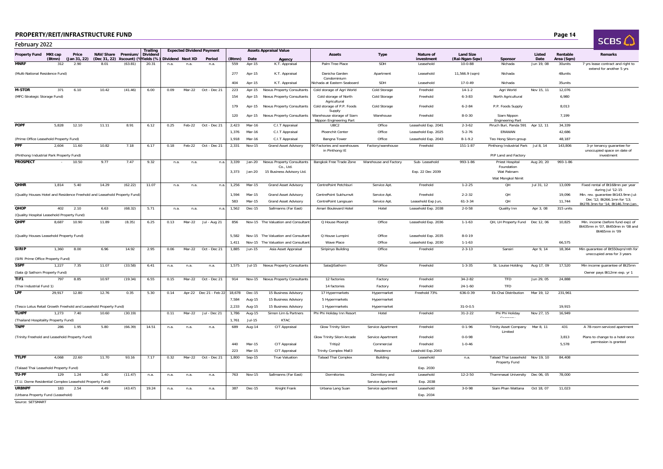| D | Page 14 |
|---|---------|
|---|---------|

|  | <b>SCBS</b> |  |
|--|-------------|--|

| February 2022                                                             |                   |       |                                                                   |                             |                 |      |        |                                            |        |          |                                         |                                                      |                       |                         |                                    |                                                            |                |                        | ىپ تەت                                                                                   |
|---------------------------------------------------------------------------|-------------------|-------|-------------------------------------------------------------------|-----------------------------|-----------------|------|--------|--------------------------------------------|--------|----------|-----------------------------------------|------------------------------------------------------|-----------------------|-------------------------|------------------------------------|------------------------------------------------------------|----------------|------------------------|------------------------------------------------------------------------------------------|
| Property Fund                                                             | MKt cap<br>(Btmn) | Price | (Jan 31, 22) (Dec 31, 22) ) iscount) (Wields (%) Dividend Next XD | NAV/Share Premium/ Dividend | <b>Trailing</b> |      |        | <b>Expected Dividend Payment</b><br>Period | (Btmn) | Date     | <b>Assets Appraisal Value</b><br>Agency | Assets                                               | <b>Type</b>           | Nature of<br>investment | <b>Land Size</b><br>(Rai-Ngan-Sqw) | Sponsor                                                    | Listed<br>Date | Rentable<br>Area (Sqm) | Remarks                                                                                  |
| <b>MNRF</b>                                                               | 312               | 2.90  | 8.01                                                              | (63.81)                     | 20.31           | n.a. | n.a.   | n.a.                                       | 559    | Apr-15   | K.T. Appraisal                          | Palm Tree Place                                      | <b>SDH</b>            | Leasehold               | $10 - 0 - 88$                      | Nichada                                                    | Jun 19, 08     | 30units                | 7 yrs lease contract and right to                                                        |
| (Multi-National Residence Fund)                                           |                   |       |                                                                   |                             |                 |      |        |                                            | 277    | Apr-15   | K.T. Appraisal                          | Danicha Garden<br>Condominium                        | Apartment             | Leasehold               | 11,566.9 (sqm)                     | Nichada                                                    |                | 48units                | extend for another 5 yrs                                                                 |
|                                                                           |                   |       |                                                                   |                             |                 |      |        |                                            | 404    | Apr-15   | K.T. Appraisal                          | Nichada at Eastern Seaboard                          | SDH                   | Leasehold               | $17 - 0 - 49$                      | Nichada                                                    |                | 35units                |                                                                                          |
| <b>M-STOR</b>                                                             | 371               | 6.10  | 10.42                                                             | (41.46)                     | 6.00            | 0.09 | Mar-22 | Oct - Dec 21                               | 223    | Apr-15   | <b>Nexus Property Consultants</b>       | Cold storage of Agri World                           | Cold Storage          | Freehold                | $14 - 1 - 2$                       | Agri World                                                 | Nov 15, 11     | 12,076                 |                                                                                          |
| (MFC-Strategic Storage Fund)                                              |                   |       |                                                                   |                             |                 |      |        |                                            | 154    | Apr-15   | <b>Nexus Property Consultants</b>       | Cold storage of North                                | Cold Storage          | Freehold                | $6 - 3 - 83$                       | North Agricultural                                         |                | 6,980                  |                                                                                          |
|                                                                           |                   |       |                                                                   |                             |                 |      |        |                                            | 179    | Apr-15   | <b>Nexus Property Consultants</b>       | Agricultural<br>Cold storage of P.P. Foods<br>Supply | Cold Storage          | Freehold                | $6 - 2 - 84$                       | P.P. Foods Supply                                          |                | 8,013                  |                                                                                          |
|                                                                           |                   |       |                                                                   |                             |                 |      |        |                                            | 120    | Apr-15   | <b>Nexus Property Consultants</b>       | Warehouse storage of Siam<br>Nippon Engineering Part | Warehouse             | Freehold                | $8 - 0 - 30$                       | Siam Nippon<br><b>Engineering Part</b>                     |                | 7,199                  |                                                                                          |
| <b>POPF</b>                                                               | 5,828             | 12.10 | 11.11                                                             | 8.91                        | 6.12            | 0.25 | Feb-22 | Oct - Dec 21                               | 2,423  | Mar-16   | C.I.T Appraisal                         | UBC2                                                 | Office                | Leasehold Exp. 2041     | $2 - 3 - 62$                       | Piruch Buri, Panda 591 Apr 12, 11                          |                | 34,339                 |                                                                                          |
|                                                                           |                   |       |                                                                   |                             |                 |      |        |                                            | 1,376  | Mar-16   | C.I.T Appraisal                         | Ploenchit Center                                     | Office                | Leasehold Exp. 2025     | $5 - 2 - 76$                       | ERAWAN                                                     |                | 42,686                 |                                                                                          |
| (Prime Office Leasehold Property Fund)                                    |                   |       |                                                                   |                             |                 |      |        |                                            | 1.918  | Mar-16   | C.I.T Appraisal                         | Bangna Tower                                         | Office                | Leasehold Exp. 2043     | $8 - 1 - 9.2$                      | Teo Hong Silom group                                       |                | 48,187                 |                                                                                          |
| <b>PPF</b><br>(Pinthong Industrial Park Property Fund)                    | 2.604             | 11.60 | 10.82                                                             | 7.18                        | 6.17            | 0.18 | Feb-22 | Oct - Dec 21                               | 2,331  | Nov-15   | <b>Grand Asset Advisory</b>             | 90 Factories and warehouses<br>in Pinthong IE        | Factory/warehouse     | Freehold                | $151 - 1 - 87$                     | Pinthong Industrial Park Jul 8, 14<br>PIP Land and Factory |                | 143,806                | 3-yr tenancy guarantee for<br>unoccupied space on date of<br>investment                  |
| <b>PROSPECT</b>                                                           |                   | 10.50 | 9.77                                                              | 7.47                        | 9.32            | n.a. | n.a.   | n.a.                                       | 3,339  | Jan-20   | <b>Nexus Property Consultants</b>       | Bangkok Free Trade Zone                              | Warehouse and Factory | Sub-Leasehold           | 993-1-86                           | Priest Hospital                                            | Aug 20, 20     | 993-1-86               |                                                                                          |
|                                                                           |                   |       |                                                                   |                             |                 |      |        |                                            |        |          | Co., Ltd.                               |                                                      |                       |                         |                                    | Foundation                                                 |                |                        |                                                                                          |
|                                                                           |                   |       |                                                                   |                             |                 |      |        |                                            | 3,373  | Jan-20   | 15 Business Advisory Ltd.               |                                                      |                       | Exp. 22 Dec 2039        |                                    | Wat Paknam<br>Wat Mongkol Nimit                            |                |                        |                                                                                          |
| <b>OHHR</b>                                                               | 1.814             | 5.40  | 14.29                                                             | (62.22)                     | 11.07           | n.a. | n.a.   | n.a.                                       | 1,256  | Mar-15   | <b>Grand Asset Advisory</b>             | CentrePoint Petchburi                                | Service Apt.          | Freehold                | $1 - 2 - 25$                       | QH                                                         | Jul 31, 12     | 13,009                 | Fixed rental of Bt168mn per year<br>during Jul '12-15                                    |
| (Quality Houses Hotel and Residence Freehold and Leasehold Property Fund) |                   |       |                                                                   |                             |                 |      |        |                                            | 1.594  | Mar-15   | <b>Grand Asset Advisory</b>             | CentrePoint Sukhumvit                                | Service Apt.          | Freehold                | $2 - 2 - 32$                       | OH                                                         |                | 19.096                 | Min. rev. quarantee Bt143.9mn Jul                                                        |
|                                                                           |                   |       |                                                                   |                             |                 |      |        |                                            | 583    | Mar-15   | <b>Grand Asset Advisory</b>             | CentrePoint Langsuan                                 | Service Apt.          | Leasehold Exp Jun,      | $61 - 3 - 34$                      | QH                                                         |                | 11,744                 | Dec '12; Bt266.1mn for '13;<br>Bt278.3mn for '14; Bt146.7mn Jan-                         |
| <b>QHOP</b>                                                               | 402               | 2.10  | 6.63                                                              | (68.32)                     | 5.71            | n.a. | n.a.   | n.a.                                       | 1,562  | Dec-15   | Sallmanns (Far East)                    | Amari Boulevard Hotel                                | Hotel                 | Leasehold Exp. 2038     | $2 - 0 - 58$                       | Quality Inn                                                | Apr 3, 08      | 315 units              |                                                                                          |
| (Quality Hospital Leasehold Property Fund)                                |                   |       |                                                                   |                             |                 |      |        |                                            |        |          |                                         |                                                      |                       |                         |                                    |                                                            |                |                        |                                                                                          |
| <b>QHPF</b>                                                               | 8,687             | 10.90 | 11.89                                                             | (8.35)                      | 6.25            | 0.13 | Mar-22 | Jul - Aug 21                               | 856    | Nov-15   | The Valuation and Consultant            | Q House Ploenjit                                     | Office                | Leasehold Exp. 2036     | $1 - 1 - 63$                       | QH, LH Property Fund                                       | Dec 12, 06     | 10,825                 | Min. income (before fund exp) of<br>Bt435mn in '07, Bt450mn in '08 and<br>Bt465mn in '09 |
| (Quality Houses Leasehold Property Fund)                                  |                   |       |                                                                   |                             |                 |      |        |                                            | 5,582  |          | Nov-15 The Valuation and Consultan      | Q House Lumpini                                      | Office                | Leasehold Exp. 2035     | $8 - 0 - 19$                       |                                                            |                |                        |                                                                                          |
|                                                                           |                   |       |                                                                   |                             |                 |      |        |                                            | 1,411  |          | Nov-15 The Valuation and Consultan      | Wave Place                                           | Office                | Leasehold Exp. 2030     | $1 - 1 - 63$                       |                                                            |                | 66,575                 |                                                                                          |
| <b>SIRIP</b><br>(SIRI Prime Office Property Fund)                         | 1,360             | 8.00  | 6.96                                                              | 14.92                       | 2.95            | 0.06 | Mar-22 | Oct - Dec 21                               | 1,885  | Jun-15   | Asia Asset Appraisal                    | Siripinyo Building                                   | Office                | Freehold                | $2 - 3 - 13$                       | Sansiri                                                    | Apr 9, 14      | 18,364                 | Min quarantee of Bt550sqm/mth for<br>unoccupied area for 3 years                         |
| <b>SSPF</b>                                                               | 1,227             | 7.35  | 11.07                                                             | (33.58)                     | 6.41            | n.a. | n.a.   | n.a.                                       | 1,575  | Jul-15   | <b>Nexus Property Consultants</b>       | Sala@Sathorn                                         | Office                | Freehold                | $1 - 3 - 35$                       | St. Louise Holding                                         | Aug 17, 09     | 17,520                 | Min income guarantee of Bt25mn                                                           |
| (Sala @ Sathorn Property Fund)                                            |                   |       |                                                                   |                             |                 |      |        |                                            |        |          |                                         |                                                      |                       |                         |                                    |                                                            |                |                        | Owner pays Bt12mn exp. yr 1                                                              |
| TIF1                                                                      | 797               | 8.85  | 10.97                                                             | (19.34)                     | 6.55            | 0.15 | Mar-22 | Oct - Dec 21                               | 914    | Nov-15   | <b>Nexus Property Consultants</b>       | 12 factories                                         | Factory               | Freehold                | $34 - 2 - 82$                      | TFD                                                        | Jun 29, 05     | 24,888                 |                                                                                          |
| (Thai Industrial Fund 1)                                                  |                   |       |                                                                   |                             |                 |      |        |                                            |        |          |                                         | 14 factories                                         | Factory               | Freehold                | $24 - 1 - 60$                      | TFD                                                        |                |                        |                                                                                          |
| LPF                                                                       | 29,917            | 12.80 | 12.76                                                             | 0.35                        | 5.30            | 0.14 |        | Apr-22 Dec 21 - Feb 22                     | 18,678 | Dec-15   | 15 Business Advisory                    | 17 Hypermarkets                                      | Hypermarket           | Freehold 73%            | 636-0-39                           | Ek-Chai Distribution                                       | Mar 19, 12     | 231,961                |                                                                                          |
|                                                                           |                   |       |                                                                   |                             |                 |      |        |                                            | 7,584  | Aug-15   | 15 Business Advisory                    | 5 Hypermarkets                                       | Hypermarket           |                         |                                    |                                                            |                |                        |                                                                                          |
| (Tesco Lotus Retail Growth Freehold and Leasehold Property Fund)          |                   |       |                                                                   |                             |                 |      |        |                                            | 2,233  | Aug-15   | 15 Business Advisory                    | 1 Hypermarkets                                       | Hypermarket           |                         | $31 - 0 - 0.5$                     |                                                            |                | 19,915                 |                                                                                          |
| <b>TLHPF</b>                                                              | 1.273             | 7.40  | 10.60                                                             | (30.19)                     |                 | 0.11 | Mar-22 | Jul - Dec 21                               | 1,786  | Aug-15   | Simon Lim & Partners                    | Phi Phi Holiday Inn Resort                           | Hotel                 | Freehold                | $31 - 2 - 22$                      | Phi Phi Holiday                                            | Nov 27, 15     | 16,949                 |                                                                                          |
| (Thailand Hospitality Property Fund)                                      |                   |       |                                                                   |                             |                 |      |        |                                            | 1,761  | $Jul-15$ | KTAC                                    |                                                      |                       |                         |                                    |                                                            |                |                        |                                                                                          |
| <b>TNPF</b>                                                               | 286               | 1.95  | 5.80                                                              | (66.39)                     | 14.51           | n.a  | n.a    | n.a.                                       | 689    | Aug-14   | CIT Appraisal                           | Glow Trinity Silom                                   | Service Apartment     | Freehold                | $0 - 1 - 96$                       | Trinity Asset Company<br><b>Limited</b>                    | Mar 8, 11      | 431                    | A 78-room serviced apartment                                                             |
| (Trinity Freehold and Leasehold Property Fund)                            |                   |       |                                                                   |                             |                 |      |        |                                            |        |          |                                         | Glow Trinity Silom Arcade                            | Service Apartment     | Freehold                | $0 - 0 - 98$                       |                                                            |                | 3,813                  | Plans to change to a hotel once<br>permission is granted                                 |
|                                                                           |                   |       |                                                                   |                             |                 |      |        |                                            | 440    | Mar-15   | CIT Appraisal                           | Tritip2                                              | Commercial            | Freehold                | $1 - 0 - 46$                       |                                                            |                | 5,578                  |                                                                                          |
|                                                                           |                   |       |                                                                   |                             |                 |      |        |                                            | 223    | Mar-15   | CIT Appraisal                           | Trinity Complex Mall3                                | Residence             | Leashold Exp.2043       |                                    |                                                            |                |                        |                                                                                          |
| <b>TTLPF</b><br>(Talaad Thai Leasehold Property Fund)                     | 4.068             | 22.60 | 11.70                                                             | 93.16                       | 7.17            | 0.32 | Mar-22 | Oct - Dec 21                               | 1,800  | Sep-15   | <b>True Valuation</b>                   | <b>Talaad Thai Complex</b>                           | Building              | Leasehold<br>Exp. 2030  | n.a.                               | Talaad Thai Leasehold Nov 19, 10<br>Property Fund          |                | 84.408                 |                                                                                          |
| TU-PF                                                                     | 129               | 1.24  | 1.40                                                              | (11.47)                     | n.a.            | n.a. | n.a.   | n.a.                                       | 763    | Nov-15   | Sallmanns (Far East)                    | Dormitories                                          | Dormitory and         | Leasehold               | $12 - 2 - 50$                      | Thammasat University                                       | Dec 06, 05     | 78,000                 |                                                                                          |
| (T.U. Dome Residential Complex Leasehold Property Fund)                   |                   |       |                                                                   |                             |                 |      |        |                                            |        |          |                                         |                                                      | Service Apartment     | Exp. 2038               |                                    |                                                            |                |                        |                                                                                          |
| <b>URBNPF</b>                                                             | 183               | 2.54  | 4.49                                                              | (43.47)                     | 19.24           | n.a. | n.a.   | n.a.                                       | 387    | Dec-15   | Knight Frank                            | Urbana Lang Suan                                     | Service apartment     | Leasehold               | $3 - 0 - 98$                       | Siam Phan Wattana                                          | Oct 18, 07     | 11.023                 |                                                                                          |
| (Urbana Property Fund (Leasehold)                                         |                   |       |                                                                   |                             |                 |      |        |                                            |        |          |                                         |                                                      |                       | Exp. 2034               |                                    |                                                            |                |                        |                                                                                          |

Source: SETSMART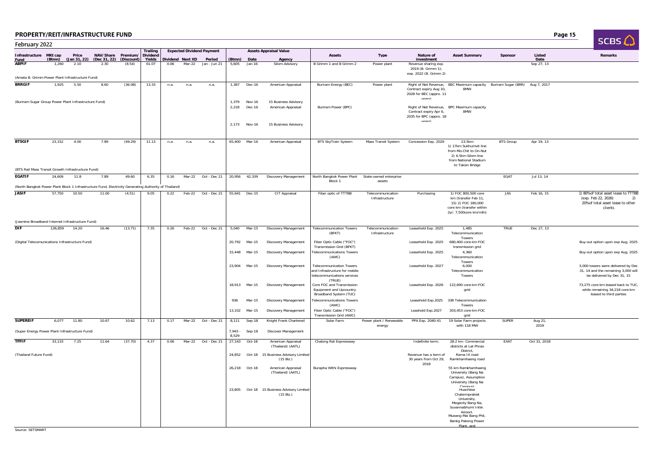Discovering the contract of the contract of the contract of the contract of the contract of the contract of the contract of the contract of the contract of the contract of the contract of the contract of the contract of th

 $SCRS$ 

| February 2022                                                                                         |                 |                      |                      |                      |                             |      |                            |                                  |                         |                            |                                                                                                              |                                                                                                          |                                     |                                                                                    |                                                                                                                                  |                  |                    | ىي تەت                                                                                                            |
|-------------------------------------------------------------------------------------------------------|-----------------|----------------------|----------------------|----------------------|-----------------------------|------|----------------------------|----------------------------------|-------------------------|----------------------------|--------------------------------------------------------------------------------------------------------------|----------------------------------------------------------------------------------------------------------|-------------------------------------|------------------------------------------------------------------------------------|----------------------------------------------------------------------------------------------------------------------------------|------------------|--------------------|-------------------------------------------------------------------------------------------------------------------|
| Infrastructure MKt cap                                                                                |                 | Price                | NAV/Share            | Premium/             | <b>Trailing</b><br>Dividend |      |                            | <b>Expected Dividend Payment</b> |                         |                            | <b>Assets Appraisal Value</b>                                                                                | Assets                                                                                                   | <b>Type</b>                         | Nature of                                                                          | <b>Asset Summary</b>                                                                                                             | Sponsor          | Listed             | Remarks                                                                                                           |
| Fund<br><b>ABPIF</b>                                                                                  | (Btmn)<br>1,260 | (Jan 31, 22)<br>2.10 | (Dec 31, 22)<br>2.30 | (Discount)<br>(8.54) | Yields<br>61.07             | 0.06 | Dividend Next XD<br>Mar-22 | Period<br>Jan - Jun 21           | (Btmn)<br>5,605         | Date<br>Jan-16             | Agency<br>Silom Advisory                                                                                     | B Grimm 1 and B Grimm 2                                                                                  | Power plant                         | investment<br>Revenue sharing exp.<br>2019 (B. Grimm 1);<br>exp. 2022 (B. Grimm 2) |                                                                                                                                  |                  | Date<br>Sep 27, 13 |                                                                                                                   |
| (Amata B. Grimm Power Plant Infrastructure Fund)                                                      |                 |                      |                      |                      |                             |      |                            |                                  |                         |                            |                                                                                                              |                                                                                                          |                                     |                                                                                    |                                                                                                                                  |                  |                    |                                                                                                                   |
| <b>BRRGIF</b>                                                                                         | 1,925           | 5.50                 | 8.60                 | (36.08)              | 13.33                       | n.a. | n.a.                       | n.a.                             | 1,387                   | Dec-16                     | American Appraisal                                                                                           | Buriram Energy (BEC)                                                                                     | Power plant                         | Contract expiry Aug 10,<br>2028 for BEC (appro. 11<br>vears)                       | Right of Net Revenue, BEC Maximum capacity Buriram Sugar (BRR) Aug 7, 2017<br>8MW                                                |                  |                    |                                                                                                                   |
| (Buriram Sugar Group Power Plant Infrastructure Fund)                                                 |                 |                      |                      |                      |                             |      |                            |                                  | 1.379<br>2,218<br>2,173 | Nov-16<br>Dec-16<br>Nov-16 | 15 Business Advisory<br>American Appraisal<br>15 Business Advisory                                           | Buriram Power (BPC)                                                                                      |                                     | Contract expiry Apr 6,<br>2035 for BPC (appro. 18<br>vears)                        | Right of Net Revenue, BPC Maximum capacity<br>8MW                                                                                |                  |                    |                                                                                                                   |
|                                                                                                       |                 |                      |                      |                      |                             |      |                            |                                  |                         |                            |                                                                                                              |                                                                                                          |                                     |                                                                                    |                                                                                                                                  |                  |                    |                                                                                                                   |
| <b>BTSGIF</b><br>(BTS Rail Mass Transit Growth Infrastructure Fund)                                   | 23.152          | 4.00                 | 7.89                 | (49.29)              | 11.13                       | n.a. | n.a.                       | n.a.                             |                         | 65,400 Mar-16              | American Appraisal                                                                                           | <b>BTS SkyTrain System</b>                                                                               | Mass Transit System                 | Concession Exp. 2029                                                               | 23.5km<br>1) 17km Sukhumvit line<br>from Mo-Chit to On-Nut<br>2) 6.5km Silom line<br>from National Stadium<br>to Taksin Bridge   | <b>BTS Group</b> | Apr 19, 13         |                                                                                                                   |
| <b>EGATIF</b>                                                                                         | 24,609          | 11.8                 | 7.89                 | 49.60                | 6.35                        | 0.16 |                            | Mar-22 Oct - Dec 21              |                         | 20,956 42,339              | <b>Discovery Management</b>                                                                                  | North Bangkok Power Plant                                                                                | State-owned enterprise              |                                                                                    |                                                                                                                                  | EGAT             | Jul 13, 14         |                                                                                                                   |
| (North Bangkok Power Plant Block 1 Infrastructure Fund, Electricity Generating Authority of Thailand) |                 |                      |                      |                      |                             |      |                            |                                  |                         |                            |                                                                                                              | Block 1                                                                                                  | assets                              |                                                                                    |                                                                                                                                  |                  |                    |                                                                                                                   |
| <b>JASIF</b>                                                                                          | 57,750          | 10.50                | 11.00                | (4.51)               | 9.05                        | 0.22 |                            | Feb-22 Oct - Dec 21              |                         | 55,641 Dec-15              | CIT Appraisal                                                                                                | Fiber optic of TTTBB                                                                                     | Telecommunication<br>Infrastructure | Purchasing                                                                         | 1) FOC 800,500 core<br>km (transfer Feb 11,<br>15) 2) FOC 180,000<br>core km (transfer within<br>2yr: 7,500core km/mth)          | <b>JAS</b>       | Feb 16, 15         | 1) 80% of total asset lease to TTTBB<br>(exp. Feb 22, 2026)<br>2)<br>20% of total asset lease to other<br>clients |
| (Jasmine Broadband Internet Infrastructure Fund)<br><b>DIF</b>                                        | 136,859         | 14.20                | 16.46                | (13.71)              | 7.35                        | 0.26 | Feb-22                     | Oct - Dec 21                     | 5,040                   | Mar-15                     | <b>Discovery Management</b>                                                                                  | <b>Telecommunication Towers</b>                                                                          | Telecommunication                   | Leasehold Exp. 2025                                                                | 1,485                                                                                                                            | <b>TRUE</b>      | Dec 27, 13         |                                                                                                                   |
| (Digital Telecomunications Infrastructure Fund)                                                       |                 |                      |                      |                      |                             |      |                            |                                  | 20,792                  | Mar-15                     | Discovery Management                                                                                         | (BFKT)<br>Fiber Optic Cable ("FOC")                                                                      | Infrastructure                      | Leasehold Exp. 2025                                                                | Telecommunication<br>Towers<br>680,400 core-km FOC                                                                               |                  |                    | Buy-out option upon exp Aug, 2025                                                                                 |
|                                                                                                       |                 |                      |                      |                      |                             |      |                            |                                  | 15,448                  | Mar-15                     | Discovery Management                                                                                         | Transmission Grid (BFKT)<br><b>Telecommunications Towers</b>                                             |                                     | Leasehold Exp. 2025                                                                | transmission grid<br>4,360                                                                                                       |                  |                    | Buy-out option upon exp Aug, 2025                                                                                 |
|                                                                                                       |                 |                      |                      |                      |                             |      |                            |                                  | 23,904                  | Mar-15                     | <b>Discovery Management</b>                                                                                  | (AWC)<br><b>Telecommunication Towers</b><br>and Infrastructure for mobile<br>telecommunications services |                                     | Leasehold Exp. 2027                                                                | Telecommunication<br>Towers<br>6.000<br>Telecommunication<br>Towers                                                              |                  |                    | 3,000 towers were delivered by Dec<br>31, 14 and the remaining 3,000 will<br>be delivered by Dec 31, 15           |
|                                                                                                       |                 |                      |                      |                      |                             |      |                            |                                  | 18,913                  | Mar-15                     | Discovery Management                                                                                         | (TRUE)<br>Core FOC and Transmission<br>Equipment and Upcountry<br>Broadband System (TUC)                 |                                     |                                                                                    | Leasehold Exp. 2026 122,690 core-km FOC<br>grid                                                                                  |                  |                    | 73,275 core-km leased back to TUC<br>while remaining 34,218 core-km<br>leased to third parties                    |
|                                                                                                       |                 |                      |                      |                      |                             |      |                            |                                  | 936                     | Mar-15                     | <b>Discovery Management</b>                                                                                  | <b>Telecommunications Towers</b><br>(AWC)                                                                |                                     |                                                                                    | Leasehold Exp.2025 338 Telecommunication<br>Towers                                                                               |                  |                    |                                                                                                                   |
|                                                                                                       |                 |                      |                      |                      |                             |      |                            |                                  | 13,102                  | Mar-15                     | Discovery Management                                                                                         | Fiber Optic Cable ("FOC")<br>Transmission Grid (AWC)                                                     |                                     | Leashold Exp.2027                                                                  | 303,453 core-km FOC<br>grid                                                                                                      |                  |                    |                                                                                                                   |
| <b>SUPEREIF</b>                                                                                       | 6,077           | 11.80                | 10.67                | 10.62                | 7.13                        | 0.17 | Mar-22                     | Oct - Dec 21                     | 8,111                   | Sep-18                     | Knight Frank Chartered                                                                                       | Solar Farm                                                                                               | Power plant / Renewable<br>energy   | PPA Exp. 2040-41                                                                   | 19 Solar Farm projects<br>with 118 MW                                                                                            | <b>SUPER</b>     | Aug 21,<br>2019    |                                                                                                                   |
| (Super Energy Power Plant Infrastructure Fund)                                                        |                 |                      |                      |                      |                             |      |                            |                                  | $7,943 -$<br>8,529      | Sep-18                     | Discover Management                                                                                          |                                                                                                          |                                     |                                                                                    |                                                                                                                                  |                  |                    |                                                                                                                   |
| <b>TFFIF</b>                                                                                          | 33,133          | 7.25                 | 11.64                | (37.70)              | 4.37                        | 0.06 | Mar-22                     | Oct - Dec 21                     | 27,143                  | Oct-18                     | American Appraisal<br>(Thailand) (AATL)                                                                      | Chalong Rat Expressway                                                                                   |                                     | Indefinite term.                                                                   | 28.2 km Commercial<br>districts at Lat Phrao                                                                                     | EXAT             | Oct 31, 2018       |                                                                                                                   |
| (Thailand Future Fund)                                                                                |                 |                      |                      |                      |                             |      |                            |                                  | 24,852                  |                            | Oct-18 15 Business Advisory Limited<br>$(15 \text{ Biz.})$                                                   |                                                                                                          |                                     | Revenue has a term of<br>30 years from Oct 29, Ramkhamhaeng road                   | District<br>Rama IX road                                                                                                         |                  |                    |                                                                                                                   |
|                                                                                                       |                 |                      |                      |                      |                             |      |                            |                                  | 26,218                  | Oct-18                     | American Appraisal<br>(Thailand) (AATL)<br>23,805 Oct-18 15 Business Advisory Limited<br>$(15 \text{ Biz.})$ | Burapha Withi Expressway                                                                                 |                                     | 2018                                                                               | 55 km Ramkhamhaeng<br>University (Bang Na<br>Campus), Assumption<br>University (Bang Na<br>Campus)<br>Chalermprakiet             |                  |                    |                                                                                                                   |
|                                                                                                       |                 |                      |                      |                      |                             |      |                            |                                  |                         |                            |                                                                                                              |                                                                                                          |                                     |                                                                                    | University.<br>Megacity Bang Na,<br>Suvannabhumi Inter.<br>Airport.<br>Mueang Mai Bang Phli,<br>Bankg Pakong Power<br>Plant, and |                  |                    |                                                                                                                   |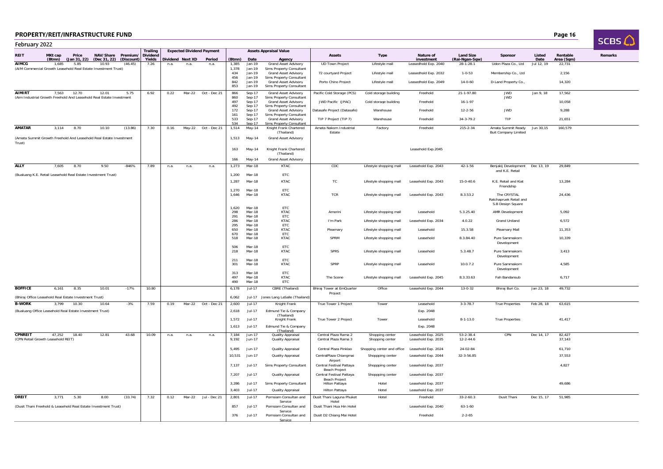| D | Page 16 |
|---|---------|
|---|---------|

|                | <b>PROPERTY/REIT/INFRASTRUCTURE FUND</b>                                      |       |                                                 |            |                           |      |                  |                                  |                   |                            |                                                                  |                                                      |                                    |                                            |                                    |                                                            |                | Page 16                |                 |
|----------------|-------------------------------------------------------------------------------|-------|-------------------------------------------------|------------|---------------------------|------|------------------|----------------------------------|-------------------|----------------------------|------------------------------------------------------------------|------------------------------------------------------|------------------------------------|--------------------------------------------|------------------------------------|------------------------------------------------------------|----------------|------------------------|-----------------|
| February 2022  |                                                                               |       |                                                 |            |                           |      |                  |                                  |                   |                            |                                                                  |                                                      |                                    |                                            |                                    |                                                            |                |                        | SCBS $\bigcirc$ |
|                |                                                                               |       |                                                 |            | Trailing                  |      |                  | <b>Expected Dividend Payment</b> |                   |                            | <b>Assets Appraisal Value</b>                                    |                                                      |                                    |                                            |                                    |                                                            |                |                        |                 |
| <b>REIT</b>    | MKt cap<br>(Btmn)                                                             | Price | NAV/Share Premium/<br>(Jan 31, 22) (Dec 31, 22) | (Discount) | <b>Dividend</b><br>Yields |      | Dividend Next XD | Period                           | (Btmn)            | Date                       | Agency                                                           | <b>Assets</b>                                        | <b>Type</b>                        | Nature of<br>investment                    | <b>Land Size</b><br>(Rai-Ngan-Sqw) | Sponso                                                     | Listed<br>Date | Rentable<br>Area (Sqm) | Remarks         |
| <b>AIMCG</b>   | 1.685<br>(AIM Commercial Growth Leasehold Real Estate Investment Trust)       | 5.85  | 10.93                                           | (46.45)    | 7.26                      | n.a. | n.a.             | n.a.                             | 1,385<br>1.378    | Jan-19<br>$Jan-19$         | Grand Asset Advisory<br>Sims Property Consultant                 | <b>UD Town Project</b>                               | Lifestyle mall                     | Leasedhold Exp. 2040                       | $28 - 1 - 28.1$                    | Udon Plaza Co., Ltd                                        | Jul 12, 19     | 22.731                 |                 |
|                |                                                                               |       |                                                 |            |                           |      |                  |                                  | 434<br>456        | Jan-19<br>Jan-19           | <b>Grand Asset Advisory</b><br>Sims Property Consultant          | 72 courtyard Project                                 | Lifestyle mall                     | Leasedhold Exp. 2032                       | $1 - 0 - 53$                       | Membership Co., Ltd                                        |                | 2,156                  |                 |
|                |                                                                               |       |                                                 |            |                           |      |                  |                                  | 842<br>853        | $Jan-19$<br>Jan-19         | <b>Grand Asset Advisory</b><br>Sims Property Consultant          | Porto Chino Project                                  | Lifestyle mall                     | Leasedhold Exp. 2049                       | $14 - 0 - 60$                      | D-Land Property Co.,                                       |                | 14,320                 |                 |
| <b>AIMIRT</b>  | 7,563<br>(Aim Industrial Growth Freehold And Leasehold Real Estate Investment | 12.70 | 12.01                                           | 5.75       | 6.92                      | 0.22 | Mar-22           | Oct - Dec 21                     | 866<br>860        | $Sep-17$<br>Sep-17         | <b>Grand Asset Advisory</b><br>Sims Property Consultant          | Pacific Cold Storage (PCS)                           | Cold storage building              | Freehold                                   | 21-1-97.80                         | <b>JWD</b><br><b>JWD</b>                                   | Jan 9, 18      | 17,562                 |                 |
|                |                                                                               |       |                                                 |            |                           |      |                  |                                  | 497               | Sep-17                     | <b>Grand Asset Advisory</b>                                      | JWD Pacific (JPAC)                                   | Cold storage building              | Freehold                                   | $16 - 1 - 97$                      |                                                            |                | 10,058                 |                 |
|                |                                                                               |       |                                                 |            |                           |      |                  |                                  | 492<br>172        | Sep-17<br>Sep-17           | Sims Property Consultant<br><b>Grand Asset Advisory</b>          | Datasafe Project (Datasafe)                          | Warehouse                          | Freehold                                   | $12 - 2 - 56$                      | <b>JWD</b>                                                 |                | 9,288                  |                 |
|                |                                                                               |       |                                                 |            |                           |      |                  |                                  | 161<br>533        | Sep-17<br>Sep-17           | Sims Property Consultant<br><b>Grand Asset Advisory</b>          | TIP 7 Project (TIP 7)                                | Warehouse                          | Freehold                                   | $34 - 3 - 79.2$                    | TIP                                                        |                | 21,651                 |                 |
| <b>AMATAR</b>  | 3.114                                                                         | 8.70  | 10.10                                           | (13.86)    | 7.30                      | 0.16 |                  | May-22 Oct - Dec 21              | 534<br>1.514      | Sep-17<br>May-14           | Sims Property Consultant<br>Knight Frank Chartered<br>(Thailand) | Amata Nakorn Industrial<br>Estate                    | Factory                            | Freehold                                   | $215 - 2 - 34$                     | Amata Summit Ready<br><b>Buit Company Limited</b>          | Jun 30,15      | 160,579                |                 |
| Trust)         | (Amata Summit Growth Freehold And Leasehold Real Estate Investment            |       |                                                 |            |                           |      |                  |                                  | 1,513             | May-14                     | <b>Grand Asset Advisory</b>                                      |                                                      |                                    |                                            |                                    |                                                            |                |                        |                 |
|                |                                                                               |       |                                                 |            |                           |      |                  |                                  | 163               | May-14                     | Knight Frank Chartered                                           |                                                      |                                    | Leasehold Exp.2045                         |                                    |                                                            |                |                        |                 |
|                |                                                                               |       |                                                 |            |                           |      |                  |                                  | 166               | May-14                     | (Thailand)<br><b>Grand Asset Advisory</b>                        |                                                      |                                    |                                            |                                    |                                                            |                |                        |                 |
| <b>ALLY</b>    | 7,605                                                                         | 8.70  | 9.50                                            | $-846%$    | 7.89                      | n.a. | n.a.             | n.a.                             | 1,273             | Mar-18                     | <b>KTAC</b>                                                      | CDC                                                  | Lifestyle shopping mall            | Leasehold Exp. 2043                        | $42 - 1 - 56$                      | Benjakij Development Dec 13, 19                            |                | 29,849                 |                 |
|                | (Bualuang K.E. Retail Leasehold Real Estate Investment Trust)                 |       |                                                 |            |                           |      |                  |                                  | 1,200             | Mar-18                     | ETC                                                              |                                                      |                                    |                                            |                                    | and K.E. Retail                                            |                |                        |                 |
|                |                                                                               |       |                                                 |            |                           |      |                  |                                  | 1,287             | Mar-18                     | KTAC                                                             | TC                                                   | Lifestyle shopping mall            | Leasehold Exp. 2043                        | $15 - 0 - 40.6$                    | K.E. Retail and Kiat                                       |                | 13,284                 |                 |
|                |                                                                               |       |                                                 |            |                           |      |                  |                                  | 1.270             | Mar-18                     | ETC                                                              |                                                      |                                    |                                            |                                    | Friendship                                                 |                |                        |                 |
|                |                                                                               |       |                                                 |            |                           |      |                  |                                  | 1,646             | Mar-18                     | KTAC                                                             | <b>TCR</b>                                           | Lifestyle shopping mall            | Leasehold Exp. 2043                        | 8.3.53.2                           | The CRYSTAL<br>Ratchapruek Retail and<br>S.B Design Square |                | 24,436                 |                 |
|                |                                                                               |       |                                                 |            |                           |      |                  |                                  | 1,620<br>298      | Mar-18<br>Mar-18           | ETC<br>KTAC                                                      | Amorini                                              | Lifestyle shopping mall            | Leasehold                                  | 5.3.25.40                          | <b>AMR Development</b>                                     |                | 5,092                  |                 |
|                |                                                                               |       |                                                 |            |                           |      |                  |                                  | 291<br>286        | Mar-18<br>Mar-18           | ETC<br>KTAC                                                      | I'm Park                                             | Lifestyle shopping mall            | Leasehold Exp. 2034                        | 4.0.22                             | <b>Grand Uniland</b>                                       |                | 6.572                  |                 |
|                |                                                                               |       |                                                 |            |                           |      |                  |                                  | 295<br>650        | Mar-18<br>Mar-18           | FTC<br>KTAC                                                      | Plearnary                                            | Lifestyle shopping mall            | Leasehold                                  | 15.3.58                            | Plearnary Mall                                             |                | 11,353                 |                 |
|                |                                                                               |       |                                                 |            |                           |      |                  |                                  | 670               | Mar-18<br>Mar-18           | ETC                                                              | SPRM                                                 |                                    |                                            | 8.3.84.40                          |                                                            |                | 10,339                 |                 |
|                |                                                                               |       |                                                 |            |                           |      |                  |                                  | 518               |                            | KTAC                                                             |                                                      | Lifestyle shopping mall            | Leasehold                                  |                                    | Pure Sammakorn<br>Development                              |                |                        |                 |
|                |                                                                               |       |                                                 |            |                           |      |                  |                                  | 506<br>218        | Mar-18<br>Mar-18           | ETC<br>KTAC                                                      | <b>SPRS</b>                                          | Lifestyle shopping mall            | Leasehold                                  | 5.3.48.7                           | Pure Sammakorn<br>Development                              |                | 3,413                  |                 |
|                |                                                                               |       |                                                 |            |                           |      |                  |                                  | 211<br>301        | Mar-18<br>Mar-18           | ETC<br><b>KTAC</b>                                               | SPRP                                                 | Lifestyle shopping mall            | Leasehold                                  | 10.0.7.2                           | Pure Sammakorn<br>Development                              |                | 4,585                  |                 |
|                |                                                                               |       |                                                 |            |                           |      |                  |                                  | 313<br>497<br>490 | Mar-18<br>Mar-18<br>Mar-18 | ETC<br>KTAC<br>ETC                                               | The Scene                                            | Lifestyle shopping mall            | Leasehold Exp. 2045                        | 8.3.33.63                          | Fah Bandansub                                              |                | 6,717                  |                 |
| <b>BOFFICE</b> | 6,161                                                                         | 8.35  | 10.01                                           | $-17%$     | 10.80                     |      |                  |                                  | 6,178             | Jul-17                     | CBRE (Thailand)                                                  | Bhiraj Tower at EmQuarter                            | Office                             | Leasehold Exp. 2044                        | $13 - 0 - 32$                      | Bhiraj Buri Co.                                            | Jan 23, 18     | 49,732                 |                 |
|                | (Bhiraj Office Leasehold Real Estate Investment Trust)                        |       |                                                 |            |                           |      |                  |                                  | 6,062             | Jul-17                     | Jones Lang LaSalle (Thailand)                                    | Project                                              |                                    |                                            |                                    |                                                            |                |                        |                 |
| <b>B-WORK</b>  | 3,799                                                                         | 10.30 | 10.64                                           | $-3%$      | 7.59                      | 0.19 | Mar-22           | Oct - Dec 21                     | 2,600             | $Jul-17$                   | Knight Frank                                                     | True Tower 1 Project                                 | Tower                              | Leasehold                                  | $3 - 3 - 78.7$                     | <b>True Properties</b>                                     | Feb 28, 18     | 63,615                 |                 |
|                | (Bualuang Office Leasehold Real Estate Investment Trust)                      |       |                                                 |            |                           |      |                  |                                  | 2,618             | $Jul-17$                   | Edmund Tie & Company<br>(Thailand)                               |                                                      |                                    | Exp. 2048                                  |                                    |                                                            |                |                        |                 |
|                |                                                                               |       |                                                 |            |                           |      |                  |                                  | 1,572             | Jul-17                     | Knight Frank                                                     | True Tower 2 Project                                 | Tower                              | Leasehold                                  | $8 - 1 - 13.0$                     | <b>True Properties</b>                                     |                | 41,417                 |                 |
|                |                                                                               |       |                                                 |            |                           |      |                  |                                  | 1,613             | $Jul-17$                   | Edmund Tie & Company<br>(Thailand)                               |                                                      |                                    | Exp. 2048                                  |                                    |                                                            |                |                        |                 |
| <b>CPNREIT</b> | 47,252<br>(CPN Retail Growth Leasehold REIT)                                  | 18.40 | 12.81                                           | 43.68      | 10.09                     | n.a. | n.a.             | n.a.                             | 7,184<br>9.192    | Jun-17<br>Jun-17           | Quality Appraisal<br>Quality Appraisal                           | Central Plaza Rama 2<br>Central Plaza Rama 3         | Shopping center<br>Shopping center | Leasehold Exp. 2025<br>Leasehold Exp. 2035 | $53 - 2 - 38.4$<br>$12 - 2 - 44.6$ | CPN                                                        | Dec 14, 17     | 82,427<br>37.143       |                 |
|                |                                                                               |       |                                                 |            |                           |      |                  |                                  | 5,495             | Jun-17                     | Quality Appraisal                                                | Central Plaza Pinklao                                | Shopping center and office         | Leasehold Exp. 2024                        | 24-02-84                           |                                                            |                | 61,710                 |                 |
|                |                                                                               |       |                                                 |            |                           |      |                  |                                  | 10,531            | Jun-17                     | Quality Appraisal                                                | CentralPlaza Chiangmai                               | Shoppping center                   | Leasehold Exp. 2044                        | 32-3-56.85                         |                                                            |                | 37,553                 |                 |
|                |                                                                               |       |                                                 |            |                           |      |                  |                                  | 7,137             | Jul-17                     | Sims Property Consultant                                         | Airport<br>Central Festival Pattaya<br>Beach Project | Shoppping center                   | Leasehold Exp. 2037                        |                                    |                                                            |                | 4,827                  |                 |
|                |                                                                               |       |                                                 |            |                           |      |                  |                                  | 7,207             | $Jul-17$                   | Quality Appraisal                                                | Central Festival Pattaya<br><b>Beach Project</b>     | Shoppping center                   | Leasehold Exp. 2037                        |                                    |                                                            |                |                        |                 |
|                |                                                                               |       |                                                 |            |                           |      |                  |                                  | 3.286             | $Jul-17$                   | <b>Sims Property Consultant</b>                                  | <b>Hilton Pattava</b>                                | Hotel                              | Leasehold Exp. 2037                        |                                    |                                                            |                | 49.686                 |                 |
|                |                                                                               |       |                                                 |            |                           |      |                  |                                  | 3.403             | Jul-17                     | Quality Appraisal                                                | Hilton Pattaya                                       | Hotel                              | Leasehold Exp. 2037                        |                                    |                                                            |                |                        |                 |
| DREIT          | 3.771                                                                         | 5.30  | 8.00                                            | (33.74)    | 7.32                      | 0.12 | Mar-22           | Jul - Dec 21                     | 2,801             | Jul-17                     | Pornsiam Consultan and<br>Service                                | Dusit Thani Laguna Phuket<br>Hotel                   | Hotel                              | Freehold                                   | $33-2-60.3$                        | Dusit Thani                                                | Dec 15, 17     | 51,985                 |                 |
|                | (Dusit Thani Freehold & Leasehold Real Estate Investment Trust)               |       |                                                 |            |                           |      |                  |                                  | 857               | $Jul-17$                   | Pornsiam Consultan and<br>Service                                | Dusit Thani Hua Hin Hotel                            |                                    | Leasehold Exp. 2040                        | $63 - 1 - 60$                      |                                                            |                |                        |                 |
|                |                                                                               |       |                                                 |            |                           |      |                  |                                  | 376               | Jul-17                     | Pornsiam Consultan and<br>Corvice                                | Dusit D2 Chiang Mai Hotel                            |                                    | Freehold                                   | $2 - 2 - 65$                       |                                                            |                |                        |                 |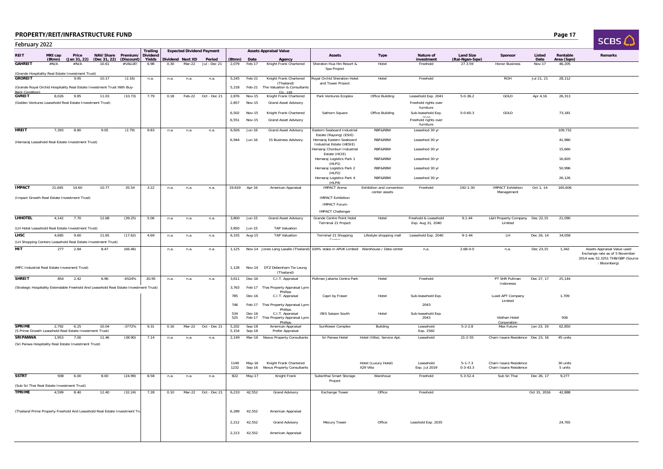| D | Page 17 |
|---|---------|
|---|---------|

| SCBS / |  |  |
|--------|--|--|

| February 2022                                                                                    |                                     |                      |                       |                       |                             |      |                            |                                  |                |                       |                                                                                               |                                                    |                                            |                                           |                           |                                           |                |                      | SCBS LJ                                                            |
|--------------------------------------------------------------------------------------------------|-------------------------------------|----------------------|-----------------------|-----------------------|-----------------------------|------|----------------------------|----------------------------------|----------------|-----------------------|-----------------------------------------------------------------------------------------------|----------------------------------------------------|--------------------------------------------|-------------------------------------------|---------------------------|-------------------------------------------|----------------|----------------------|--------------------------------------------------------------------|
| REIT                                                                                             | MK <sub>t cap</sub>                 | Price                | NAV/Share             | Premium/              | Trailing<br><b>Dividend</b> |      |                            | <b>Expected Dividend Payment</b> |                |                       | <b>Assets Appraisal Value</b>                                                                 | <b>Assets</b>                                      | <b>Type</b>                                | Nature of                                 | <b>Land Size</b>          | Sponsor                                   | Listed         | Rentable             | <b>Remarks</b>                                                     |
| <b>GAHREIT</b>                                                                                   | (Btmn)<br>$\#\mathsf{N}/\mathsf{A}$ | (Jan 31, 22)<br>#N/A | (Dec 31, 22)<br>10.61 | (Discount)<br>#VALUE! | Yields<br>6.98              | 0.30 | Dividend Next XD<br>Mar-22 | Period<br>Jul - Dec 21           | 2,079          | (Btmn) Date<br>Feb-17 | Agency<br>Knight Frank Chartered                                                              | Sheraton Hua Hin Resort &                          | Hotel                                      | investment<br>Freehold                    | (Rai-Ngan-Sqw)<br>27.3.59 | <b>Honor Business</b>                     | Date<br>Nov-17 | Area (Sqm)<br>46,205 |                                                                    |
| (Grande Hospitality Real Estate Investment Trust)                                                |                                     |                      |                       |                       |                             |      |                            |                                  |                |                       |                                                                                               | Spa Project                                        |                                            |                                           |                           |                                           |                |                      |                                                                    |
| <b>GROREIT</b>                                                                                   |                                     | 9.95                 | 10.17                 | (2.16)                | n.a.                        | n.a. | n.a.                       | n.a.                             | 5,245          | Feb-21                | Knight Frank Chartered<br>(Thailand)                                                          | Royal Orchid Sheration Hotel<br>and Tower Proiect  | Hotel                                      | Freehold                                  |                           | ROH                                       | Jul 21, 21     | 28,112               |                                                                    |
| (Grande Royal Orchid Hospitality Real Estate Investment Trust With Buy-<br><b>Back Condition</b> |                                     |                      |                       |                       |                             |      |                            |                                  | 5,218          | Feb-21                | The Valuation & Consultants<br>Co., Ltd                                                       |                                                    |                                            |                                           |                           |                                           |                |                      |                                                                    |
| <b>GVREIT</b>                                                                                    | 8,026                               | 9.85                 | 11.03                 | (10.73)               | 7.79                        | 0.18 | Feb-22                     | Oct - Dec 21                     | 2,876          | Nov-15                | Knight Frank Chartered                                                                        | Park Ventures Ecoplex                              | Office Building                            | Leasehold Exp. 2041                       | $5 - 0 - 36.2$            | GOLD                                      | Apr 4,16       | 26,313               |                                                                    |
| (Golden Ventures Leasehold Real Estate Investment Trust)                                         |                                     |                      |                       |                       |                             |      |                            |                                  | 2,857          | Nov-15                | <b>Grand Asset Advisory</b>                                                                   |                                                    |                                            | Freehold rights over<br>furniture         |                           |                                           |                |                      |                                                                    |
|                                                                                                  |                                     |                      |                       |                       |                             |      |                            |                                  | 6,502          | Nov-15                | Knight Frank Chartered                                                                        | Sathorn Square                                     | Office Building                            | Sub-leasehold Exp.                        | $5 - 0 - 60.3$            | GOLD                                      |                | 73,181               |                                                                    |
|                                                                                                  |                                     |                      |                       |                       |                             |      |                            |                                  | 6,551          | Nov-15                | <b>Grand Asset Advisory</b>                                                                   |                                                    |                                            | Freehold rights over<br>furniture         |                           |                                           |                |                      |                                                                    |
| HREIT                                                                                            | 7.393                               | 8.80                 | 9.05                  | (2.79)                | 9.83                        | n.a. | n.a.                       | n.a.                             | 6,926          | Jun-16                | <b>Grand Asset Advisory</b>                                                                   | Eastern Seaboard Industrial                        | RBF&RBW                                    | Leasehod 30 yr                            |                           |                                           |                | 109,732              |                                                                    |
|                                                                                                  |                                     |                      |                       |                       |                             |      |                            |                                  | 6,944          | Jun-16                | 15 Business Advisory                                                                          | Estate (Rayong) (ESIE)<br>Hemaraj Eastern Seaboard | RBF&RBW                                    | Leasehod 30 yr                            |                           |                                           |                | 41,980               |                                                                    |
| (Hemaraj Leasehold Real Estate Investment Trust)                                                 |                                     |                      |                       |                       |                             |      |                            |                                  |                |                       |                                                                                               | Industrial Estate (HESIE)                          |                                            |                                           |                           |                                           |                |                      |                                                                    |
|                                                                                                  |                                     |                      |                       |                       |                             |      |                            |                                  |                |                       |                                                                                               | Hemaraj Chonburi Industrial<br>Estate (HCIE)       | RBF&RBW                                    | Leasehod 30 yr                            |                           |                                           |                | 15,660               |                                                                    |
|                                                                                                  |                                     |                      |                       |                       |                             |      |                            |                                  |                |                       |                                                                                               | Hemaraj Logistics Park 1                           | RBF&RBW                                    | Leasehod 30 yr                            |                           |                                           |                | 16,820               |                                                                    |
|                                                                                                  |                                     |                      |                       |                       |                             |      |                            |                                  |                |                       |                                                                                               | (HLP1)<br>Hemaraj Logistics Park 2                 | RBF&RBW                                    | Leasehod 30 yr                            |                           |                                           |                | 50.996               |                                                                    |
|                                                                                                  |                                     |                      |                       |                       |                             |      |                            |                                  |                |                       |                                                                                               | (HLP2)<br>Hemaraj Logistics Park 4                 | RBF&RBW                                    | Leasehod 30 yr                            |                           |                                           |                | 26,126               |                                                                    |
|                                                                                                  |                                     |                      |                       |                       |                             |      |                            |                                  |                |                       |                                                                                               | (HLP4)                                             |                                            |                                           |                           |                                           |                |                      |                                                                    |
| <b>IMPACT</b>                                                                                    | 21.645                              | 14.60                | 10.77                 | 35.54                 | 3.22                        | n.a. | n.a.                       | n.a.                             | 19,619         | Apr-16                | American Appraisal                                                                            | <b>IMPACT Arena</b>                                | Exhibition and convention<br>center assets | Freehold                                  | 192-1-30                  | <b>IMPACT Exhibition</b><br>Management    | Oct 1, 14      | 165,606              |                                                                    |
| (Impact Growth Real Estate Investment Trust)                                                     |                                     |                      |                       |                       |                             |      |                            |                                  |                |                       |                                                                                               | <b>IMPACT Exhibition</b>                           |                                            |                                           |                           |                                           |                |                      |                                                                    |
|                                                                                                  |                                     |                      |                       |                       |                             |      |                            |                                  |                |                       |                                                                                               | <b>IMPACT Forum</b>                                |                                            |                                           |                           |                                           |                |                      |                                                                    |
|                                                                                                  |                                     |                      |                       |                       |                             |      |                            |                                  |                |                       |                                                                                               | <b>IMPACT Challenger</b>                           |                                            |                                           |                           |                                           |                |                      |                                                                    |
| <b>LHHOTEL</b>                                                                                   | 4,142                               | 7.70                 | 12.68                 | (39.25)               | 5.06                        | n.a. | n.a.                       | n.a.                             | 3,800          | Jun-15                | Grand Asset Advisory                                                                          | Grande Centre Point Hotel<br>Terminal 21 Project   | Hotel                                      | Freehold & Leasehold<br>Exp. Aug 31, 2040 | 9.1.44                    | L&H Property Company Dec 22,15<br>Limited |                | 21,090               |                                                                    |
| (LH Hotel Leasehold Real Estate Investment Trust)                                                |                                     |                      |                       |                       |                             |      |                            |                                  | 3.850          | Jun-15                | <b>TAP Valuation</b>                                                                          |                                                    |                                            |                                           |                           |                                           |                |                      |                                                                    |
| <b>LHSC</b>                                                                                      | 4,685                               | 9.60                 | 11.65                 | (17.62)               | 4.69                        | n.a. | n.a.                       | n.a.                             | 6,335          | Aug-15                | TAP Valuation                                                                                 | Terminal 21 Shopping<br>0.1111                     | Lifestyle shopping mall                    | Leasehold Exp. 2040                       | $9 - 1 - 44$              | LH.                                       | Dec 26, 14     | 34,058               |                                                                    |
| (LH Shopping Centers Leasehold Real Estate Investment Trust)<br>MIT                              | 277                                 | 2.84                 | 8.47                  | (66.46)               |                             | n.a. | n.a.                       | n.a.                             |                |                       | 1,125 Nov-14 Jones Lang Lasalle (Thailand) 100% stake in APUK Limited Warehouse / Data center |                                                    |                                            | n.a.                                      | $2.68 - 0 - 0$            | n.a.                                      | Dec 23,15      | 1,342                | Assets Appraisal Value used                                        |
|                                                                                                  |                                     |                      |                       |                       |                             |      |                            |                                  |                |                       |                                                                                               |                                                    |                                            |                                           |                           |                                           |                |                      | Exchange rate as of 5 November<br>2014 was 52.3251 THB/GBP (Source |
| (MFC Industrial Real Estate Invesment Trust)                                                     |                                     |                      |                       |                       |                             |      |                            |                                  | 1,128          |                       | Nov-14 DTZ Debenham Tie Leung                                                                 |                                                    |                                            |                                           |                           |                                           |                |                      | Bloomberg)                                                         |
|                                                                                                  |                                     |                      |                       |                       |                             |      |                            |                                  |                |                       | (Thailand)                                                                                    |                                                    |                                            |                                           |                           |                                           |                |                      |                                                                    |
| <b>SHREIT</b>                                                                                    | 854                                 | 2.42                 | 6.96                  | $-6524%$              | 20.95                       | n.a. | n.a.                       | n.a.                             | 3,611          | Dec-16                | C.I.T. Appraisal                                                                              | Pullman Jakarta Centra Park                        | Hotel                                      | Freehold                                  |                           | PT SHR Pullman<br>Indonesia               | Dec 27, 17     | 25.144               |                                                                    |
| (Strategic Hospitality Extendable Freehold And Leasehold Real Estate Investment Trust)           |                                     |                      |                       |                       |                             |      |                            |                                  | 3,763          | Feb-17                | Thai Property Appraisal Lynn<br>Phillips                                                      |                                                    |                                            |                                           |                           |                                           |                |                      |                                                                    |
|                                                                                                  |                                     |                      |                       |                       |                             |      |                            |                                  | 785            | Dec-16                | C.I.T. Appraisal                                                                              | Capri by Fraser                                    | Hotel                                      | Sub-leasehold Exp.                        |                           | Luxel APT Company                         |                | 1,709                |                                                                    |
|                                                                                                  |                                     |                      |                       |                       |                             |      |                            |                                  | 746            | Feb-17                | Thai Property Appraisal Lynn                                                                  |                                                    |                                            | 2043                                      |                           | Limited                                   |                |                      |                                                                    |
|                                                                                                  |                                     |                      |                       |                       |                             |      |                            |                                  | 534            | Dec-16                | Phillips<br>C.I.T. Appraisal                                                                  | <b>IBIS Saigon South</b>                           | Hotel                                      | Sub-leasehold Exp.                        |                           |                                           |                |                      |                                                                    |
|                                                                                                  |                                     |                      |                       |                       |                             |      |                            |                                  | 525            |                       | Feb-17 Thai Property Appraisal Lynn<br>Phillips                                               |                                                    |                                            | 2043                                      |                           | Viethan Hotel<br>Corporation              |                | 936                  |                                                                    |
| <b>SPRIME</b><br>(S Prime Growth Leasehold Real Estate Investment Trust)                         | 2,792                               | 6.25                 | 10.04                 | $-3772%$              | 9.31                        | 0.16 | Mar-22                     | Oct - Dec 21                     | 5,202<br>5.154 | $Sep-18$<br>Sep-18    | American Appraisal<br>Prefer Appraisal                                                        | Sunflower Complex                                  | Building                                   | Leasehold<br>Exp. 2592                    | $5 - 2 - 2.8$             | Max Future                                | Jan 23, 19     | 62,850               |                                                                    |
| <b>SRIPANWA</b>                                                                                  | 1,953                               | 7.00                 | 11.46                 | (38.90)               | 7.14                        | n.a. | n.a.                       | n.a.                             | 2,149          |                       | Mar-16 Nexus Property Consultants                                                             | Sri Panwa Hotel                                    | Hotel (Villa); Service Apt.                | Leasehold                                 | $21 - 2 - 55$             | Charn Issara Residence Dec 23, 16         |                | 45 units             |                                                                    |
| (Sri Panwa Hospitality Real Estate Investment Trust)                                             |                                     |                      |                       |                       |                             |      |                            |                                  |                |                       |                                                                                               |                                                    |                                            |                                           |                           |                                           |                |                      |                                                                    |
|                                                                                                  |                                     |                      |                       |                       |                             |      |                            |                                  |                |                       |                                                                                               |                                                    |                                            |                                           |                           |                                           |                |                      |                                                                    |
|                                                                                                  |                                     |                      |                       |                       |                             |      |                            |                                  | 1149           | May-16                | Knight Frank Chartered                                                                        |                                                    | Hotel (Luxury Hotel)                       | Leasehold                                 | $5 - 1 - 7.3$             | Charn Issara Residence                    |                | 30 units             |                                                                    |
|                                                                                                  |                                     |                      |                       |                       |                             |      |                            |                                  | 1232           | Sep-16                | <b>Nexus Property Consultants</b>                                                             |                                                    | X29 Villa                                  | Exp. Jul 2019                             | $0 - 3 - 43.3$            | Charn Issara Residence                    |                | 5 units              |                                                                    |
| <b>SSTRT</b>                                                                                     | 938                                 | 6.00                 | 8.00                  | (24.99)               | 8.58                        | n.a. | n.a.                       | n.a.                             | 822            | May-17                | Knight Frank                                                                                  | Subsrithai Smart Storage                           | Warehoue                                   | Freehold                                  | $5 - 3 - 52.4$            | Sub Sri Thai                              | Dec 26, 17     | 9,277                |                                                                    |
| (Sub Sri Thai Real Estate Investment Trust)                                                      |                                     |                      |                       |                       |                             |      |                            |                                  |                |                       |                                                                                               | Project                                            |                                            |                                           |                           |                                           |                |                      |                                                                    |
| <b>TPRIME</b>                                                                                    | 4,599                               | 8.40                 | 12.40                 | (32.24)               | 7.28                        | 0.10 | Mar-22                     | Oct - Dec 21                     |                | 6,233 42,552          | <b>Grand Advisory</b>                                                                         | <b>Exchange Tower</b>                              | Office                                     | Freehold                                  |                           |                                           | Oct 31, 2016   | 42.888               |                                                                    |
|                                                                                                  |                                     |                      |                       |                       |                             |      |                            |                                  |                |                       |                                                                                               |                                                    |                                            |                                           |                           |                                           |                |                      |                                                                    |
|                                                                                                  |                                     |                      |                       |                       |                             |      |                            |                                  |                |                       |                                                                                               |                                                    |                                            |                                           |                           |                                           |                |                      |                                                                    |
| (Thailand Prime Property Freehold And Leasehold Real Estate Investment Tru                       |                                     |                      |                       |                       |                             |      |                            |                                  | 6,289          | 42,552                | American Appraisal                                                                            |                                                    |                                            |                                           |                           |                                           |                |                      |                                                                    |
|                                                                                                  |                                     |                      |                       |                       |                             |      |                            |                                  | 2,212          | 42,552                | <b>Grand Advisory</b>                                                                         | Mecury Tower                                       | Office                                     | Leashold Exp. 2035                        |                           |                                           |                | 24,765               |                                                                    |
|                                                                                                  |                                     |                      |                       |                       |                             |      |                            |                                  | 2,213          | 42,552                | American Appraisal                                                                            |                                                    |                                            |                                           |                           |                                           |                |                      |                                                                    |
|                                                                                                  |                                     |                      |                       |                       |                             |      |                            |                                  |                |                       |                                                                                               |                                                    |                                            |                                           |                           |                                           |                |                      |                                                                    |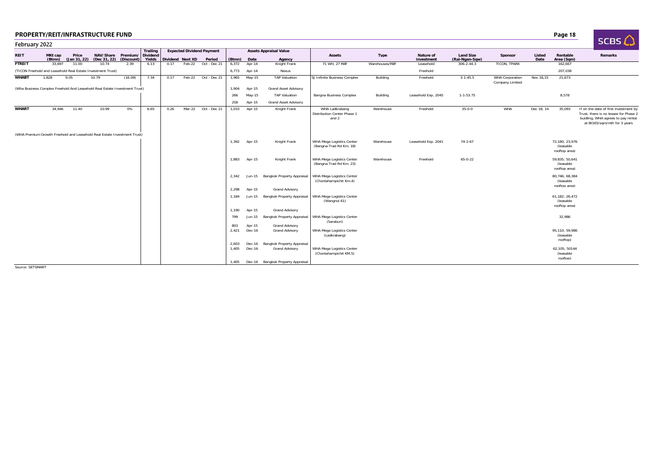| February 2022 |                   |       |                                                                            |            |                           |      |                  |                                  |                         |                  |                                                                                          |                                                        |                |                         |                                    |                                           |                |                                              | <b>SLBS LJ</b>                                                                                                                                       |
|---------------|-------------------|-------|----------------------------------------------------------------------------|------------|---------------------------|------|------------------|----------------------------------|-------------------------|------------------|------------------------------------------------------------------------------------------|--------------------------------------------------------|----------------|-------------------------|------------------------------------|-------------------------------------------|----------------|----------------------------------------------|------------------------------------------------------------------------------------------------------------------------------------------------------|
|               |                   |       |                                                                            |            | Trailing                  |      |                  | <b>Expected Dividend Payment</b> |                         |                  | <b>Assets Appraisal Value</b>                                                            |                                                        |                |                         |                                    |                                           |                |                                              |                                                                                                                                                      |
| <b>REIT</b>   | MKt cap<br>(Btmn) | Price | NAV/Share Premium/<br>(Jan 31, 22) (Dec 31, 22)                            | (Discount) | <b>Dividend</b><br>Yields |      | Dividend Next XD | Period                           | (Btmn)                  | Date             | Agency                                                                                   | <b>Assets</b>                                          | Type           | Nature of<br>investment | <b>Land Size</b><br>(Rai-Ngan-Sqw) | Sponsor                                   | Listed<br>Date | Rentable<br>Area (Sqm)                       | Remarks                                                                                                                                              |
| <b>FTREIT</b> | 33.697            | 11.00 | 10.74                                                                      | 2.39       | 6.13                      | 0.17 | Feb-22           | Oct - Dec 21                     | 6,372                   | Apr-14           | Knight Frank                                                                             | 71 WH, 27 RBF                                          | Warehouses/RBF | Leasehold               | $306 - 2 - 44.3$                   | TICON, TPARK                              |                | 162,667                                      |                                                                                                                                                      |
|               |                   |       | (TICON Freehold and Leasehold Real Estate Investment Trust)                |            |                           |      |                  |                                  | 6,773                   | Apr-14           | Nexus                                                                                    |                                                        |                | Freehold                |                                    |                                           |                | 207,038                                      |                                                                                                                                                      |
| <b>WHABT</b>  | 1,828             | 9.05  | 10.79                                                                      | (16.09)    | 7.34                      | 0.17 | Feb-22           | Oct - Dec 21                     | 1,965                   | May-15           | <b>TAP Valuation</b>                                                                     | SJ Infinite Business Complex                           | Building       | Freehold                | $3 - 1 - 45.5$                     | <b>WHA Corporation</b><br>Company Limited | Nov 16,15      | 21,673                                       |                                                                                                                                                      |
|               |                   |       | (Wha Business Complex Freehold And Leasehold Real Estate Investment Trust) |            |                           |      |                  |                                  | 1,904                   | Apr-15           | Grand Asset Advisory                                                                     |                                                        |                |                         |                                    |                                           |                |                                              |                                                                                                                                                      |
|               |                   |       |                                                                            |            |                           |      |                  |                                  | 266                     | May-15           | <b>TAP Valuation</b>                                                                     | Bangna Business Complex                                | Building       | Leasehold Exp. 2045     | $1 - 1 - 53.75$                    |                                           |                | 8,578                                        |                                                                                                                                                      |
|               |                   |       |                                                                            |            |                           |      |                  |                                  | 258                     | Apr-15           | <b>Grand Asset Advisory</b>                                                              |                                                        |                |                         |                                    |                                           |                |                                              |                                                                                                                                                      |
| <b>WHART</b>  | 34,946            | 11.40 | 10.99                                                                      | 0%         | 6.65                      | 0.26 | Mar-22           | Oct - Dec 21                     | 1,033                   | Apr-15           | Knight Frank                                                                             | WHA Ladkrabang<br>Distribution Center Phase 1<br>and 2 | Warehouse      | Freehold                | $35 - 0 - 0$                       | WHA                                       | Dec 18, 14     | 35,093                                       | If on the date of first investment by<br>Trust, there is no lessee for Phase 2<br>buidling, WHA agrees to pay rental<br>at Bt165/sqm/mth for 3 years |
|               |                   |       | (WHA Premium Growth Freehold and Leasehold Real Estate Investment Trust)   |            |                           |      |                  |                                  |                         |                  |                                                                                          |                                                        |                |                         |                                    |                                           |                |                                              |                                                                                                                                                      |
|               |                   |       |                                                                            |            |                           |      |                  |                                  | 1,392                   | Apr-15           | Knight Frank                                                                             | WHA Mega Logistics Center<br>(Bangna-Trad Rd Km. 18)   | Warehouse      | Leasehold Exp. 2041     | $74 - 2 - 67$                      |                                           |                | 72,180; 23,976<br>(leasable<br>rooftop area) |                                                                                                                                                      |
|               |                   |       |                                                                            |            |                           |      |                  |                                  | 1,883                   | Apr-15           | Knight Frank                                                                             | WHA Mega Logistics Center<br>(Bangna-Trad Rd Km. 23)   | Warehouse      | Freehold                | $65 - 0 - 22$                      |                                           |                | 59,835; 50,641<br>(leasable<br>rooftop area) |                                                                                                                                                      |
|               |                   |       |                                                                            |            |                           |      |                  |                                  | 2,342                   |                  | Jun-15 Bangkok Property Appraisal                                                        | WHA Mega Logistics Center<br>(Chonlaharnpichit Km.4)   |                |                         |                                    |                                           |                | 80.746: 68.384<br>(leasable<br>rooftop area) |                                                                                                                                                      |
|               |                   |       |                                                                            |            |                           |      |                  |                                  | 2,298                   | Apr-15           | Grand Advisory                                                                           |                                                        |                |                         |                                    |                                           |                |                                              |                                                                                                                                                      |
|               |                   |       |                                                                            |            |                           |      |                  |                                  | 1,184<br>1,190          | Jun-15<br>Apr-15 | Bangkok Property Appraisal<br><b>Grand Advisory</b>                                      | WHA Mega Logistics Center<br>(Wangnoi 61)              |                |                         |                                    |                                           |                | 61,182; 26,472<br>(leasable<br>rooftop area) |                                                                                                                                                      |
|               |                   |       |                                                                            |            |                           |      |                  |                                  | 799                     | Jun-15           | <b>Bangkok Property Appraisal</b>                                                        | WHA Mega Logistics Center                              |                |                         |                                    |                                           |                | 32,986                                       |                                                                                                                                                      |
|               |                   |       |                                                                            |            |                           |      |                  |                                  | 803                     | Apr-15           | <b>Grand Advisory</b>                                                                    | (Saraburi)                                             |                |                         |                                    |                                           |                |                                              |                                                                                                                                                      |
|               |                   |       |                                                                            |            |                           |      |                  |                                  | 2,421                   | Dec-16           | <b>Grand Advisory</b>                                                                    | WHA Mega Logistics Center<br>(Ladkrabang)              |                |                         |                                    |                                           |                | 95.110: 59.986<br>(leasable<br>roofton)      |                                                                                                                                                      |
|               |                   |       |                                                                            |            |                           |      |                  |                                  | 2,603<br>1.405<br>1.405 | Dec-16<br>Dec-16 | Bangkok Property Appraisal<br><b>Grand Advisory</b><br>Dec-16 Bangkok Property Appraisal | WHA Mega Logistics Center<br>(Chonlaharnpichit KM.5)   |                |                         |                                    |                                           |                | 62.105: 50144<br>(leasable<br>rooftop)       |                                                                                                                                                      |

Source: SETSMART

D and the contract of the contract of the contract of the contract of the contract of the contract of the contract of the contract of the contract of the contract of the contract of the contract of the contract of the cont

**SCBS**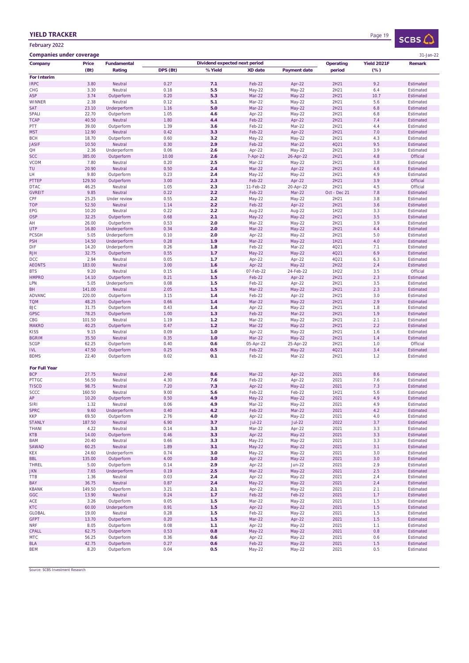## YIELD TRACKER

February 2022

| SCBS. |  |
|-------|--|

| <b>Companies under coverage</b> |                |                          |               |                               |                    |                     |              |                    | 31-Jan-22              |
|---------------------------------|----------------|--------------------------|---------------|-------------------------------|--------------------|---------------------|--------------|--------------------|------------------------|
| Company                         | <b>Price</b>   | <b>Fundamental</b>       |               | Dividend expected next period |                    |                     | Operating    | <b>Yield 2021F</b> | Remark                 |
|                                 | (Bt)           | Rating                   | DPS (Bt)      | %Yield                        | <b>XD</b> date     | <b>Payment date</b> | period       | $(\%)$             |                        |
| For Interim                     |                |                          |               |                               |                    |                     |              |                    |                        |
| <b>IRPC</b>                     | 3.80           | Neutral                  | 0.27          | 7.1                           | Feb-22             | Apr-22              | 2H21         | 9.2                | Estimated              |
| <b>CHG</b>                      | 3.30           | Neutral                  | 0.18          | 5.5                           | May-22             | May-22              | 2H21         | 6.4                | Estimated              |
| <b>ASP</b>                      | 3.74           | Outperform               | 0.20          | 5.3                           | Mar-22             | May-22              | 2H21         | 10.7               | Estimated              |
| <b>WINNER</b>                   | 2.38           | Neutral                  | 0.12          | 5.1                           | Mar-22             | May-22              | 2H21         | 5.6                | Estimated              |
| <b>SAT</b>                      | 23.10          | Underperform             | 1.16          | 5.0                           | Mar-22             | May-22              | 2H21         | 6.8                | Estimated              |
| <b>SPALI</b>                    | 22.70          | Outperform               | 1.05          | 4.6                           | Apr-22             | May-22              | 2H21         | 6.8                | Estimated              |
| <b>TCAP</b>                     | 40.50          | Neutral                  | 1.80          | 4.4                           | Feb-22             | Apr-22              | 2H21         | 7.4                | Estimated              |
| PTT                             | 39.00          | Outperform               | 1.39          | 3.6                           | Feb-22             | Mar-22              | 2H21         | 4.4                | Estimated              |
| <b>MST</b>                      | 12.90          | Neutral                  | 0.42          | 3.3                           | Feb-22             | Apr-22              | 2H21         | 7.0                | Estimated              |
| <b>BCH</b>                      | 18.70          | Outperform               | 0.60          | 3.2                           | May-22             | May-22              | 2H21         | 4.3                | Estimated              |
| <b>JASIF</b>                    | 10.50          | Neutral                  | 0.30          | 2.9                           | Feb-22             | Mar-22              | 4Q21         | 9.5                | Estimated              |
| QH                              | 2.36           | Underperform             | 0.06          | 2.6                           | Apr-22             | May-22              | 2H21         | 3.9                | Estimated              |
| <b>SCC</b><br><b>VCOM</b>       | 385.00<br>7.80 | Outperform<br>Neutral    | 10.00<br>0.20 | 2.6<br>2.5                    | 7-Apr-22<br>Mar-22 | 26-Apr-22<br>May-22 | 2H21<br>2H21 | 4.8<br>3.8         | Official<br>Estimated  |
| TU                              | 20.90          | Neutral                  | 0.50          | 2.4                           | Mar-22             | Apr-22              | 2H21         | 4.6                | Estimated              |
| LH                              | 9.80           | Outperform               | 0.23          | 2.4                           | May-22             | May-22              | 2H21         | 4.9                | Estimated              |
| PTTEP                           | 129.50         | Outperform               | 3.00          | 2.3                           | Feb-22             | Apr-22              | 2H21         | 3.9                | Official               |
| <b>DTAC</b>                     | 46.25          | Neutral                  | 1.05          | 2.3                           | 11-Feb-22          | 20-Apr-22           | 2H21         | 4.5                | Official               |
| <b>GVREIT</b>                   | 9.85           | Neutral                  | 0.22          | 2.2                           | Feb-22             | Mar-22              | Oct - Dec 21 | 7.8                | Estimated              |
| CPF                             | 25.25          | <b>Under review</b>      | 0.55          | 2.2                           | May-22             | May-22              | 2H21         | 3.8                | Estimated              |
| <b>TOP</b>                      | 52.50          | Neutral                  | 1.14          | 2.2                           | Feb-22             | Apr-22              | 2H21         | 3.6                | Estimated              |
| <b>EPG</b>                      | 10.20          | Neutral                  | 0.22          | 2.2                           | Aug-22             | Aug-22              | 1H22         | 3.3                | Estimated              |
| <b>OSP</b>                      | 32.25          | Outperform               | 0.68          | 2.1                           | May-22             | May-22              | 2H21         | 3.5                | Estimated              |
| AH                              | 26.00          | Outperform               | 0.53          | 2.0                           | Mar-22             | May-22              | 2H21         | 3.9                | Estimated              |
| <b>UTP</b>                      | 16.80          | Underperform             | 0.34          | 2.0                           | Mar-22             | May-22              | 2H21         | 4.4                | Estimated              |
| <b>PCSGH</b>                    | 5.05           | Underperform             | 0.10          | 2.0                           | Apr-22             | May-22              | 2H21         | 5.0                | Estimated              |
| <b>PSH</b>                      | 14.50          | Underperform             | 0.28          | 1.9                           | Mar-22             | May-22              | 1H21         | 4.0                | Estimated              |
| <b>DIF</b>                      | 14.20          | Underperform             | 0.26          | 1.8                           | Feb-22             | Mar-22              | 4Q21         | 7.1                | Estimated              |
| <b>RJH</b>                      | 32.75          | Outperform               | 0.55          | 1.7                           | May-22             | May-22              | 4021         | 6.9                | Estimated              |
| <b>DCC</b>                      | 2.94           | Neutral                  | 0.05          | 1.7                           | Apr-22             | Apr-22              | 4Q21         | 6.3                | Estimated              |
| <b>AEONTS</b>                   | 183.00         | Neutral                  | 3.00          | 1.6                           | Apr-22             | May-22              | 2H22         | 2.4                | Estimated              |
| <b>BTS</b>                      | 9.20           | Neutral                  | 0.15          | 1.6                           | 07-Feb-22          | 24-Feb-22           | 1H22         | 3.5                | Official               |
| <b>HMPRO</b>                    | 14.10          | Outperform               | 0.21          | 1.5                           | Feb-22             | Apr-22              | 2H21         | 2.3                | Estimated              |
| LPN                             | 5.05           | Underperform             | 0.08          | 1.5                           | Feb-22             | Apr-22              | 2H21         | 3.5                | Estimated              |
| BH                              | 141.00         | Neutral                  | 2.05          | 1.5                           | Mar-22             | May-22              | 2H21         | 2.3                | Estimated              |
| <b>ADVANC</b>                   | 220.00         | Outperform               | 3.15          | 1.4                           | Feb-22             | Apr-22              | 2H21         | 3.0<br>2.9         | Estimated              |
| <b>TQM</b><br><b>BJC</b>        | 48.25<br>31.75 | Outperform               | 0.66<br>0.43  | 1.4<br>1.4                    | Mar-22             | May-22              | 2H21         | 1.8                | Estimated              |
| <b>GPSC</b>                     | 78.25          | Outperform<br>Outperform | 1.00          | 1.3                           | Apr-22<br>Feb-22   | May-22<br>Mar-22    | 2H21<br>2H21 | 1.9                | Estimated<br>Estimated |
| CBG                             | 101.50         | Neutral                  | 1.19          | $1.2$                         | Mar-22             | May-22              | 2H21         | 2.1                | Estimated              |
| <b>MAKRO</b>                    | 40.25          | Outperform               | 0.47          | $1.2$                         | Mar-22             | May-22              | 2H21         | 2.2                | Estimated              |
| <b>KISS</b>                     | 9.15           | Neutral                  | 0.09          | 1.0                           | Apr-22             | May-22              | 2H21         | 1.6                | Estimated              |
| <b>BGRIM</b>                    | 35.50          | Neutral                  | 0.35          | 1.0                           | Mar-22             | May-22              | 2H21         | 1.4                | Estimated              |
| <b>SCGP</b>                     | 62.25          | Outperform               | 0.40          | 0.6                           | 05-Apr-22          | 25-Apr-22           | 2H21         | 1.0                | Official               |
| <b>IVL</b>                      | 47.50          | Outperform               | 0.25          | 0.5                           | Feb-22             | May-22              | 4Q21         | 3.4                | Estimated              |
| <b>BDMS</b>                     | 22.40          | Outperform               | 0.02          | 0.1                           | Feb-22             | Mar-22              | 2H21         | 1.2                | Estimated              |
|                                 |                |                          |               |                               |                    |                     |              |                    |                        |
| <b>For Full Year</b>            |                |                          |               |                               |                    |                     |              |                    |                        |
| <b>BCP</b>                      | 27.75          | Neutral                  | 2.40          | 8.6                           | Mar-22             | Apr-22              | 2021         | 8.6                | Estimated              |
| <b>PTTGC</b>                    | 56.50          | Neutral                  | 4.30          | 7.6                           | Feb-22             | Apr-22              | 2021         | 7.6                | Estimated              |
| <b>TISCO</b>                    | 98.75          | Neutral                  | 7.20          | 7.3                           | Apr-22             | <b>May-22</b>       | 2021         | 7.3                | Estimated              |
| <b>SCCC</b>                     | 160.50         | Neutral                  | 9.00          | 5.6                           | Feb-22             | Feb-22              | 1H21         | 5.6                | Estimated              |
| AP                              | 10.20          | Outperform               | 0.50          | 4.9                           | May-22             | May-22              | 2021         | 4.9                | Estimated              |
| siri                            | 1.32           | Neutral                  | 0.06          | 4.9                           | Mar-22             | May-22              | 2021         | 4.9                | Estimated              |
| <b>SPRC</b>                     | 9.60           | Underperform             | 0.40          | 4.2                           | Feb-22             | Mar-22              | 2021         | 4.2                | Estimated              |
| <b>KKP</b>                      | 69.50          | Outperform               | 2.76          | 4.0                           | Apr-22             | May-22              | 2021         | 4.0                | Estimated              |
| <b>STANLY</b><br><b>THANI</b>   | 187.50         | Neutral<br>Neutral       | 6.90<br>0.14  | 3.7                           | $Jul-22$           | $Jul-22$            | 2022         | 3.7                | Estimated<br>Estimated |
| <b>KTB</b>                      | 4.22<br>14.00  | Outperform               | 0.46          | 3.3<br>3.3                    | Mar-22<br>Apr-22   | Apr-22              | 2021<br>2021 | 3.3<br>3.3         | Estimated              |
| <b>BAM</b>                      | 20.40          | Neutral                  | 0.66          | 3.3                           | May-22             | May-22<br>May-22    | 2021         | 3.3                | Estimated              |
| SAWAD                           | 60.25          | Neutral                  | 1.89          | 3.1                           | May-22             | May-22              | 2021         | 3.1                | Estimated              |
| <b>KEX</b>                      | 24.60          | Underperform             | 0.74          | $3.0\,$                       | May-22             | May-22              | 2021         | 3.0                | Estimated              |
| <b>BBL</b>                      | 135.00         | Outperform               | 4.00          | 3.0                           | Apr-22             | May-22              | 2021         | 3.0                | Estimated              |
| <b>THREL</b>                    | 5.00           | Outperform               | 0.14          | 2.9                           | Apr-22             | <b>Jun-22</b>       | 2021         | 2.9                | Estimated              |
| <b>JKN</b>                      | 7.65           | Underperform             | 0.19          | 2.5                           | Mar-22             | May-22              | 2021         | 2.5                | Estimated              |
| <b>TTB</b>                      | 1.36           | Neutral                  | 0.03          | 2.4                           | Apr-22             | May-22              | 2021         | 2.4                | Estimated              |
| BAY                             | 36.75          | Neutral                  | 0.87          | 2.4                           | May-22             | May-22              | 2021         | 2.4                | Estimated              |
| <b>KBANK</b>                    | 149.50         | Outperform               | 3.21          | 2.1                           | Apr-22             | May-22              | 2021         | 2.1                | Estimated              |
| GGC                             | 13.90          | Neutral                  | 0.24          | $1.7$                         | Feb-22             | Feb-22              | 2021         | 1.7                | Estimated              |
| ACE                             | 3.26           | Outperform               | 0.05          | $1.5$                         | Mar-22             | May-22              | 2021         | 1.5                | Estimated              |
| <b>KTC</b>                      | 60.00          | Underperform             | 0.91          | $1.5$                         | Apr-22             | May-22              | 2021         | 1.5                | Estimated              |
| <b>GLOBAL</b>                   | 19.00          | Neutral                  | 0.28          | $1.5$                         | Feb-22             | May-22              | 2021         | 1.5                | Estimated              |
| <b>GFPT</b>                     | 13.70          | Outperform               | 0.20          | $1.5$                         | Mar-22             | Apr-22              | 2021         | 1.5                | Estimated              |
| <b>NRF</b>                      | 8.05           | Outperform               | 0.08          | 1.1                           | Apr-22             | May-22              | 2021         | 1.1                | Estimated              |
| CPALL                           | 62.75          | Outperform               | 0.53          | 0.8                           | May-22             | May-22              | 2021         | 0.8                | Estimated              |
| <b>MTC</b>                      | 56.25          | Outperform               | 0.36          | 0.6                           | Apr-22             | May-22              | 2021         | 0.6                | Estimated              |
| <b>BLA</b>                      | 42.75          | Outperform               | 0.27          | 0.6                           | Feb-22             | May-22              | 2021         | 1.5                | Estimated              |
| <b>BEM</b>                      | 8.20           | Outperform               | 0.04          | 0.5                           | May-22             | May-22              | 2021         | 0.5                | Estimated              |

Source: SCBS Investment Research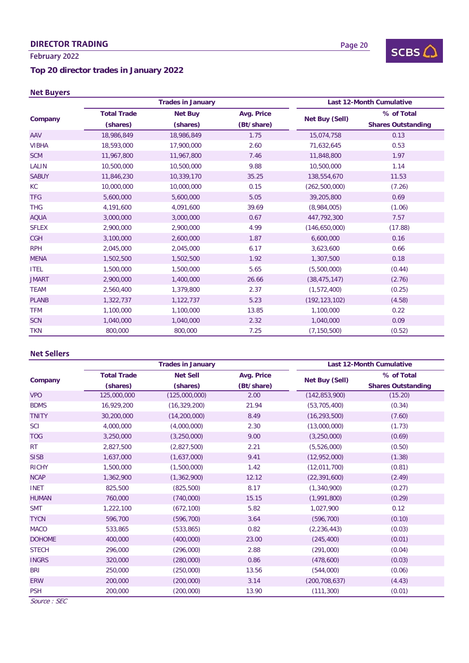# DIRECTOR TRADING

# February 2022

# **Top 20 director trades in January 2022**

# Net Buyers

|              |                    | <b>Trades in January</b> |            |                 | <b>Last 12-Month Cumulative</b> |
|--------------|--------------------|--------------------------|------------|-----------------|---------------------------------|
|              | <b>Total Trade</b> | <b>Net Buy</b>           | Avg. Price | Net Buy (Sell)  | % of Total                      |
| Company      | (shares)           | (shares)                 | (Bt/share) |                 | <b>Shares Outstanding</b>       |
| AAV          | 18,986,849         | 18,986,849               | 1.75       | 15,074,758      | 0.13                            |
| <b>VIBHA</b> | 18,593,000         | 17,900,000               | 2.60       | 71,632,645      | 0.53                            |
| <b>SCM</b>   | 11,967,800         | 11,967,800               | 7.46       | 11,848,800      | 1.97                            |
| LALIN        | 10,500,000         | 10,500,000               | 9.88       | 10,500,000      | 1.14                            |
| <b>SABUY</b> | 11,846,230         | 10,339,170               | 35.25      | 138,554,670     | 11.53                           |
| <b>KC</b>    | 10,000,000         | 10,000,000               | 0.15       | (262, 500, 000) | (7.26)                          |
| <b>TFG</b>   | 5,600,000          | 5,600,000                | 5.05       | 39,205,800      | 0.69                            |
| <b>THG</b>   | 4,191,600          | 4,091,600                | 39.69      | (8,984,005)     | (1.06)                          |
| <b>AQUA</b>  | 3,000,000          | 3,000,000                | 0.67       | 447,792,300     | 7.57                            |
| <b>SFLEX</b> | 2,900,000          | 2,900,000                | 4.99       | (146,650,000)   | (17.88)                         |
| <b>CGH</b>   | 3,100,000          | 2,600,000                | 1.87       | 6,600,000       | 0.16                            |
| <b>RPH</b>   | 2,045,000          | 2,045,000                | 6.17       | 3,623,600       | 0.66                            |
| <b>MENA</b>  | 1,502,500          | 1,502,500                | 1.92       | 1,307,500       | 0.18                            |
| <b>ITEL</b>  | 1,500,000          | 1,500,000                | 5.65       | (5,500,000)     | (0.44)                          |
| <b>JMART</b> | 2,900,000          | 1,400,000                | 26.66      | (38, 475, 147)  | (2.76)                          |
| <b>TEAM</b>  | 2,560,400          | 1,379,800                | 2.37       | (1,572,400)     | (0.25)                          |
| <b>PLANB</b> | 1,322,737          | 1,122,737                | 5.23       | (192, 123, 102) | (4.58)                          |
| <b>TFM</b>   | 1,100,000          | 1,100,000                | 13.85      | 1,100,000       | 0.22                            |
| <b>SCN</b>   | 1,040,000          | 1,040,000                | 2.32       | 1,040,000       | 0.09                            |
| <b>TKN</b>   | 800,000            | 800,000                  | 7.25       | (7, 150, 500)   | (0.52)                          |

### Net Sellers

|               |                    | <b>Trades in January</b> |                   |                 | <b>Last 12-Month Cumulative</b> |
|---------------|--------------------|--------------------------|-------------------|-----------------|---------------------------------|
| Company       | <b>Total Trade</b> | <b>Net Sell</b>          | <b>Avg. Price</b> | Net Buy (Sell)  | % of Total                      |
|               | (shares)           | (shares)                 | (Bt/share)        |                 | <b>Shares Outstanding</b>       |
| <b>VPO</b>    | 125,000,000        | (125,000,000)            | 2.00              | (142, 853, 900) | (15.20)                         |
| <b>BDMS</b>   | 16,929,200         | (16, 329, 200)           | 21.94             | (53, 705, 400)  | (0.34)                          |
| <b>TNITY</b>  | 30,200,000         | (14, 200, 000)           | 8.49              | (16, 293, 500)  | (7.60)                          |
| <b>SCI</b>    | 4,000,000          | (4,000,000)              | 2.30              | (13,000,000)    | (1.73)                          |
| <b>TOG</b>    | 3,250,000          | (3,250,000)              | 9.00              | (3,250,000)     | (0.69)                          |
| RT            | 2,827,500          | (2,827,500)              | 2.21              | (5,526,000)     | (0.50)                          |
| <b>SISB</b>   | 1,637,000          | (1,637,000)              | 9.41              | (12,952,000)    | (1.38)                          |
| <b>RICHY</b>  | 1,500,000          | (1,500,000)              | 1.42              | (12,011,700)    | (0.81)                          |
| <b>NCAP</b>   | 1,362,900          | (1,362,900)              | 12.12             | (22, 391, 600)  | (2.49)                          |
| <b>INET</b>   | 825,500            | (825, 500)               | 8.17              | (1,340,900)     | (0.27)                          |
| <b>HUMAN</b>  | 760,000            | (740,000)                | 15.15             | (1,991,800)     | (0.29)                          |
| <b>SMT</b>    | 1,222,100          | (672, 100)               | 5.82              | 1,027,900       | 0.12                            |
| <b>TYCN</b>   | 596,700            | (596, 700)               | 3.64              | (596, 700)      | (0.10)                          |
| <b>MACO</b>   | 533,865            | (533, 865)               | 0.82              | (2, 236, 443)   | (0.03)                          |
| <b>DOHOME</b> | 400,000            | (400,000)                | 23.00             | (245, 400)      | (0.01)                          |
| <b>STECH</b>  | 296,000            | (296,000)                | 2.88              | (291,000)       | (0.04)                          |
| <b>INGRS</b>  | 320,000            | (280,000)                | 0.86              | (478,600)       | (0.03)                          |
| <b>BRI</b>    | 250,000            | (250,000)                | 13.56             | (544,000)       | (0.06)                          |
| <b>ERW</b>    | 200,000            | (200,000)                | 3.14              | (200, 708, 637) | (4.43)                          |
| <b>PSH</b>    | 200,000            | (200,000)                | 13.90             | (111, 300)      | (0.01)                          |

Source : SEC



 $SCBS$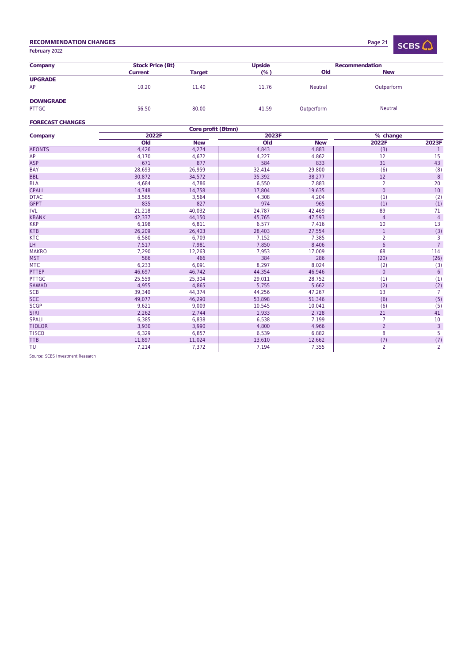### RECOMMENDATION CHANGES

Page 21 $SCBS$ 

| Company              | Stock Price (Bt) |               | <b>Upside</b> |            | Recommendation |  |
|----------------------|------------------|---------------|---------------|------------|----------------|--|
|                      | <b>Current</b>   | <b>Target</b> | $(\%)$        | Old        | <b>New</b>     |  |
| <b>UPGRADE</b><br>AP | 10.20            | 11.40         | 11.76         | Neutral    | Outperform     |  |
|                      |                  |               |               |            |                |  |
| <b>DOWNGRADE</b>     |                  |               |               |            |                |  |
| <b>PTTGC</b>         | 56.50            | 80.00         | 41.59         | Outperform | <b>Neutral</b> |  |

#### **FORECAST CHANGES**

February 2022

|                |        | Core profit (Btmn) |        |            |                |                |
|----------------|--------|--------------------|--------|------------|----------------|----------------|
| Company        | 2022F  |                    | 2023F  |            | % change       |                |
|                | Old    | <b>New</b>         | Old    | <b>New</b> | 2022F          | 2023F          |
| <b>AEONTS</b>  | 4,426  | 4,274              | 4,843  | 4,883      | (3)            | $\overline{1}$ |
| AP             | 4,170  | 4,672              | 4,227  | 4,862      | 12             | 15             |
| <b>ASP</b>     | 671    | 877                | 584    | 833        | 31             | 43             |
| <b>BAY</b>     | 28,693 | 26,959             | 32,414 | 29,800     | (6)            | (8)            |
| <b>BBL</b>     | 30,872 | 34,572             | 35,392 | 38,277     | 12             | 8              |
| <b>BLA</b>     | 4,684  | 4,786              | 6,550  | 7,883      | $\overline{2}$ | 20             |
| <b>CPALL</b>   | 14,748 | 14,758             | 17,804 | 19,635     | $\mathbf 0$    | 10             |
| <b>DTAC</b>    | 3,585  | 3,564              | 4,308  | 4,204      | (1)            | (2)            |
| <b>GFPT</b>    | 835    | 827                | 974    | 965        | (1)            | (1)            |
| <b>IVL</b>     | 21,218 | 40,032             | 24,787 | 42,469     | 89             | 71             |
| <b>KBANK</b>   | 42,337 | 44,150             | 45,765 | 47,593     | 4              | $\overline{4}$ |
| <b>KKP</b>     | 6,198  | 6,811              | 6,577  | 7,416      | 10             | 13             |
| <b>KTB</b>     | 26,209 | 26,403             | 28,403 | 27,554     | $\mathbf{1}$   | (3)            |
| <b>KTC</b>     | 6,580  | 6,709              | 7,152  | 7,385      | $\overline{2}$ | 3              |
| LH <sub></sub> | 7,517  | 7,981              | 7,850  | 8,406      | 6              | $\overline{7}$ |
| <b>MAKRO</b>   | 7,290  | 12,263             | 7,953  | 17,009     | 68             | 114            |
| <b>MST</b>     | 586    | 466                | 384    | 286        | (20)           | (26)           |
| <b>MTC</b>     | 6,233  | 6,091              | 8,297  | 8,024      | (2)            | (3)            |
| <b>PTTEP</b>   | 46,697 | 46,742             | 44,354 | 46,946     | $\pmb{0}$      | 6              |
| <b>PTTGC</b>   | 25,559 | 25,304             | 29,011 | 28,752     | (1)            | (1)            |
| <b>SAWAD</b>   | 4,955  | 4,865              | 5,755  | 5,662      | (2)            | (2)            |
| <b>SCB</b>     | 39,340 | 44,374             | 44,256 | 47,267     | 13             | $\overline{7}$ |
| <b>SCC</b>     | 49,077 | 46,290             | 53,898 | 51,346     | (6)            | (5)            |
| <b>SCGP</b>    | 9,621  | 9,009              | 10,545 | 10,041     | (6)            | (5)            |
| <b>SIRI</b>    | 2,262  | 2,744              | 1,933  | 2,728      | 21             | 41             |
| <b>SPALI</b>   | 6,385  | 6,838              | 6,538  | 7,199      | $\overline{7}$ | 10             |
| <b>TIDLOR</b>  | 3,930  | 3,990              | 4,800  | 4,966      | $\overline{2}$ | $\overline{3}$ |
| <b>TISCO</b>   | 6,329  | 6,857              | 6,539  | 6,882      | 8              | 5              |
| <b>TTB</b>     | 11,897 | 11,024             | 13,610 | 12,662     | (7)            | (7)            |
| TU             | 7,214  | 7,372              | 7,194  | 7,355      | $\overline{2}$ | $\overline{2}$ |

Source: SCBS Investment Research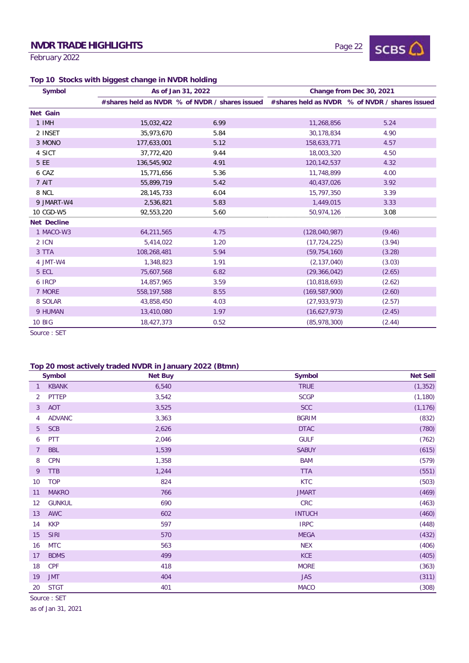# NVDR TRADE HIGHLIGHTS

February 2022

# Page 22



# **Top 10 Stocks with biggest change in NVDR holding**

| <b>Symbol</b>      |              | As of Jan 31, 2022                             |                 | Change from Dec 30, 2021                       |
|--------------------|--------------|------------------------------------------------|-----------------|------------------------------------------------|
|                    |              | #shares held as NVDR % of NVDR / shares issued |                 | #shares held as NVDR % of NVDR / shares issued |
| <b>Net Gain</b>    |              |                                                |                 |                                                |
| 1 IMH              | 15,032,422   | 6.99                                           | 11,268,856      | 5.24                                           |
| 2 INSET            | 35.973.670   | 5.84                                           | 30.178.834      | 4.90                                           |
| 3 MONO             | 177,633,001  | 5.12                                           | 158,633,771     | 4.57                                           |
| 4 SICT             | 37,772,420   | 9.44                                           | 18,003,320      | 4.50                                           |
| 5 EE               | 136,545,902  | 4.91                                           | 120,142,537     | 4.32                                           |
| 6 CAZ              | 15,771,656   | 5.36                                           | 11,748,899      | 4.00                                           |
| 7 AIT              | 55,899,719   | 5.42                                           | 40,437,026      | 3.92                                           |
| 8 NCL              | 28, 145, 733 | 6.04                                           | 15,797,350      | 3.39                                           |
| 9 JMART-W4         | 2,536,821    | 5.83                                           | 1.449.015       | 3.33                                           |
| 10 CGD-W5          | 92,553,220   | 5.60                                           | 50,974,126      | 3.08                                           |
| <b>Net Decline</b> |              |                                                |                 |                                                |
| 1 MACO-W3          | 64,211,565   | 4.75                                           | (128,040,987)   | (9.46)                                         |
| 2 ICN              | 5,414,022    | 1.20                                           | (17, 724, 225)  | (3.94)                                         |
| 3 TTA              | 108,268,481  | 5.94                                           | (59, 754, 160)  | (3.28)                                         |
| 4 JMT-W4           | 1,348,823    | 1.91                                           | (2, 137, 040)   | (3.03)                                         |
| 5 ECL              | 75,607,568   | 6.82                                           | (29, 366, 042)  | (2.65)                                         |
| 6 IRCP             | 14,857,965   | 3.59                                           | (10,818,693)    | (2.62)                                         |
| 7 MORE             | 558,197,588  | 8.55                                           | (169, 587, 900) | (2.60)                                         |
| 8 SOLAR            | 43,858,450   | 4.03                                           | (27, 933, 973)  | (2.57)                                         |
| 9 HUMAN            | 13,410,080   | 1.97                                           | (16,627,973)    | (2.45)                                         |
| <b>10 BIG</b>      | 18,427,373   | 0.52                                           | (85,978,300)    | (2.44)                                         |

Source : SET

# **Top 20 most actively traded NVDR in January 2022 (Btmn)**

|                | <b>Symbol</b> | <b>Net Buy</b> | Symbol        | <b>Net Sell</b> |
|----------------|---------------|----------------|---------------|-----------------|
| $\mathbf{1}$   | <b>KBANK</b>  | 6,540          | <b>TRUE</b>   | (1, 352)        |
| $\overline{2}$ | <b>PTTEP</b>  | 3,542          | <b>SCGP</b>   | (1, 180)        |
| $\mathbf{3}$   | <b>AOT</b>    | 3,525          | <b>SCC</b>    | (1, 176)        |
| 4              | <b>ADVANC</b> | 3,363          | <b>BGRIM</b>  | (832)           |
| 5 <sup>5</sup> | <b>SCB</b>    | 2,626          | <b>DTAC</b>   | (780)           |
| 6              | PTT           | 2,046          | <b>GULF</b>   | (762)           |
| $\overline{7}$ | <b>BBL</b>    | 1,539          | <b>SABUY</b>  | (615)           |
| 8              | <b>CPN</b>    | 1,358          | <b>BAM</b>    | (579)           |
| 9              | <b>TTB</b>    | 1,244          | <b>TTA</b>    | (551)           |
| 10             | <b>TOP</b>    | 824            | <b>KTC</b>    | (503)           |
| 11             | <b>MAKRO</b>  | 766            | <b>JMART</b>  | (469)           |
| 12             | <b>GUNKUL</b> | 690            | CRC           | (463)           |
| 13             | <b>AWC</b>    | 602            | <b>INTUCH</b> | (460)           |
| 14             | <b>KKP</b>    | 597            | <b>IRPC</b>   | (448)           |
| 15             | <b>SIRI</b>   | 570            | <b>MEGA</b>   | (432)           |
| 16             | <b>MTC</b>    | 563            | <b>NEX</b>    | (406)           |
| 17             | <b>BDMS</b>   | 499            | <b>KCE</b>    | (405)           |
| 18             | <b>CPF</b>    | 418            | <b>MORE</b>   | (363)           |
| 19             | <b>JMT</b>    | 404            | <b>JAS</b>    | (311)           |
| 20             | <b>STGT</b>   | 401            | <b>MACO</b>   | (308)           |

Source : SET

as of Jan 31, 2021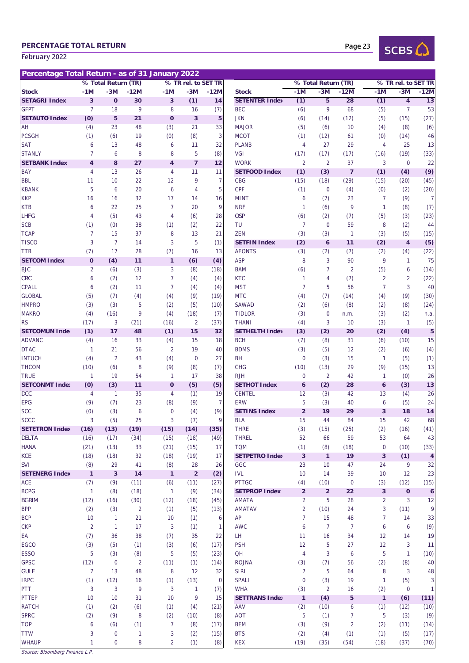# PERCENTAGE TOTAL RETURN

February 2022

Page 23



| Percentage Total Return - as of 31 January 2022 |                |                     |                |                         |                         |                |                             |                |                      |                |                |                     |                  |
|-------------------------------------------------|----------------|---------------------|----------------|-------------------------|-------------------------|----------------|-----------------------------|----------------|----------------------|----------------|----------------|---------------------|------------------|
|                                                 |                | % Total Return (TR) |                |                         | % TR rel. to SET TR     |                |                             |                | % Total Return (TR)  |                |                | % TR rel. to SET TR |                  |
| <b>Stock</b>                                    | $-1M$          | $-3M$               | $-12M$         | $-1M$                   | $-3M$                   | $-12M$         | <b>Stock</b>                | $-1M$          | $-3M$                | $-12M$         | $-1M$          | $-3M$               | $-12M$           |
| <b>SETAGRI Index</b>                            | 3              | $\mathbf 0$         | 30             | 3                       | (1)                     | 14             | <b>SETENTER Index</b>       | (1)            | 5                    | 28             | (1)            | $\overline{4}$      | 13               |
| <b>GFPT</b>                                     | $\overline{7}$ | 18                  | 9              | 8                       | 16                      | (7)            | <b>BEC</b>                  | (6)            | 9                    | 68             | (5)            | 7                   | 53               |
| <b>SETAUTO Index</b>                            | (0)            | 5                   | 21             | $\mathbf 0$             | $\overline{\mathbf{3}}$ | 5              | <b>JKN</b>                  | (6)            | (14)                 | (12)           | (5)            | (15)                | (27)             |
| AH                                              | (4)            | 23                  | 48             | (3)                     | 21                      | 33             | <b>MAJOR</b>                | (5)            | (6)                  | 10             | (4)            | (8)                 | (6)              |
| <b>PCSGH</b>                                    | (1)            | (6)                 | 19             | (0)                     | (8)                     | 3              | <b>MCOT</b>                 | (1)            | (12)                 | 61             | (0)            | (14)                | 46               |
| <b>SAT</b>                                      | 6              | 13                  | 48             | 6                       | 11                      | 32             | <b>PLANB</b>                | $\overline{4}$ | 27                   | 29             | 4              | 25                  | 13               |
| <b>STANLY</b>                                   | $\overline{7}$ | 6                   | 8              | 8                       | 5                       | (8)            | VGI                         | (17)           | (17)                 | (17)           | (16)           | (19)                | (33)             |
| <b>SETBANK Index</b>                            | $\overline{4}$ | 8                   | 27             | $\overline{\mathbf{4}}$ | $\overline{7}$          | 12             | <b>WORK</b>                 | 2              | 2                    | 37             | 3              | $\overline{0}$      | 22               |
| <b>BAY</b>                                      | 4              | 13                  | 26             | $\overline{4}$          | 11                      | 11             | <b>SETFOOD Index</b>        | (1)            | (3)                  | $\overline{7}$ | (1)            | (4)                 | (9)              |
| <b>BBL</b>                                      | 11             | 10                  | 22             | 12                      | 9                       | $\overline{7}$ | CBG                         | (15)           | (18)                 | (29)           | (15)           | (20)                | (45)             |
| <b>KBANK</b>                                    | 5              | 6                   | 20             | 6                       | 4                       | 5              | <b>CPF</b>                  | (1)            | $\mathbf 0$          | (4)            | (0)            | (2)                 | (20)             |
| <b>KKP</b>                                      | 16             | 16                  | 32             | 17                      | 14                      | 16             | <b>MINT</b>                 | 6              | (7)                  | 23             | $\overline{7}$ | (9)                 | 7                |
| <b>KTB</b>                                      | 6              | 22                  | 25             | $\overline{7}$          | 20                      | 9              | <b>NRF</b>                  | $\mathbf{1}$   | (6)                  | 9              | 1              | (8)                 | (7)              |
| <b>LHFG</b>                                     | $\overline{4}$ | (5)                 | 43             | 4                       | (6)                     | 28             | <b>OSP</b>                  | (6)            | (2)                  | (7)            | (5)            | (3)                 | (23)             |
| <b>SCB</b>                                      | (1)            | (0)                 | 38             | (1)                     | (2)                     | 22             | TU                          | $\overline{7}$ | $\overline{0}$       | 59             | 8              | (2)                 | 44               |
| <b>TCAP</b>                                     | $\overline{7}$ | 15                  | 37             | 8                       | 13                      | 21             | <b>ZEN</b>                  | (3)            | (3)                  | $\overline{1}$ | (3)            | (5)                 | (15)             |
| <b>TISCO</b>                                    | 3              | $\overline{7}$      | 14             | 3                       | 5                       | (1)            | <b>SETFIN Index</b>         | (2)            | $\mathbf 6$          | 11             | (2)            | $\overline{4}$      | (5)              |
| <b>TTB</b>                                      | (7)            | 17                  | 28             | (7)                     | 16                      | 13             | <b>AEONTS</b>               | (3)            | (2)                  | (7)            | (2)            | (4)                 | (22)             |
| <b>SETCOM Index</b>                             | $\mathbf 0$    | (4)                 | 11             | $\mathbf{1}$            | (6)                     | (4)            | <b>ASP</b>                  | 8              | 3                    | 90             | 9              | 1                   | 75               |
| <b>BJC</b>                                      | 2              | (6)                 | (3)            | 3                       | (8)                     | (18)           | <b>BAM</b>                  | (6)            | $\overline{7}$       | $\overline{2}$ | (5)            | 6                   | (14)             |
| <b>CRC</b>                                      | 6              | (2)                 | 12             | $\overline{7}$          | (4)                     | (4)            | <b>KTC</b>                  | $\mathbf{1}$   | $\overline{4}$       | (7)            | $\overline{2}$ | $\overline{2}$      | (22)             |
| <b>CPALL</b><br><b>GLOBAL</b>                   | 6              | (2)                 | 11             | $\overline{7}$          | (4)                     | (4)<br>(19)    | <b>MST</b>                  | 7              | 5                    | 56             | $\overline{7}$ | 3                   | 40               |
| <b>HMPRO</b>                                    | (5)            | (7)<br>(3)          | (4)<br>5       | (4)                     | (9)                     | (10)           | <b>MTC</b><br><b>SAWAD</b>  | (4)            | (7)                  | (14)<br>(8)    | (4)            | (9)<br>(8)          | (30)<br>(24)     |
| <b>MAKRO</b>                                    | (3)<br>(4)     | (16)                | 9              | (2)<br>(4)              | (5)<br>(18)             | (7)            | <b>TIDLOR</b>               | (2)<br>(3)     | (6)<br>$\mathbf 0$   | n.m.           | (2)<br>(3)     | (2)                 | n.a.             |
| <b>RS</b>                                       | (17)           | 3                   | (21)           | (16)                    | $\overline{2}$          | (37)           | THANI                       | (4)            | 3                    | 10             | (3)            | $\mathbf{1}$        | (5)              |
| <b>SETCOMUN Inde:</b>                           | (1)            | 17                  | 48             | (1)                     | 15                      | 32             | <b>SETHELTH Index</b>       | (3)            | (2)                  | 20             | (2)            | (4)                 | 5                |
| <b>ADVANC</b>                                   | (4)            | 16                  | 33             | (4)                     | 15                      | 18             | <b>BCH</b>                  | (7)            | (8)                  | 31             | (6)            | (10)                | 15               |
| <b>DTAC</b>                                     | $\mathbf{1}$   | 21                  | 56             | $\overline{2}$          | 19                      | 40             | <b>BDMS</b>                 | (3)            | (5)                  | 12             | (2)            | (6)                 | (4)              |
| <b>INTUCH</b>                                   | (4)            | $\overline{2}$      | 43             | (4)                     | $\overline{0}$          | 27             | <b>BH</b>                   | $\overline{0}$ | (3)                  | 15             | 1              | (5)                 | (1)              |
| <b>THCOM</b>                                    | (10)           | (6)                 | 8              | (9)                     | (8)                     | (7)            | <b>CHG</b>                  | (10)           | (13)                 | 29             | (9)            | (15)                | 13               |
| <b>TRUE</b>                                     | $\mathbf{1}$   | 19                  | 54             | $\mathbf{1}$            | 17                      | 38             | <b>RJH</b>                  | $\mathbf{0}$   | $\overline{2}$       | 42             | $\mathbf{1}$   | (0)                 | 26               |
| <b>SETCONMT Index</b>                           | (0)            | (3)                 | 11             | $\mathbf 0$             | (5)                     | (5)            | <b>SETHOT Index</b>         | 6              | (2)                  | 28             | 6              | (3)                 | 13               |
| <b>DCC</b>                                      | 4              | $\mathbf{1}$        | 35             | $\overline{4}$          | (1)                     | 19             | <b>CENTEL</b>               | 12             | (3)                  | 42             | 13             | (4)                 | 26               |
| <b>EPG</b>                                      | (9)            | (7)                 | 23             | (8)                     | (9)                     | $\overline{7}$ | <b>ERW</b>                  | 5              | (3)                  | 40             | 6              | (5)                 | 24               |
| <b>SCC</b>                                      | (0)            | (3)                 | 6              | $\mathbf 0$             | (4)                     | (9)            | <b>SETINS Index</b>         | $\overline{2}$ | 19                   | 29             | 3              | 18                  | 14               |
| SCCC                                            | 3              | (5)                 | 25             | 3                       | (7)                     | 9              | <b>BLA</b>                  | 15             | 44                   | 84             | 15             | 42                  | 68               |
| <b>SETETRON Index</b>                           | (16)           | (13)                | (19)           | (15)                    | (14)                    | (35)           | <b>THRE</b>                 | (3)            | (15)                 | (25)           | (2)            | (16)                | (41)             |
| <b>DELTA</b>                                    | (16)           | (17)                | (34)           | (15)                    | (18)                    | (49)           | <b>THREL</b>                | 52             | 66                   | 59             | 53             | 64                  | 43               |
| <b>HANA</b>                                     | (21)           | (13)                | 33             | (21)                    | (15)                    | 17             | <b>TQM</b>                  | (1)            | (8)                  | (18)           | $\mathbf 0$    | (10)                | (33)             |
| KCE                                             | (18)           | (18)                | 32             | (18)                    | (19)                    | 17             | <b>SETPETRO Index</b>       | $\mathbf{3}$   | $\mathbf{1}$         | 19             | 3              | (1)                 | $\overline{4}$   |
| <b>SVI</b>                                      | (8)            | 29                  | 41             | (8)                     | 28                      | 26             | GGC                         | 23             | 10                   | 47             | 24             | 9                   | 32               |
| <b>SETENERG Index</b>                           | $\mathbf{1}$   | $\mathbf{3}$        | 14             | $\mathbf{1}$            | $\overline{2}$          | (2)            | $\ensuremath{\mathsf{IVL}}$ | 10             | 14                   | 39             | 10             | 12                  | 23               |
| ACE                                             | (7)            | (9)                 | (11)           | (6)                     | (11)                    | (27)           | <b>PTTGC</b>                | (4)            | (10)                 | $\overline{0}$ | (3)            | (12)                | (15)             |
| <b>BCPG</b>                                     | $\mathbf{1}$   | (8)                 | (18)           | $\mathbf{1}$            | (9)                     | (34)           | <b>SETPROP Index</b>        | $\overline{2}$ | $\overline{2}$       | 22             | 3              | $\mathbf{o}$        | $\boldsymbol{6}$ |
| <b>BGRIM</b>                                    | (12)           | (16)                | (30)           | (12)                    | (18)                    | (45)           | AMATA                       | $\overline{2}$ | 5                    | 28             | $\overline{a}$ | 3                   | 12               |
| <b>BPP</b>                                      | (2)            | (3)                 | $\overline{2}$ | (1)                     | (5)                     | (13)           | <b>AMATAV</b>               | $\overline{2}$ | (10)                 | 24             | 3              | (11)                | 9                |
| <b>BCP</b>                                      | 10             | $\mathbf{1}$        | 21             | 10                      | (1)                     | 6              | AP                          | 7              | 15                   | 48             | 7              | 14                  | 33               |
| <b>CKP</b>                                      | $\overline{2}$ | $\mathbf{1}$        | 17             | 3                       | (1)                     | 1<br>22        | <b>AWC</b><br>LH            | 6              | $\overline{7}$<br>16 | $\overline{7}$ | 6              | 6<br>14             | (9)<br>19        |
| ЕA<br><b>EGCO</b>                               | (7)<br>(3)     | 36<br>(5)           | 38<br>(1)      | (7)<br>(3)              | 35<br>(6)               | (17)           | <b>PSH</b>                  | 11<br>12       | 5                    | 34<br>27       | 12<br>12       | 3                   | 11               |
| <b>ESSO</b>                                     | 5              | (3)                 | (8)            | 5                       | (5)                     | (23)           | QH                          | 4              | 3                    | 6              | 5              | 1                   | (10)             |
| <b>GPSC</b>                                     | (12)           | $\mathbf 0$         | $\overline{2}$ | (11)                    | (1)                     | (14)           | <b>ROJNA</b>                | (3)            | (7)                  | 56             | (2)            | (8)                 | 40               |
| <b>GULF</b>                                     | $\overline{7}$ | 13                  | 48             | 8                       | 12                      | 32             | <b>SIRI</b>                 | $\overline{7}$ | 5                    | 64             | 8              | 3                   | 48               |
| <b>IRPC</b>                                     | (1)            | (12)                | 16             | (1)                     | (13)                    | 0              | <b>SPALI</b>                | $\overline{0}$ | (3)                  | 19             | 1              | (5)                 | 3                |
| PTT                                             | 3              | 3                   | 9              | 3                       | 1                       | (7)            | <b>WHA</b>                  | (3)            | $\overline{2}$       | 16             | (2)            | $\overline{0}$      | 1                |
| <b>PTTEP</b>                                    | 10             | 10                  | 31             | 10                      | 9                       | 15             | <b>SETTRANS Index</b>       | $\mathbf{1}$   | (4)                  | 5              | $\mathbf{1}$   | (6)                 | (11)             |
| <b>RATCH</b>                                    | (1)            | (2)                 | (6)            | (1)                     | (4)                     | (21)           | AAV                         | (2)            | (10)                 | 6              | (1)            | (12)                | (10)             |
| <b>SPRC</b>                                     | (2)            | (9)                 | 8              | (2)                     | (10)                    | (8)            | <b>AOT</b>                  | 5              | (1)                  | 7              | 5              | (3)                 | (9)              |
| <b>TOP</b>                                      | 6              | (6)                 | (1)            | $\overline{7}$          | (8)                     | (17)           | <b>BEM</b>                  | (3)            | (9)                  | $\overline{2}$ | (2)            | (11)                | (14)             |
| <b>TTW</b>                                      | 3              | $\mathbf 0$         | 1              | 3                       | (2)                     | (15)           | <b>BTS</b>                  | (2)            | (4)                  | (1)            | (1)            | (5)                 | (17)             |
| <b>WHAUP</b>                                    | $\mathbf{1}$   | $\mathbf 0$         | 8              | $\overline{2}$          | (1)                     | (8)            | <b>KEX</b>                  | (19)           | (35)                 | (54)           | (18)           | (37)                | (70)             |

|                     |                     |                | i Return - as of 31 January 2022 |                |                     |                                       |                |                     |                  |                         |                         |                         |
|---------------------|---------------------|----------------|----------------------------------|----------------|---------------------|---------------------------------------|----------------|---------------------|------------------|-------------------------|-------------------------|-------------------------|
|                     | % Total Return (TR) |                |                                  |                | % TR rel. to SET TR |                                       |                | % Total Return (TR) |                  |                         | % TR rel. to SET TR     |                         |
| -1M                 | $-3M$               | $-12M$         | $-1M$                            | $-3M$          | $-12M$              | <b>Stock</b><br><b>SETENTER Index</b> | $-1M$          | $-3M$               | $-12M$           | $-1M$                   | $-3M$                   | $-12M$                  |
| 3<br>$\overline{7}$ | $\mathbf 0$         | 30             | $\mathbf{3}$                     | (1)            | 14                  |                                       | (1)            | 5<br>9              | 28               | (1)                     | $\overline{4}$          | 13                      |
|                     | 18<br>5             | 9<br>21        | 8<br>$\mathbf 0$                 | 16<br>3        | (7)<br>5            | <b>BEC</b><br><b>JKN</b>              | (6)            | (14)                | 68               | (5)<br>(5)              | 7                       | 53                      |
| (0)<br>(4)          | 23                  | 48             | (3)                              | 21             | 33                  | <b>MAJOR</b>                          | (6)<br>(5)     | (6)                 | (12)<br>10       | (4)                     | (15)<br>(8)             | (27)<br>(6)             |
| (1)                 | (6)                 | 19             | (0)                              | (8)            | 3                   | <b>MCOT</b>                           | (1)            | (12)                | 61               | (0)                     | (14)                    | 46                      |
| 6                   | 13                  | 48             | 6                                | 11             | 32                  | <b>PLANB</b>                          | 4              | 27                  | 29               | 4                       | 25                      | 13                      |
| 7                   | 6                   | 8              | 8                                | 5              | (8)                 | VGI                                   | (17)           | (17)                | (17)             | (16)                    | (19)                    | (33)                    |
| $\overline{4}$      | 8                   | 27             | $\overline{4}$                   | $\overline{7}$ | 12                  | <b>WORK</b>                           | $\overline{2}$ | $\overline{2}$      | 37               | 3                       | $\mathbf 0$             | 22                      |
| 4                   | 13                  | 26             | 4                                | 11             | 11                  | <b>SETFOOD Index</b>                  | (1)            | (3)                 | $\overline{7}$   | (1)                     | (4)                     | (9)                     |
| 11                  | 10                  | 22             | 12                               | 9              | $\overline{7}$      | <b>CBG</b>                            | (15)           | (18)                | (29)             | (15)                    | (20)                    | (45)                    |
| 5                   | 6                   | 20             | 6                                | 4              | 5                   | <b>CPF</b>                            | (1)            | $\mathbf 0$         | (4)              | (0)                     | (2)                     | (20)                    |
| 16                  | 16                  | 32             | 17                               | 14             | 16                  | <b>MINT</b>                           | 6              | (7)                 | 23               | $\overline{7}$          | (9)                     | $\overline{7}$          |
| 6                   | 22                  | 25             | $\overline{7}$                   | 20             | 9                   | <b>NRF</b>                            | 1              | (6)                 | 9                | $\mathbf{1}$            | (8)                     | (7)                     |
| 4                   | (5)                 | 43             | $\overline{4}$                   | (6)            | 28                  | <b>OSP</b>                            | (6)            | (2)                 | (7)              | (5)                     | (3)                     | (23)                    |
| (1)                 | (0)                 | 38             | (1)                              | (2)            | 22                  | TU                                    | $\overline{7}$ | $\overline{0}$      | 59               | 8                       | (2)                     | 44                      |
| 7                   | 15                  | 37             | 8                                | 13             | 21                  | <b>ZEN</b>                            | (3)            | (3)                 | $\mathbf{1}$     | (3)                     | (5)                     | (15)                    |
| 3                   | $\overline{7}$      | 14             | 3                                | 5              | (1)                 | <b>SETFIN Index</b>                   | (2)            | $6\phantom{1}6$     | 11               | (2)                     | $\overline{\mathbf{4}}$ | (5)                     |
| (7)                 | 17                  | 28             | (7)                              | 16             | 13                  | <b>AEONTS</b>                         | (3)            | (2)                 | (7)              | (2)                     | (4)                     | (22)                    |
| $\mathbf{o}$        | (4)                 | 11             | $\mathbf{1}$                     | (6)            | (4)                 | <b>ASP</b>                            | 8              | 3                   | 90               | 9                       | $\mathbf{1}$            | 75                      |
| 2                   | (6)                 | (3)            | 3                                | (8)            | (18)                | <b>BAM</b>                            | (6)            | $\overline{7}$      | $\overline{2}$   | (5)                     | 6                       | (14)                    |
| 6                   | (2)                 | 12             | $\overline{7}$                   | (4)            | (4)                 | <b>KTC</b>                            | 1              | $\overline{4}$      | (7)              | $\overline{2}$          | 2                       | (22)                    |
| 6                   | (2)                 | 11             | $\overline{7}$                   | (4)            | (4)                 | <b>MST</b>                            | 7              | 5                   | 56               | $\overline{7}$          | 3                       | 40                      |
| (5)                 | (7)                 | (4)            | (4)                              | (9)            | (19)                | <b>MTC</b>                            | (4)            | (7)                 | (14)             | (4)                     | (9)                     | (30)                    |
| (3)                 | (3)                 | 5              | (2)                              | (5)            | (10)                | <b>SAWAD</b>                          | (2)            | (6)                 | (8)              | (2)                     | (8)                     | (24)                    |
| (4)                 | (16)                | 9              | (4)                              | (18)           | (7)                 | <b>TIDLOR</b>                         | (3)            | $\mathbf 0$         | n.m.             | (3)                     | (2)                     | n.a.                    |
| (17)                | 3                   | (21)           | (16)                             | $\overline{2}$ | (37)                | <b>THANI</b>                          | (4)            | 3                   | 10               | (3)                     | $\mathbf{1}$            | (5)                     |
| (1)                 | 17                  | 48             | (1)                              | 15             | 32                  | <b>SETHELTH Index</b>                 | (3)            | (2)                 | 20               | (2)                     | (4)                     | 5                       |
| (4)                 | 16                  | 33             | (4)                              | 15             | 18                  | <b>BCH</b>                            | (7)            | (8)                 | 31               | (6)                     | (10)                    | 15                      |
| $\mathbf{1}$        | 21                  | 56             | $\overline{2}$                   | 19             | 40                  | <b>BDMS</b>                           | (3)            | (5)                 | 12               | (2)                     | (6)                     | (4)                     |
| (4)                 | $\overline{2}$      | 43             | (4)                              | $\mathbf 0$    | 27                  | <b>BH</b>                             | 0              | (3)                 | 15               | $\mathbf{1}$            | (5)                     | (1)                     |
| (10)                | (6)                 | 8              | (9)                              | (8)            | (7)                 | <b>CHG</b>                            | (10)           | (13)                | 29               | (9)                     | (15)                    | 13                      |
| $\mathbf{1}$        | 19                  | 54             | $\mathbf{1}$                     | 17             | 38                  | <b>RJH</b>                            | $\mathbf 0$    | $\overline{2}$      | 42               | $\mathbf{1}$            | (0)                     | 26                      |
| (0)                 | (3)                 | 11             | $\mathbf 0$                      | (5)            | (5)                 | <b>SETHOT Index</b>                   | 6              | (2)                 | 28               | 6                       | (3)                     | 13                      |
| 4                   | $\mathbf{1}$        | 35             | 4                                | (1)            | 19                  | <b>CENTEL</b>                         | 12             | (3)                 | 42               | 13                      | (4)                     | 26                      |
| (9)                 | (7)                 | 23             | (8)                              | (9)            | $\overline{7}$      | <b>ERW</b>                            | 5              | (3)                 | 40               | 6                       | (5)                     | 24                      |
| (0)                 | (3)                 | 6              | $\mathbf{0}$                     | (4)            | (9)                 | <b>SETINS Index</b>                   | $\overline{2}$ | 19                  | 29               | 3                       | 18                      | 14                      |
| 3                   | (5)                 | 25             | 3                                | (7)            | 9                   | <b>BLA</b>                            | 15             | 44                  | 84               | 15                      | 42                      | 68                      |
| (16)                | (13)                | (19)           | (15)                             | (14)           | (35)                | <b>THRE</b>                           | (3)            | (15)                | (25)             | (2)                     | (16)                    | (41)                    |
| (16)                | (17)                | (34)           | (15)                             | (18)           | (49)                | <b>THREL</b>                          | 52             | 66                  | 59               | 53                      | 64                      | 43                      |
| (21)                | (13)                | 33             | (21)                             | (15)           | 17                  | <b>TQM</b>                            | (1)            | (8)                 | (18)             | $\mathbf 0$             | (10)                    | (33)                    |
| (18)                | (18)                | 32             | (18)                             | (19)           | 17                  | <b>SETPETRO Index</b>                 | 3              | $\mathbf{1}$        | 19               | 3                       | (1)                     | $\overline{\mathbf{4}}$ |
| (8)                 | 29                  | 41             | (8)                              | 28             | 26                  | GGC                                   | 23             | 10                  | 47               | 24                      | 9                       | 32                      |
| $\mathbf{1}$        | $\mathbf{3}$        | 14             | $\mathbf{1}$                     | $\mathbf 2$    | (2)                 | <b>IVL</b>                            | 10             | 14                  | 39               | 10                      | 12                      | 23                      |
| (7)                 | (9)                 | (11)           | (6)                              | (11)           | (27)                | <b>PTTGC</b>                          | (4)            | (10)                | 0                | (3)                     | (12)                    | (15)                    |
| $\mathbf{1}$        | (8)                 | (18)           | $\mathbf{1}$                     | (9)            | (34)                | <b>SETPROP Index</b>                  | $\overline{2}$ | $\overline{2}$      | 22               | $\overline{\mathbf{3}}$ | $\pmb{0}$               | 6                       |
| (12)                | (16)                | (30)           | (12)                             | (18)           | (45)                | <b>AMATA</b>                          | $\overline{a}$ | 5                   | 28               | 2                       | 3                       | 12                      |
| (2)                 | (3)                 | 2              | (1)                              | (5)            | (13)                | <b>AMATAV</b>                         | $\overline{2}$ | (10)                | 24               | 3                       | (11)                    | 9                       |
| 10                  | 1                   | 21             | 10                               | (1)            | 6                   | <b>AP</b>                             | $\overline{7}$ | 15                  | 48               | 7                       | 14                      | 33                      |
| $\overline{2}$      | $\mathbf{1}$        | 17             | 3                                | (1)            | 1                   | <b>AWC</b>                            | 6              | $\overline{7}$      | $\overline{7}$   | 6                       | 6                       | (9)                     |
| (7)                 | 36                  | 38             | (7)                              | 35             | 22                  | LH                                    | 11             | 16                  | 34               | 12                      | 14                      | 19                      |
| (3)                 | (5)                 | (1)            | (3)                              | (6)            | (17)                | <b>PSH</b>                            | 12             | 5                   | 27               | 12                      | 3                       | 11                      |
| 5                   | (3)                 | (8)            | 5                                | (5)            | (23)                | QH                                    | 4              | 3                   | $\boldsymbol{6}$ | 5                       | 1                       | (10)                    |
| (12)                | $\pmb{0}$           | $\overline{2}$ | (11)                             | (1)            | (14)                | <b>ROJNA</b>                          | (3)            | (7)                 | 56               | (2)                     | (8)                     | 40                      |
| 7                   | 13                  | 48             | 8                                | 12             | 32                  | <b>SIRI</b>                           | $\overline{7}$ | 5                   | 64               | 8                       | 3                       | 48                      |
| (1)                 | (12)                | 16             | (1)                              | (13)           | $\mathbf 0$         | <b>SPALI</b>                          | $\mathbf 0$    | (3)                 | 19               | 1                       | (5)                     | 3                       |
| 3                   | 3                   | 9              | 3                                | 1              | (7)                 | <b>WHA</b>                            | (3)            | $\overline{2}$      | 16               | (2)                     | $\mathbf 0$             | $\mathbf{1}$            |
| 10                  | 10                  | 31             | 10                               | 9              | 15                  | <b>SETTRANS Index</b>                 | $\overline{1}$ | (4)                 | 5                | $\mathbf{1}$            | (6)                     | (11)                    |
| (1)                 | (2)                 | (6)            | (1)                              | (4)            | (21)                | AAV                                   | (2)            | (10)                | 6                | (1)                     | (12)                    | (10)                    |
| (2)                 | (9)                 | 8              | (2)                              | (10)           | (8)                 | AOT                                   | 5              | (1)                 | $\overline{7}$   | 5                       | (3)                     | (9)                     |
| 6                   | (6)                 | (1)            | $\overline{7}$                   | (8)            | (17)                | <b>BEM</b>                            | (3)            | (9)                 | $\overline{2}$   | (2)                     | (11)                    | (14)                    |
| 3                   | $\pmb{0}$           | $\mathbf{1}$   | 3                                | (2)            | (15)                | <b>BTS</b>                            | (2)            | (4)                 | (1)              | (1)                     | (5)                     | (17)                    |
|                     |                     |                |                                  |                |                     |                                       |                |                     |                  |                         |                         |                         |

Source: Bloomberg Finance L.P.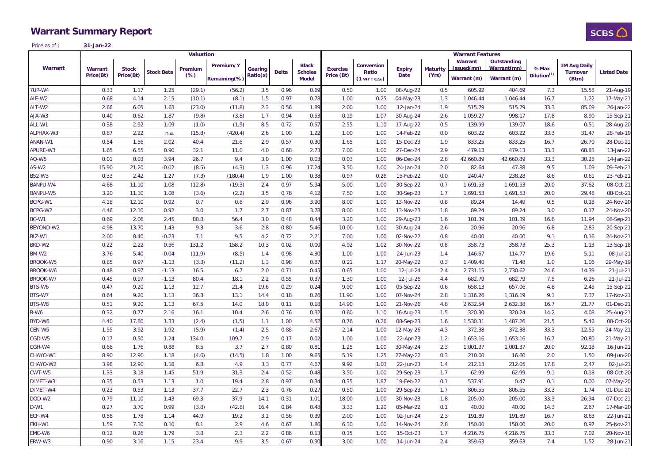# **Warrant Summary Report**



Price as of :**31-Jan-22**

|                 | <b>Valuation</b>            |                           |                   |                   | <b>Warrant Features</b>   |                     |              |                                                |                               |                                                       |                       |                          |                                      |                                           |                                 |                                          |                    |
|-----------------|-----------------------------|---------------------------|-------------------|-------------------|---------------------------|---------------------|--------------|------------------------------------------------|-------------------------------|-------------------------------------------------------|-----------------------|--------------------------|--------------------------------------|-------------------------------------------|---------------------------------|------------------------------------------|--------------------|
| Warrant         | <b>Warrant</b><br>Price(Bt) | <b>Stock</b><br>Price(Bt) | <b>Stock Beta</b> | Premium<br>$(\%)$ | Premium/Y<br>Remaining(%) | Gearing<br>Ratio(x) | <b>Delta</b> | <b>Black</b><br><b>Scholes</b><br><b>Model</b> | <b>Exercise</b><br>Price (Bt) | <b>Conversion</b><br>Ratio<br>$(1 \text{ wr} : c.s.)$ | <b>Expiry</b><br>Date | <b>Maturity</b><br>(Yrs) | Warrant<br>Issued(mn)<br>Warrant (m) | Outstanding<br>Warrant(mn)<br>Warrant (m) | %Max<br>Dilution <sup>(1)</sup> | 1M Avg Daily<br><b>Turnover</b><br>(Btm) | <b>Listed Date</b> |
|                 |                             |                           |                   |                   |                           |                     |              |                                                |                               |                                                       |                       |                          |                                      |                                           |                                 |                                          |                    |
| 7UP-W4          | 0.33                        | 1.17                      | 1.25              | (29.1)            | (56.2)                    | 3.5                 | 0.96         | 0.69                                           | 0.50                          | 1.00                                                  | 08-Aug-22             | 0.5                      | 605.92                               | 404.69                                    | 7.3                             | 15.58                                    | 21-Aug-19          |
| AIE-W2          | 0.68                        | 4.14                      | 2.15              | (10.1)            | (8.1)                     | 1.5                 | 0.97         | 0.78                                           | 1.00                          | 0.25                                                  | 04-May-23             | 1.3                      | 1,046.44                             | 1,046.44                                  | 16.7                            | 1.22                                     | 17-May-21          |
| AIT-W2          | 2.66                        | 6.05                      | 1.63              | (23.0)            | (11.8)                    | 2.3                 | 0.56         | 1.89                                           | 2.00                          | 1.00                                                  | 12-Jan-24             | 1.9                      | 515.79                               | 515.79                                    | 33.3                            | 85.09                                    | 26-Jan-22          |
| EW-ALA          | 0.40                        | 0.62                      | 1.87              | (9.8)             | (3.8)                     | 1.7                 | 0.94         | 0.53                                           | 0.19                          | 1.07                                                  | 30-Aug-24             | 2.6                      | 1,059.27                             | 998.17                                    | 17.8                            | 8.90                                     | 15-Sep-21          |
| ALL-W1          | 0.38                        | 2.92                      | 1.09              | (1.0)             | (1.9)                     | 8.5                 | 0.72         | 0.57                                           | 2.55                          | 1.10                                                  | 17-Aug-22             | 0.5                      | 139.99                               | 139.07                                    | 18.6                            | 0.51                                     | 28-Aug-20          |
| ALPHAX-W3       | 0.87                        | 2.22                      | n.a.              | (15.8)            | (420.4)                   | 2.6                 | 1.00         | 1.22                                           | 1.00                          | 1.00                                                  | 14-Feb-22             | 0.0                      | 603.22                               | 603.22                                    | 33.3                            | 31.47                                    | 28-Feb-19          |
| ANAN-W1         | 0.54                        | 1.56                      | 2.02              | 40.4              | 21.6                      | 2.9                 | 0.57         | 0.3C                                           | 1.65                          | 1.00                                                  | 15-Dec-23             | 1.9                      | 833.25                               | 833.25                                    | 16.7                            | 26.70                                    | 28-Dec-21          |
| APURE-W3        | 1.65                        | 6.55                      | 0.90              | 32.1              | 11.0                      | 4.0                 | 0.68         | 2.73                                           | 7.00                          | 1.00                                                  | 27-Dec-24             | 2.9                      | 479.13                               | 479.13                                    | 33.3                            | 68.83                                    | 13-Jan-22          |
| AQ-W5           | 0.01                        | 0.03                      | 3.94              | 26.7              | 9.4                       | 3.0                 | 1.00         | 0.03                                           | 0.03                          | 1.00                                                  | 06-Dec-24             | 2.8                      | 42,660.89                            | 42,660.89                                 | 33.3                            | 30.28                                    | 14-Jan-22          |
| AS-W2           | 15.90                       | 21.20                     | $-0.02$           | (8.5)             | (4.3)                     | 1.3                 | 0.96         | 17.24                                          | 3.50                          | 1.00                                                  | 24-Jan-24             | 2.0                      | 82.64                                | 47.88                                     | 9.5                             | 1.09                                     | 09-Feb-21          |
| B52-W3          | 0.33                        | 2.42                      | 1.27              | (7.3)             | (180.4)                   | 1.9                 | 1.00         | 0.38                                           | 0.97                          | 0.26                                                  | 15-Feb-22             | 0.0                      | 240.47                               | 238.28                                    | 8.6                             | 0.61                                     | 23-Feb-21          |
| <b>BANPU-W4</b> | 4.68                        | 11.10                     | 1.08              | (12.8)            | (19.3)                    | 2.4                 | 0.97         | 5.94                                           | 5.00                          | 1.00                                                  | 30-Sep-22             | 0.7                      | 1,691.53                             | 1,691.53                                  | 20.0                            | 37.62                                    | 08-Oct-21          |
| <b>BANPU-W5</b> | 3.20                        | 11.10                     | 1.08              | (3.6)             | (2.2)                     | 3.5                 | 0.78         | 4.12                                           | 7.50                          | 1.00                                                  | 30-Sep-23             | 1.7                      | 1,691.53                             | 1,691.53                                  | 20.0                            | 29.48                                    | 08-Oct-21          |
| BCPG-W1         | 4.18                        | 12.10                     | 0.92              | 0.7               | 0.8                       | 2.9                 | 0.96         | 3.90                                           | 8.00                          | 1.00                                                  | 13-Nov-22             | 0.8                      | 89.24                                | 14.49                                     | 0.5                             | 0.18                                     | 24-Nov-20          |
| BCPG-W2         | 4.46                        | 12.10                     | 0.92              | 3.0               | 1.7                       | 2.7                 | 0.87         | 3.78                                           | 8.00                          | 1.00                                                  | 13-Nov-23             | 1.8                      | 89.24                                | 89.24                                     | 3.0                             | 0.17                                     | 24-Nov-20          |
| BC-W1           | 0.69                        | 2.06                      | 2.45              | 88.8              | 56.4                      | 3.0                 | 0.48         | 0.44                                           | 3.20                          | 1.00                                                  | 29-Aug-23             | 1.6                      | 101.39                               | 101.39                                    | 16.6                            | 11.94                                    | 08-Sep-21          |
| BEYOND-W2       | 4.98                        | 13.70                     | 1.43              | 9.3               | 3.6                       | 2.8                 | 0.80         | 5.46                                           | 10.00                         | 1.00                                                  | 30-Aug-24             | 2.6                      | 20.96                                | 20.96                                     | 6.8                             | 2.85                                     | 20-Sep-21          |
| BIZ-W1          | 2.00                        | 8.40                      | $-0.23$           | 7.1               | 9.5                       | 4.2                 | 0.72         | 2.21                                           | 7.00                          | 1.00                                                  | 02-Nov-22             | 0.8                      | 40.00                                | 40.00                                     | 9.1                             | 0.16                                     | 24-Nov-21          |
| BKD-W2          | 0.22                        | 2.22                      | 0.56              | 131.2             | 158.2                     | 10.3                | 0.02         | 0.00                                           | 4.92                          | 1.02                                                  | 30-Nov-22             | 0.8                      | 358.73                               | 358.73                                    | 25.3                            | 1.13                                     | 13-Sep-18          |
| BM-W2           | 3.76                        | 5.40                      | $-0.04$           | (11.9)            | (8.5)                     | 1.4                 | 0.98         | 4.3C                                           | 1.00                          | 1.00                                                  | 24-Jun-23             | 1.4                      | 146.67                               | 114.77                                    | 19.6                            | 5.11                                     | 08-Jul-21          |
| <b>BROOK-W5</b> | 0.85                        | 0.97                      | $-1.13$           | (3.3)             | (11.2)                    | 1.3                 | 0.98         | 0.87                                           | 0.21                          | 1.17                                                  | 20-May-22             | 0.3                      | 1,409.40                             | 71.48                                     | 1.0                             | 1.06                                     | 29-May-19          |
| <b>BROOK-W6</b> | 0.48                        | 0.97                      | $-1.13$           | 16.5              | 6.7                       | 2.0                 | 0.71         | 0.45                                           | 0.65                          | 1.00                                                  | 12-Jul-24             | 2.4                      | 2,731.15                             | 2,730.62                                  | 24.6                            | 14.39                                    | $21 -$ Jul-21      |
| <b>BROOK-W7</b> | 0.45                        | 0.97                      | $-1.13$           | 80.4              | 18.1                      | 2.2                 | 0.55         | 0.37                                           | 1.30                          | 1.00                                                  | 12-Jul-26             | 4.4                      | 682.79                               | 682.79                                    | 7.5                             | 6.26                                     | 21-Jul-21          |
| BTS-W6          | 0.47                        | 9.20                      | 1.13              | 12.7              | 21.4                      | 19.6                | 0.29         | 0.24                                           | 9.90                          | 1.00                                                  | 05-Sep-22             | 0.6                      | 658.13                               | 657.06                                    | 4.8                             | 2.45                                     | 15-Sep-21          |
| BTS-W7          | 0.64                        | 9.20                      | 1.13              | 36.3              | 13.1                      | 14.4                | 0.18         | 0.26                                           | 11.90                         | 1.00                                                  | 07-Nov-24             | 2.8                      | 1,316.26                             | 1,316.19                                  | 9.1                             | 7.37                                     | 17-Nov-21          |
| BTS-W8          | 0.51                        | 9.20                      | 1.13              | 67.5              | 14.0                      | 18.0                | 0.11         | 0.18                                           | 14.90                         | 1.00                                                  | 21-Nov-26             | 4.8                      | 2,632.54                             | 2,632.38                                  | 16.7                            | 21.77                                    | 01-Dec-21          |
| B-W6            | 0.32                        | 0.77                      | 2.16              | 16.1              | 10.4                      | 2.6                 | 0.76         | 0.32                                           | 0.60                          | 1.10                                                  | 16-Aug-23             | 1.5                      | 320.30                               | 320.24                                    | 14.2                            | 4.08                                     | 25-Aug-21          |
| BYD-W6          | 4.40                        | 17.80                     | 1.33              | (2.4)             | (1.5)                     | 1.1                 | 1.00         | 4.52                                           | 0.76                          | 0.26                                                  | 08-Sep-23             | 1.6                      | 1,530.31                             | 1,487.26                                  | 21.5                            | 5.46                                     | 08-Oct-20          |
| CEN-W5          | 1.55                        | 3.92                      | 1.92              | (5.9)             | (1.4)                     | 2.5                 | 0.88         | 2.67                                           | 2.14                          | 1.00                                                  | 12-May-26             | 4.3                      | 372.38                               | 372.38                                    | 33.3                            | 12.55                                    | 24-May-21          |
| CGD-W5          | 0.17                        | 0.50                      | 1.24              | 134.0             | 109.7                     | 2.9                 | 0.17         | 0.02                                           | 1.00                          | 1.00                                                  | 22-Apr-23             | 1.2                      | 1,653.16                             | 1,653.16                                  | 16.7                            | 20.80                                    | 21-May-21          |
| CGH-W4          | 0.66                        | 1.76                      | 0.88              | 8.5               | 3.7                       | 2.7                 | 0.80         | $0.8^{\circ}$                                  | 1.25                          | 1.00                                                  | 30-May-24             | 2.3                      | 1,001.37                             | 1,001.37                                  | 20.0                            | 92.18                                    | 16-Jun-21          |
| CHAYO-W1        | 8.90                        | 12.90                     | 1.18              | (4.6)             | (14.5)                    | 1.8                 | 1.00         | 9.65                                           | 5.19                          | 1.25                                                  | 27-May-22             | 0.3                      | 210.00                               | 16.60                                     | 2.0                             | 1.50                                     | 09-Jun-20          |
| CHAYO-W2        | 3.98                        | 12.90                     | 1.18              | 6.8               | 4.9                       | 3.3                 | 0.77         | 4.67                                           | 9.92                          | 1.03                                                  | 22-Jun-23             | 1.4                      | 212.13                               | 212.05                                    | 17.8                            | 2.47                                     | 02-Jul-21          |
| CWT-W5          | 1.33                        | 3.18                      | 1.45              | 51.9              | 31.3                      | 2.4                 | 0.52         | 0.48                                           | 3.50                          | 1.00                                                  | 29-Sep-23             | 1.7                      | 62.99                                | 62.99                                     | 9.1                             | 0.18                                     | 08-Oct-20          |
| DIMET-W3        | 0.35                        | 0.53                      |                   | 1.0               | 19.4                      |                     | 0.97         |                                                | 0.35                          |                                                       | 19-Feb-22             | 0.1                      | 537.91                               | 0.47                                      | 0.1                             | 0.00                                     |                    |
|                 |                             |                           | 1.13              |                   |                           | 2.8                 |              | 0.34                                           |                               | 1.87                                                  |                       |                          |                                      |                                           |                                 |                                          | 07-May-20          |
| DIMET-W4        | 0.23                        | 0.53                      | 1.13              | 37.7              | 22.7                      | 2.3                 | 0.76         | 0.27                                           | 0.50                          | 1.00                                                  | 29-Sep-23             | 1.7                      | 806.55                               | 806.55                                    | 33.3                            | 1.74                                     | 01-Dec-20          |
| DOD-W2          | 0.79                        | 11.10                     | 1.43              | 69.3              | 37.9                      | 14.1                | 0.31         | 1.01                                           | 18.00                         | 1.00                                                  | 30-Nov-23             | 1.8                      | 205.00                               | 205.00                                    | 33.3                            | 26.94                                    | 07-Dec-21          |
| D-W1            | 0.27                        | 3.70                      | 0.99              | (3.8)             | (42.8)                    | 16.4                | 0.84         | 0.48                                           | 3.33                          | 1.20                                                  | 05-Mar-22             | 0.1                      | 40.00                                | 40.00                                     | 14.3                            | 2.67                                     | 17-Mar-20          |
| ECF-W4          | 0.58                        | 1.78                      | 1.14              | 44.9              | 19.2                      | 3.1                 | 0.56         | 0.39                                           | 2.00                          | 1.00                                                  | 02-Jun-24             | 2.3                      | 191.89                               | 191.89                                    | 16.7                            | 8.63                                     | 22-Jun-21          |
| EKH-W1          | 1.59                        | 7.30                      | 0.10              | 8.1               | 2.9                       | 4.6                 | 0.67         | 1.86                                           | 6.30                          | 1.00                                                  | 14-Nov-24             | 2.8                      | 150.00                               | 150.00                                    | 20.0                            | 0.97                                     | 25-Nov-21          |
| EMC-W6          | 0.12                        | 0.26                      | 1.79              | 3.8               | 2.3                       | 2.2                 | 0.86         | 0.13                                           | 0.15                          | 1.00                                                  | 15-Oct-23             | 1.7                      | 4,216.75                             | 4,216.75                                  | 33.3                            | 7.02                                     | 20-Nov-18          |
| ERW-W3          | 0.90                        | 3.16                      | 1.15              | 23.4              | 9.9                       | 3.5                 | 0.67         | 0.90                                           | 3.00                          | 1.00                                                  | 14-Jun-24             | 2.4                      | 359.63                               | 359.63                                    | 7.4                             | 1.52                                     | 28-Jun-21          |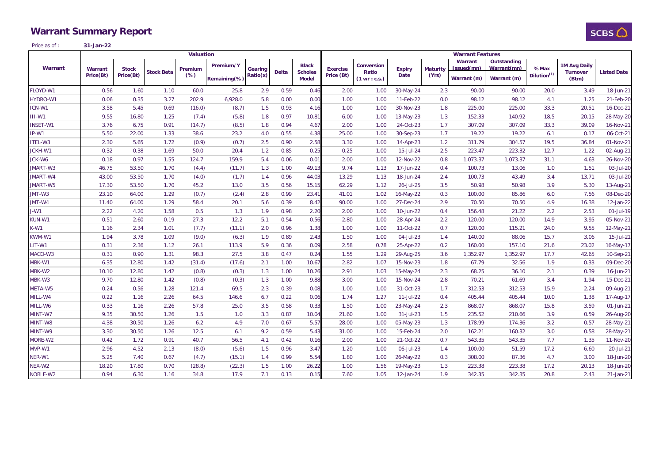# **Warrant Summary Report**



Price as of :**31-Jan-22**

|                 | <b>Valuation</b><br><b>Warrant Features</b> |                           |                   |                |              |                     |              |                |                               |                         |                       |                          |                |             |                                 |                 |                    |
|-----------------|---------------------------------------------|---------------------------|-------------------|----------------|--------------|---------------------|--------------|----------------|-------------------------------|-------------------------|-----------------------|--------------------------|----------------|-------------|---------------------------------|-----------------|--------------------|
|                 |                                             |                           |                   |                | Premium/Y    |                     |              | <b>Black</b>   |                               | <b>Conversion</b>       |                       |                          | <b>Warrant</b> | Outstanding |                                 | 1M Avg Daily    |                    |
| Warrant         | <b>Warrant</b><br>Price(Bt)                 | <b>Stock</b><br>Price(Bt) | <b>Stock Beta</b> | Premium<br>(%) |              | Gearing<br>Ratio(x) | <b>Delta</b> | <b>Scholes</b> | <b>Exercise</b><br>Price (Bt) | Ratio                   | <b>Expiry</b><br>Date | <b>Maturity</b><br>(Yrs) | Issued(mn)     | Warrant(mn) | %Max<br>Dilution <sup>(1)</sup> | <b>Turnover</b> | <b>Listed Date</b> |
|                 |                                             |                           |                   |                | Remaining(%) |                     |              | <b>Model</b>   |                               | $(1 \text{ wr} : c.s.)$ |                       |                          | Warrant (m)    | Warrant (m) |                                 | (Btm)           |                    |
| FLOYD-W1        | 0.56                                        | 1.60                      | 1.10              | 60.0           | 25.8         | 2.9                 | 0.59         | 0.46           | 2.00                          | 1.00                    | 30-May-24             | 2.3                      | 90.00          | 90.00       | 20.0                            | 3.49            | 18-Jun-21          |
| HYDRO-W1        | 0.06                                        | 0.35                      | 3.27              | 202.9          | 6,928.0      | 5.8                 | 0.00         | 0.00           | 1.00                          | 1.00                    | 11-Feb-22             | 0.0                      | 98.12          | 98.12       | 4.1                             | 1.25            | 21-Feb-20          |
| ICN-W1          | 3.58                                        | 5.45                      | 0.69              | (16.0)         | (8.7)        | 1.5                 | 0.93         | 4.16           | 1.00                          | 1.00                    | 30-Nov-23             | 1.8                      | 225.00         | 225.00      | 33.3                            | 20.51           | 16-Dec-21          |
| III-W1          | 9.55                                        | 16.80                     | 1.25              | (7.4)          | (5.8)        | 1.8                 | 0.97         | 10.81          | 6.00                          | 1.00                    | 13-May-23             | 1.3                      | 152.33         | 140.92      | 18.5                            | 20.15           | 28-May-20          |
| <b>INSET-W1</b> | 3.76                                        | 6.75                      | 0.91              | (14.7)         | (8.5)        | 1.8                 | 0.94         | 4.67           | 2.00                          | 1.00                    | 24-Oct-23             | 1.7                      | 307.09         | 307.09      | 33.3                            | 39.09           | 16-Nov-21          |
| IP-W1           | 5.50                                        | 22.00                     | 1.33              | 38.6           | 23.2         | 4.0                 | 0.55         | 4.38           | 25.00                         | 1.00                    | 30-Sep-23             | 1.7                      | 19.22          | 19.22       | 6.1                             | 0.17            | 06-Oct-21          |
| ITEL-W3         | 2.30                                        | 5.65                      | 1.72              | (0.9)          | (0.7)        | 2.5                 | 0.90         | 2.58           | 3.30                          | 1.00                    | 14-Apr-23             | 1.2                      | 311.79         | 304.57      | 19.5                            | 36.84           | 01-Nov-21          |
| JCKH-W1         | 0.32                                        | 0.38                      | 1.69              | 50.0           | 20.4         | 1.2                 | 0.85         | 0.25           | 0.25                          | 1.00                    | 15-Jul-24             | 2.5                      | 223.47         | 223.32      | 12.7                            | 1.22            | 02-Aug-21          |
| JCK-W6          | 0.18                                        | 0.97                      | 1.55              | 124.7          | 159.9        | 5.4                 | 0.06         | 0.01           | 2.00                          | 1.00                    | 12-Nov-22             | 0.8                      | 1,073.37       | 1,073.37    | 31.1                            | 4.63            | 26-Nov-20          |
| JMART-W3        | 46.75                                       | 53.50                     | 1.70              | (4.4)          | (11.7)       | 1.3                 | 1.00         | 49.13          | 9.74                          | 1.13                    | 17-Jun-22             | 0.4                      | 100.73         | 13.06       | 1.0                             | 1.51            | 03-Jul-20          |
| JMART-W4        | 43.00                                       | 53.50                     | 1.70              | (4.0)          | (1.7)        | 1.4                 | 0.96         | 44.03          | 13.29                         | 1.13                    | 18-Jun-24             | 2.4                      | 100.73         | 43.49       | 3.4                             | 13.71           | 03-Jul-20          |
| JMART-W5        | 17.30                                       | 53.50                     | 1.70              | 45.2           | 13.0         | 3.5                 | 0.56         | 15.15          | 62.29                         | 1.12                    | 26-Jul-25             | 3.5                      | 50.98          | 50.98       | 3.9                             | 5.30            | 13-Aug-21          |
| JMT-W3          | 23.10                                       | 64.00                     | 1.29              | (0.7)          | (2.4)        | 2.8                 | 0.99         | 23.41          | 41.01                         | 1.02                    | 16-May-22             | 0.3                      | 100.00         | 85.86       | 6.0                             | 7.56            | 08-Dec-20          |
| JMT-W4          | 11.40                                       | 64.00                     | 1.29              | 58.4           | 20.1         | 5.6                 | 0.39         | 8.42           | 90.00                         | 1.00                    | 27-Dec-24             | 2.9                      | 70.50          | 70.50       | 4.9                             | 16.38           | 12-Jan-22          |
| J-W1            | 2.22                                        | 4.20                      | 1.58              | 0.5            | 1.3          | 1.9                 | 0.98         | 2.20           | 2.00                          | 1.00                    | 10-Jun-22             | 0.4                      | 156.48         | 21.22       | 2.2                             | 2.53            | 01-Jul-19          |
| KUN-W1          | 0.51                                        | 2.60                      | 0.19              | 27.3           | 12.2         | 5.1                 | 0.54         | 0.56           | 2.80                          | 1.00                    | 28-Apr-24             | 2.2                      | 120.00         | 120.00      | 14.9                            | 3.95            | 05-Nov-21          |
| K-W1            | 1.16                                        | 2.34                      | 1.01              | (7.7)          | (11.1)       | 2.0                 | 0.96         | 1.38           | 1.00                          | 1.00                    | 11-Oct-22             | 0.7                      | 120.00         | 115.21      | 24.0                            | 9.55            | 12-May-21          |
| KWM-W1          | 1.94                                        | 3.78                      | 1.09              | (9.0)          | (6.3)        | 1.9                 | 0.89         | 2.43           | 1.50                          | 1.00                    | 04-Jul-23             | 1.4                      | 140.00         | 88.06       | 15.7                            | 3.06            | 15-Jul-21          |
| LIT-W1          | 0.31                                        | 2.36                      | 1.12              | 26.1           | 113.9        | 5.9                 | 0.36         | 0.09           | 2.58                          | 0.78                    | 25-Apr-22             | 0.2                      | 160.00         | 157.10      | 21.6                            | 23.02           | 16-May-17          |
| MACO-W3         | 0.31                                        | 0.90                      | 1.31              | 98.3           | 27.5         | 3.8                 | 0.47         | 0.24           | 1.55                          | 1.29                    | 29-Aug-25             | 3.6                      | 1,352.97       | 1,352.97    | 17.7                            | 42.65           | 10-Sep-21          |
| MBK-W1          | 6.35                                        | 12.80                     | 1.42              | (31.4)         | (17.6)       | 2.1                 | 1.00         | 10.67          | 2.82                          | 1.07                    | 15-Nov-23             | 1.8                      | 67.79          | 32.56       | 1.9                             | 0.33            | 09-Dec-20          |
| MBK-W2          | 10.10                                       | 12.80                     | 1.42              | (0.8)          | (0.3)        | 1.3                 | 1.00         | 10.26          | 2.91                          | 1.03                    | 15-May-24             | 2.3                      | 68.25          | 36.10       | 2.1                             | 0.39            | 16-Jun-21          |
| MBK-W3          | 9.70                                        | 12.80                     | 1.42              | (0.8)          | (0.3)        | 1.3                 | 1.00         | 9.88           | 3.00                          | 1.00                    | 15-Nov-24             | 2.8                      | 70.21          | 61.69       | 3.4                             | 1.94            | 15-Dec-21          |
| META-W5         | 0.24                                        | 0.56                      | 1.28              | 121.4          | 69.5         | 2.3                 | 0.39         | 0.08           | 1.00                          | 1.00                    | 31-Oct-23             | 1.7                      | 312.53         | 312.53      | 15.9                            | 2.24            | 09-Aug-21          |
| MILL-W4         | 0.22                                        | 1.16                      | 2.26              | 64.5           | 146.6        | 6.7                 | 0.22         | 0.06           | 1.74                          | 1.27                    | 11-Jul-22             | 0.4                      | 405.44         | 405.44      | 10.0                            | 1.38            | 17-Aug-17          |
| MILL-W6         | 0.33                                        | 1.16                      | 2.26              | 57.8           | 25.0         | 3.5                 | 0.58         | 0.33           | 1.50                          | 1.00                    | 23-May-24             | 2.3                      | 868.07         | 868.07      | 15.8                            | 3.59            | 01-Jun-21          |
| MINT-W7         | 9.35                                        | 30.50                     | 1.26              | 1.5            | 1.0          | 3.3                 | 0.87         | 10.04          | 21.60                         | 1.00                    | 31-Jul-23             | 1.5                      | 235.52         | 210.66      | 3.9                             | 0.59            | 26-Aug-20          |
| MINT-W8         | 4.38                                        | 30.50                     | 1.26              | 6.2            | 4.9          | 7.0                 | 0.67         | 5.57           | 28.00                         | 1.00                    | 05-May-23             | 1.3                      | 178.99         | 174.36      | 3.2                             | 0.57            | 28-May-21          |
| MINT-W9         | 3.30                                        | 30.50                     | 1.26              | 12.5           | 6.1          | 9.2                 | 0.59         | 5.43           | 31.00                         | 1.00                    | 15-Feb-24             | 2.0                      | 162.21         | 160.32      | 3.0                             | 0.58            | 28-May-21          |
| MORE-W2         | 0.42                                        | 1.72                      | 0.91              | 40.7           | 56.5         | 4.1                 | 0.42         | 0.16           | 2.00                          | 1.00                    | 21-Oct-22             | 0.7                      | 543.35         | 543.35      | 7.7                             | 1.35            | 11-Nov-20          |
| MVP-W1          | 2.96                                        | 4.52                      | 2.13              | (8.0)          | (5.6)        | 1.5                 | 0.96         | 3.47           | 1.20                          | 1.00                    | 06-Jul-23             | 1.4                      | 100.00         | 51.59       | 17.2                            | 6.60            | 20-Jul-21          |
| NER-W1          | 5.25                                        | 7.40                      | 0.67              | (4.7)          | (15.1)       | 1.4                 | 0.99         | 5.54           | 1.80                          | 1.00                    | 26-May-22             | 0.3                      | 308.00         | 87.36       | 4.7                             | 3.00            | 18-Jun-20          |
| NEX-W2          | 18.20                                       | 17.80                     | 0.70              | (28.8)         | (22.3)       | 1.5                 | 1.00         | 26.22          | 1.00                          | 1.56                    | 19-May-23             | 1.3                      | 223.38         | 223.38      | 17.2                            | 20.13           | 18-Jun-20          |
| NOBLE-W2        | 0.94                                        | 6.30                      | 1.16              | 34.8           | 17.9         | 7.1                 | 0.13         | 0.15           | 7.60                          | 1.05                    | 12-Jan-24             | 1.9                      | 342.35         | 342.35      | 20.8                            | 2.43            | 21-Jan-21          |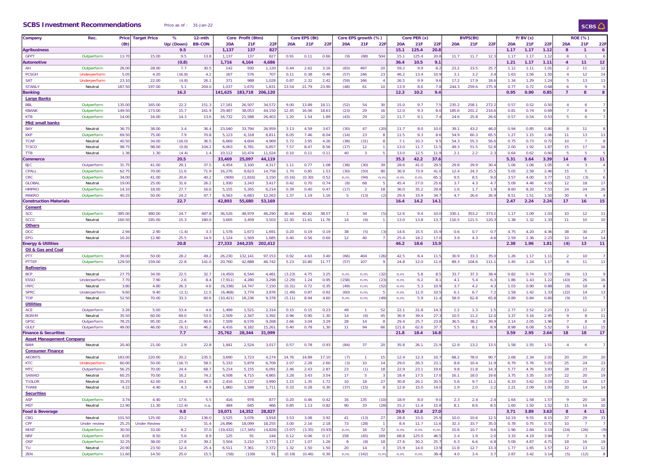#### **SCBS Investment Recommendations** Price as of : 31-Jan-22

#### $SCBS$

| Company                         | Rec.                | Price            | <b>Target Price</b> | %         | 12-mth        |            | Core Profit (Btm) |         |            | Core EPS (Bt) |        |            | Core EPS growth (%) |                |            | Core PER (x) |      |            | <b>BVPS(Bt)</b> |                  |            | P/BV(x) |               |                | <b>ROE (%)</b> |                  |
|---------------------------------|---------------------|------------------|---------------------|-----------|---------------|------------|-------------------|---------|------------|---------------|--------|------------|---------------------|----------------|------------|--------------|------|------------|-----------------|------------------|------------|---------|---------------|----------------|----------------|------------------|
|                                 |                     | (Bt)             |                     | Up/(Down) | <b>BB-CON</b> | <b>20A</b> | 21F               | 22F     | <b>20A</b> | 21F           | 22F    | <b>20A</b> | 21F                 | 22F            | <b>20A</b> | 21F          | 22F  | <b>20A</b> | 21F             | 22F              | <b>20A</b> | 21F     | 22F           | <b>20A</b>     | 21F            | 22F              |
| Agribusiness                    |                     |                  |                     | 9.5       |               | 1,137      | 137               | 827     |            |               |        |            |                     |                | 15.1       | 125.4        | 20.8 |            |                 |                  | 1.17       | 1.17    | 1.12          | 8              | $\overline{1}$ | $\boldsymbol{6}$ |
| <b>GFPT</b>                     | Outperform          | 13.7             | 15.00               | 9.5       | 13.8          | 1,137      | 137               | 827     | 0.91       | 0.11          | 0.66   | (9)        | (88)                | 504            | 15.1       | 125.4        | 20.1 | 11.7       | 11.7            | 12.              | 1.17       | 1.17    | 1.1           | 8              |                | 6                |
| Automotive                      |                     |                  |                     | (0.8)     |               | 1,716      | 4,164             | 4,686   |            |               |        |            |                     |                | 36.4       | 10.5         | 9.1  |            |                 |                  | 1.21       | 1.17    | 1.11          | $\overline{4}$ | 11             | 12               |
| AH                              | Outperform          | 26.00            | 28.00               | 7.7       | 30.5          | 142        | 930               | 1,120   | 0.44       | 2.62          | 3.16   | (83)       | 497                 | 20             | 59.2       | 9.9          | 8.2  | 23.2       | 23.5            | 25.              | 1.12       | 1.11    | 1.0           | $\mathfrak{D}$ | 11             | 12               |
| <b>PCSGH</b>                    | Underperform        | 5.0              | 4.20                | (16.8)    | 4.2           | 167        | 576               | 707     | 0.11       | 0.38          | 0.46   | (57)       | 246                 | 23             | 46.2       | 13.4         | 10.9 | 3.1        | 3.2             | 3.4              | 1.63       | 1.56    | 1.50          | $\overline{4}$ | 12             | 14               |
| <b>SAT</b>                      | Underperform        | 23.1             | 22.00               | (4.8)     | 26.1          | 371        | 988               | 1.028   | 0.87       | 2.32          | 2.42   | (59)       | 166                 |                | 26.5       | 9.9          | 9.6  | 17.2       | 17.9            | 18.              | 1.34       | 1.29    | 1.24          | 5              | 13             | 13               |
| <b>STANLY</b>                   | Neutral             | 187.5            | 197.00              | 5.1       | 204.0         | 1,037      | 1,670             | 1,83    | 13.54      | 21.79         | 23.90  | (48)       | 61                  | 10             | 13.9       | 8.6          | 7.8  | 244.3      | 259.6           | 275.             | 0.77       | 0.72    | 0.61          | 6              | -9             | 9                |
|                                 |                     |                  |                     | 16.3      |               | 141,625    | 183,718           | 206,120 |            |               |        |            |                     |                | 12.3       | 10.2         | 9.4  |            |                 |                  | 0.95       | 0.90    | 0.85          | $\overline{7}$ | 8              | 8                |
| <b>Banking</b>                  |                     |                  |                     |           |               |            |                   |         |            |               |        |            |                     |                |            |              |      |            |                 |                  |            |         |               |                |                |                  |
| <b>Large Banks</b>              |                     |                  |                     |           |               |            |                   |         |            |               |        |            |                     |                |            |              |      |            |                 |                  |            |         |               |                |                |                  |
| <b>BBL</b>                      | Outperform          | 135.00           | 165.00              | 22.2      | 151.          | 17,181     | 26,507            | 34,572  | 9.00       | 13.89         | 18.1'  | (52)       | 54                  | 30             | 15.0       | 9.7          | 7.5  | 235.2      | 258.1           | 272.             | 0.57       | 0.52    | 0.50          | 4              | 6              | 7                |
| <b>KBANK</b>                    | Outperform          | 149.5            | 173.00              | 15.7      | 161.          | 29,487     | 38,053            | 44,150  | 12.45      | 16.06         | 18.63  | (23)       | 29                  | 16             | 12.0       | 9.3          | 8.   | 185.6      | 201.2           | 216.             | 0.81       | 0.74    | $0.6^{\circ}$ |                | 8              | 9                |
| <b>KTB</b>                      | Outperform          | 14.00            | 16.00               | 14.3      | 13.6          | 16,732     | 21,588            | 26,403  | 1.20       | 1.54          | 1.89   | (43)       | 29                  | 22             | 11.7       | 9.1          | 7.4  | 24.6       | 25.8            | 26.6             | 0.57       | 0.54    | 0.5           | -5             | 6              | $\overline{7}$   |
| Mid/small banks                 |                     |                  |                     |           |               |            |                   |         |            |               |        |            |                     |                |            |              |      |            |                 |                  |            |         |               |                |                |                  |
| BAY                             | Neutral             | 36.7             | 38.00               | 3.4       | 36.4          | 23,040     | 33,794            | 26,959  | 3.13       | 4.59          | 3.67   | (30)       | 47                  | (20)           | 11.7       | 8.0          | 10.0 | 39.1       | 43.2            | 46.0             | 0.94       | 0.85    | 0.80          | -8             | 11             | 8                |
| <b>KKP</b>                      | Outperform          | 69.5             | 75.00               | 7.9       | 70.8          | 5,123      | 6,318             | 6,811   | 6.05       | 7.46          | 8.04   | (14)       | 23                  | -8             | 11.5       | 9.3          | 8.6  | 54.9       | 60.3            | 65.              | 1.27       | 1.15    | 1.06          | 11             | 13             | 13               |
| <b>TCAP</b>                     | Neutral             | 40.5             | 34.00               | (16.0)    | 36.5          | 6,669      | 4,604             | 4,969   | 5.72       | 3.95          | 4.26   | (38)       | (31)                | 8              | 7.1        | 10.3         | 9.5  | 54.3       | 55.3            | 56.6             | 0.75       | 0.73    | 0.7           | 10             | $\overline{7}$ | 8                |
| <b>TISCO</b>                    | Neutral             | 98.7             | 98.00               | (0.8)     | 104.2         | 6,063      | 6,781             | 6,857   | 7.57       | 8.47          | 8.56   | (17)       | 12 <sup>°</sup>     |                | 13.0       | 11.7         | 11.5 | 49.3       | 51.5            | 52.8             | 2.00       | 1.92    | 1.87          | 15             | 17             | 16               |
| <b>TTB</b>                      | Neutral             | 1.36             | 1.30                | (4.4)     |               | 10,112     | 10,474            | 11,024  | 0.10       | 0.11          | 0.11   | 40         | -3                  |                | 13.0       | 12.5         | 11.  | 2.1        | 2.2             | 2.               | 0.64       | 0.62    | 0.60          |                | -5             | 5                |
| Commerce                        |                     |                  |                     | 20.5      |               | 33,469     | 25,097            | 44,119  |            |               |        |            |                     |                | 35.3       | 42.2         | 37.6 |            |                 |                  | 5.31       | 3.64    | 3.39          | 14             | 8              | 11               |
| <b>BJC</b>                      | Outperform          | 31.7             | 41.00               | 29.1      | 37.5          | 4,454      | 3,100             | 4,31    | 1.11       | 0.77          | 1.08   | (38)       | (30)                | 39             | 28.6       | 41.0         | 29.  | 29.8       | 29.9            | 30.              | 1.06       | 1.06    | 1.0           | $\overline{4}$ | 3              | 4                |
| CPALL                           | Outperform          | 62.7             | 70.00               | 11.6      | 71.9          | 16,276     | 8,623             | 14,758  | 1.70       | 0.85          | 1.53   | (30)       | (50)                | 80             | 36.9       | 73.9         | 41.0 | 12.4       | 24.3            | 25.              | 5.05       | 2.58    | 2.46          | 15             | 5 <sub>1</sub> | $\overline{7}$   |
| <b>CRC</b>                      | Outperform          | 34.00            | 41.00               | 20.6      | 40.2          | (909)      | (1, 816)          | 3,150   | (0.16)     | (0.30)        | 0.52   | n.m.       | (94)                | n.m            | n.m        | n.m.         | 65.  | 9.5        | 8.5             | 9.0              | 3.57       | 4.00    | 3.7           | (2)            | (3)            | 6                |
|                                 |                     |                  |                     |           |               |            |                   |         |            |               |        |            |                     | -5             |            |              |      |            |                 |                  |            |         |               |                |                |                  |
| <b>GLOBAI</b>                   | Neutral             | 19.0             | 25.00               | 31.6      | 26.2          | 1,930      | 3,243             | 3,417   | 0.42       | 0.70          | 0.74   | (8)        | 68                  |                | 45.4       | 27.0         | 25.1 | 3.7        | 4.3             | $\sim$           | 5.09       | 4.46    | 4.0           | 12             | 18             | 17               |
| <b>HMPRO</b>                    | Outperform          | 14.1             | 18.00               | 27.7      | 16.6          | 5,155      | 5,265             | 6,214   | 0.39       | 0.40          | 0.47   | (17)       | $\overline{2}$      | 18             | 36.0       | 35.2         | 29.8 | 1.6        | 1.7             | 1.9              | 8.60       | 8.20    | 7.53          | 24             | 24             | 26               |
| <b>MAKRO</b>                    | Outperform          | 40.2             | 50.00               | 24.2      | 47.7          | 6,563      | 6,683             | 12,263  | 1.37       | 1.19          | 1.16   | -5         | (13)                | $\mathcal{L}$  | 29.4       | 33.9         | 34.  | 4.7        | 26.6            | 26.              | 8.51       | 1.51    | 1.50          | 30             | $\overline{4}$ | $\overline{4}$   |
| <b>Construction Materials</b>   |                     |                  |                     | 22.7      |               | 42,893     | 55,680            | 53,169  |            |               |        |            |                     |                | 16.4       | 14.2         | 14.1 |            |                 |                  | 2.47       | 2.24    | 2.24          | 17             | 16             | 15               |
| <b>Cement</b>                   |                     |                  |                     |           |               |            |                   |         |            |               |        |            |                     |                |            |              |      |            |                 |                  |            |         |               |                |                |                  |
| SCC                             | Outperform          | 385.0            | 480.00              | 24.7      | 487.          | 36,526     | 48,979            | 46,290  | 30.44      | 40.82         | 38.5   |            | 34                  | (5             | 12.6       | 9.4          | 10.0 | 330.1      | 353.2           | 373.             | 1.17       | 1.09    | 1.03          | 10             | 12             | 11               |
| <b>SCCC</b>                     | Neutral             | 160.5            | 185.00              | 15.3      | 180.0         | 3,665      | 3,459             | 3,503   | 12.30      | 11.61         | 11.76  | 14         | (6)                 |                | 13.0       | 13.8         | 13.  | 116.5      | 121.5           | 120.             | 1.38       | 1.32    | 1.33          | 11             | 10             | 10               |
| <b>Others</b>                   |                     |                  |                     |           |               |            |                   |         |            |               |        |            |                     |                |            |              |      |            |                 |                  |            |         |               |                |                |                  |
| <b>DCC</b>                      | Neutral             | 2.94             | 2.90                | (1.4)     | 3.3           | 1,578      | 1,673             | 1,691   | 0.20       | 0.19          | 0.19   | 38         | (5)                 | - (3           | 14.6       | 15.5         | 15.9 | 0.6        | 0.7             | $\overline{0}$ . | 4.75       | 4.20    | 4.36          | 38             | 30             | 27               |
| <b>EPG</b>                      | Neutral             | 10.2             | 12.80               | 25.5      | 14.9          | 1,124      | 1,569             | 1,685   | 0.40       | 0.56          | 0.60   | 12         | 40                  |                | 25.4       | 18.2         | 17.0 | 3.9        | 4.3             | 4.6              | 2.59       | 2.36    | 2.2           | 10             | 14             | 14               |
| <b>Energy &amp; Utilities</b>   |                     |                  |                     | 20.8      |               | 27,333     | 244,235           | 202,412 |            |               |        |            |                     |                | 46.2       | 18.6         | 15.9 |            |                 |                  | 2.38       | 1.96    | 1.81          | (4)            | 13             | 11               |
| Oil & Gas and Coa               |                     |                  |                     |           |               |            |                   |         |            |               |        |            |                     |                |            |              |      |            |                 |                  |            |         |               |                |                |                  |
| <b>PTT</b>                      | Outperform          | 39.00            | 50.00               | 28.2      | 49.2          | 26,230     | 132,141           | 97,153  | 0.92       | 4.63          | 3.40   | (66)       | 404                 | (26)           | 42.5       | 8.4          | 11.1 | 30.9       | 33.3            | 35.0             | 1.26       | 1.17    | 1.11          | -2             | 10             | -7               |
| PTTEP                           | Outperform          | 129.5            | 159.00              | 22.8      | 141.0         | 20,760     | 42,888            | 46,742  | 5.23       | 10.80         | 11.7   | (57)       | 107                 | $\circ$        | 24.8       | 12.0         | 11.  | 89.3       | 104.6           | 111.             | 1.45       | 1.24    | 1.1           | 6              | 11             | 11               |
|                                 |                     |                  |                     |           |               |            |                   |         |            |               |        |            |                     |                |            |              |      |            |                 |                  |            |         |               |                |                |                  |
| <b>Refineries</b>               |                     |                  |                     |           |               |            |                   |         |            |               |        |            |                     |                |            |              |      |            |                 |                  |            |         |               |                |                |                  |
| <b>BCP</b>                      | Neutral             | 27.7             | 34.00               | 22.5      | 32.7          | (4, 450)   | 6,544             | 4,481   | (3.23)     | 4.75          | 3.25   | n.m        | n.m                 | (32)           | n.m        | 5.8          | 8.   | 33.7       | 37.3            | 38.              | 0.82       | 0.74    | 0.7           | (9)            | 13             | 9                |
| <b>ESSO</b>                     | Underperform        | 7.7 <sup>°</sup> | 7.90                | 2.6       | 8.4           | (7, 911)   | 4,280             | 3,298   | (2.29)     | 1.24          | 0.95   | (158)      | n.m                 | (23)           | n.m        | 6.2          | 8.3  | 4.1        | 5.4             | 6.3              | 1.86       | 1.43    | 1.2           | (43)           | 26             | 16               |
| <b>IRPC</b>                     | Neutral             | 3.80             | 4.80                | 26.3      | 4.6           | (6, 338)   | 14.747            | 7,150   | (0.31)     | 0.72          | 0.35   | (49)       | n.m                 | (52)           | n.m        | 5.3          | 10.9 | 3.7        | 4.2             | $\sim$           | 1.03       | 0.90    | 0.88          | (8)            | 18             | 8                |
| <b>SPRC</b>                     | Underperform        | 9.6              | 9.40                | (2.1)     | 11.5          | (6, 468)   | 3,774             | 3,976   | (1.49)     | 0.87          | 0.92   | (60)       | n.m.                |                | n.m        | 11.0         | 10.  | 6.1        | 6.7             | 7.2              | 1.58       | 1.42    | 1.3           | (22)           | 14             | 13               |
| TOP                             | Neutral             | 52.50            | 70.00               | 33.3      | 60.6          | (10, 421)  | 18,236            | 9,378   | (5.11)     | 8.94          | 4.60   | n.m.       | n.m.                | (49)           | n.m        | 5.9          | 11.4 | 58.9       | 62.8            | 65.8             | 0.89       | 0.84    | 0.80          | (9)            | 15             | $\overline{7}$   |
| <b>Utilities</b>                |                     |                  |                     |           |               |            |                   |         |            |               |        |            |                     |                |            |              |      |            |                 |                  |            |         |               |                |                |                  |
| ACE                             | Outperform          | 3.26             | 5.00                | 53.4      | 4.6           | 1,499      | 1,521             | 2,314   | 0.15       | 0.15          | 0.23   | 49         | $\mathbf{1}$        | 52             | 22.1       | 21.8         | 14.3 | 1.2        | 1.3             | -1.5             | 2.77       | 2.52    | 2.23          | 13             | 12             | 17               |
| <b>BGRIM</b>                    | Neutral             | 35.5             | 60.00               | 69.0      | 53.5          | 2,509      | 2,347             | 3,392   | 0.96       | 0.90          | 1.30   | 14         | (6)                 | 45             | 36.9       | 39.4         | 27.  | 10.5       | 11.2            | 12.0             | 3.37       | 3.16    | 2.95          | $\mathbf Q$    | 8              | 11               |
| <b>GPSC</b>                     | Outperform          | 78.2             | 95.00               | 21.4      | 90.6          | 7,509      | 8,576             | 9,268   | 2.66       | 3.04          | 3.29   | 28         | 14                  |                | 29.4       | 25.7         | 23.1 | 36.5       | 38.2            | 39.              | 2.14       | 2.05    | 1.96          | $\overline{7}$ | 8              | 8                |
| <b>GULF</b>                     | Outperform          | 49.00            | 46.00               | (6.1)     | 46.2          | 4,416      | 9,182             | 15,261  | 0.40       | 0.78          | 1.30   | 11         | 94                  | 66             | 121.6      | 62.6         | 37.  | 5.5        | 8.1             | 8.9              | 8.98       | 6.08    | 5.5           | -9             | 12             | 15               |
| <b>Finance &amp; Securities</b> |                     |                  |                     | 7.7       |               | 25,762     | 28,344            | 31,999  |            |               |        |            |                     |                | 21.8       | 18.4         | 16.8 |            |                 |                  | 3.59       | 2.95    | 2.64          | 18             | 18             | 17               |
| <b>Asset Management Company</b> |                     |                  |                     |           |               |            |                   |         |            |               |        |            |                     |                |            |              |      |            |                 |                  |            |         |               |                |                |                  |
| <b>BAM</b>                      | Neutral             | 20.40            | 21.00               | 2.9       | 22.8          | 1,841      | 2,524             | 3,017   | 0.57       | 0.78          | 0.93   | (84)       | 37                  | 20             | 35.8       | 26.1         | 21.5 | 12.9       | 13.2            | 13.5             | 1.58       | 1.55    | 1.51          | $\overline{4}$ | 6              | 7                |
| <b>Consumer Finance</b>         |                     |                  |                     |           |               |            |                   |         |            |               |        |            |                     |                |            |              |      |            |                 |                  |            |         |               |                |                |                  |
| <b>AEONTS</b>                   | Neutral             | 183.00           | 220.00              | 20.2      | 235.5         | 3,690      | 3,723             | 4,274   | 14.76      | 14.89         | 17.10  | (7)        | $\mathbf{1}$        | 15             | 12.4       | 12.3         | 10.7 | 68.2       | 78.0            | 90.              | 2.68       | 2.34    | 2.02          | 20             | 20             | 20               |
| <b>KTC</b>                      | Underperform        | 60.0             | 50.00               | (16.7)    | 58.5          | 5,333      | 5,879             | 6,709   | 2.07       | 2.28          | 2.60   | (3)        | 10                  | 14             | 29.0       | 26.3         | 23.  | 8.8        | 10.4            | 11.              | 6.79       | 5.76    | 5.0           | 25             | 24             | 23               |
| <b>MTC</b>                      | Outperform          | 56.2             | 70.00               | 24.4      | 68.7          | 5,214      | 5,155             | 6,091   | 2.46       | 2.43          | 2.87   | 23         | (1)                 | 18             | 22.9       | 23.1         | 19.6 | 9.8        | 11.8            | 14.              | 5.77       | 4.76    | 3.93          | 28             | 23             | 22               |
| <b>SAWAD</b>                    | Neutral             | 60.2             | 70.00               | 16.2      | 74.2          | 4,508      | 4,715             | 4,865   | 3.28       | 3.43          | 3.54   | 17         | -5                  |                | 18.4       | 17.5         | 17.  | 16.1       | 18.0            | 19.              | 3.75       | 3.35    | 3.0           | 22             | 20             | 19               |
| <b>TIDLOR</b>                   | Neutral             | 35.2             | 42.00               | 19.1      | 46.5          | 2,416      | 3.137             | 3.990   | 1.15       | 1.35          | 1.72   | 10         | 18                  | 27             | 30.8       | 26.1         | 20.5 | 5.6        | 9.7             | 11.              | 6.33       | 3.62    | 3.1           | 23             | 18             | 17               |
|                                 |                     |                  |                     |           |               |            |                   |         |            |               |        |            |                     |                |            |              |      |            |                 |                  |            |         |               |                |                |                  |
| <b>THANI</b>                    | Neutral             | 4.22             | 4.40                | 4.3       | 4.9           | 1,860      | 1,588             | 1,711   | 0.33       | 0.28          | 0.30   | (37)       | (15)                | 8              | 12.8       | 15.0         | 14.0 | 1.9        | 2.0             | 2.2              | 2.21       | 2.09    | 1.93          | 20             | 14             | 14               |
| <b>Securities</b>               |                     |                  |                     |           |               |            |                   |         |            |               |        |            |                     |                |            |              |      |            |                 |                  |            |         |               |                |                |                  |
| <b>ASP</b>                      | Outperform          | 3.74             | 4.40                | 17.6      | 5.5           | 416        | 978               | 877     | 0.20       | 0.46          | 0.42   | 16         | 135                 | (10)           | 18.9       | 8.0          | 9.0  | 2.3        | 2.4             | 2.4              | 1.64       | 1.58    | 1.57          | -9             | 20             | 18               |
| <b>MST</b>                      | Neutral             | 12.90            | 11.30               | (12.4)    | n.a.          | 484        | 645               | 466     | 0.85       | 1.13          | 0.82   | 90         | 33                  | (28)           | 15.2       | 11.4         | 15.8 | 8.1        | 8.6             | 8.5              | 1.60       | 1.50    | 1.52          | 11             | 14             | 10               |
| ood & Beverage                  |                     |                  |                     | 9.8       |               | 19,071     | 14,352            | 28,827  |            |               |        |            |                     |                | 29.9       | 42.8         | 27.0 |            |                 |                  | 3.71       | 3.89    | 3.63          | 8              | $\overline{4}$ | 11               |
| <b>CBG</b>                      | Neutral             | 101.50           | 125.00              | 23.2      | 136.0         | 3,525      | 3,076             | 3,918   | 3.53       | 3.08          | 3.92   | 41         | (13)                | 27             | 28.8       | 33.0         | 25.9 | 10.0       | 10.6            | 12.5             | 10.19      | 9.55    | 8.15          | 37             | 29             | 33               |
| <b>CPF</b>                      | <b>Under review</b> | 25.25            | <b>Under Review</b> |           | 31.4          | 24,896     | 18,099            | 18,255  | 3.00       | 2.16          | 2.18   | 73         | (28)                | $\overline{1}$ | 8.4        | 11.7         | 11.6 | 32.3       | 33.7            | 35.0             | 0.78       | 0.75    | 0.72          | 10             | $\overline{7}$ | $\overline{7}$   |
| <b>MINT</b>                     | Outperform          | 30.50            | 33.00               | 8.2       | 37.0          | (19, 432)  | (17, 345)         | (4,826) | (3.97)     | (3.35)        | (0.93) | n.m.       | 16                  | 72             | n.m.       | n.m.         | n.m  | 15.6       | 10.7            | 9.6              | 1.96       | 2.84    | 3.19          | (24)           | (26)           | (9)              |
| <b>NRF</b>                      | Outperform          | 8.05             | 8.50                | 5.6       | 8.9           | 125        | 91                | 244     | 0.12       | 0.06          | 0.17   | 158        | (45)                | 169            | 68.8       | 125.0        | 46.5 | 2.4        | 1.9             | 2.0              | 3.33       | 4.19    | 3.94          | $\overline{7}$ | $\overline{3}$ | 9                |
| <b>OSP</b>                      | Outperform          | 32.25            | 38.00               | 17.8      | 39.2          | 3,504      | 3,210             | 3,773   | 1.17       | 1.07          | 1.26   | -8         | (8)                 | 18             | 27.6       | 30.2         | 25.7 | 6.3        | 6.6             | 6.8              | 5.09       | 4.87    | 4.71          | 18             | 16             | 19               |
| TU                              | Neutral             | 20.90            | 23.50               | 12.4      | 25.4          | 6,511      | 7,361             | 7,372   | 1.32       | 1.50          | 1.50   | 20         | 14                  | $\overline{0}$ | 15.9       | 14.0         | 13.9 | 11.8       | 12.7            | 13.3             | 1.77       | 1.65    | 1.57          | 12             | 13             | 12               |
| ZEN                             | Outperform          | 11.60            | 14.50               | 25.0      | 15.5          | (58)       | (139)             | 91      | (0.19)     | (0.46)        | 0.30   | n.m.       | (142)               | n.m.           | n.m.       | n.m.         | 38.4 | 4.0        | 3.4             | 3.7              | 2.87       | 3.42    | 3.14          | (5)            | (12)           | 8                |
|                                 |                     |                  |                     |           |               |            |                   |         |            |               |        |            |                     |                |            |              |      |            |                 |                  |            |         |               |                |                |                  |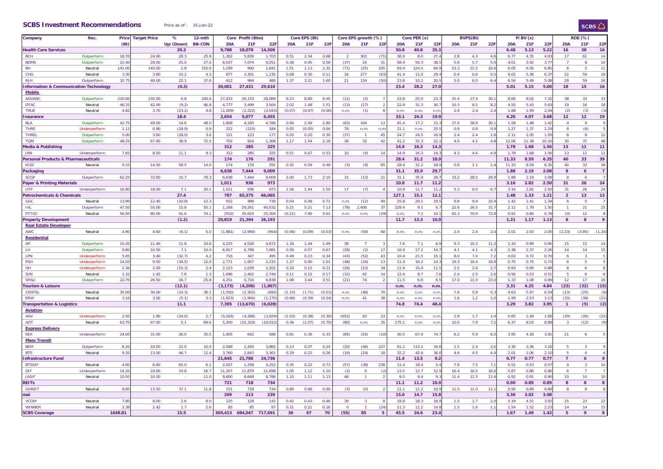#### **SCBS Investment Recommendations** Price

| as of : |  | 31-Jan-22 |
|---------|--|-----------|
|         |  |           |
|         |  |           |

## SCBS $\bigcirc$

| Company                               | Rec.         | Price            | <b>Target Price</b> | %         | 12-mth         |            | Core Profit (Btm) |            |            | Core EPS (Bt) |        |            | Core EPS growth (%) |                |            | Core PER (x) |            |      | <b>BVPS(Bt)</b> |                  |            | P/BV(x) |                  |                 | <b>ROE (%)</b>      |                |
|---------------------------------------|--------------|------------------|---------------------|-----------|----------------|------------|-------------------|------------|------------|---------------|--------|------------|---------------------|----------------|------------|--------------|------------|------|-----------------|------------------|------------|---------|------------------|-----------------|---------------------|----------------|
|                                       |              | (Bt)             |                     | Up/(Down) | <b>BB-CON</b>  | <b>20A</b> | 21F               | 22F        | <b>20A</b> | 21F           | 22F    | <b>20A</b> | 21F                 | <b>22F</b>     | <b>20A</b> | 21F          | <b>22F</b> | 20A  | 21F             | 22F              | <b>20A</b> | 21      | 22F              | 20A             | 21F                 | 22F            |
| <b>Health Care Services</b>           |              |                  |                     | 20.2      |                | 9.788      | 18.078            | 14.509     |            |               |        |            |                     |                | 50.8       | 40.8         | 35.3       |      |                 |                  | 6.48       | 5.13    | 5.22             | 16              | 38                  | 16             |
| <b>BCH</b>                            | Outperform   | 18.7             | 24.00               | 28.3      | 25.9           | 1,262      | 5,839             | 1,703      | 0.51       | 2.34          | 0.68   |            | 363                 | (71)           | 36.9       | 8.0          | 27.        | 2.8  | 4.3             | $\overline{4}$   | 6.77       | 4.35    | 4.03             | 17              | 61                  | 14             |
| <b>BDMS</b>                           | Outperform   | 22.4             | 28.00               | 25.0      | 27.0           | 6,037      | 7,074             | 9,251      | 0.38       | 0.45          | 0.58   | (37)       | 16                  | 31             | 58.4       | 50.3         | 38.        | 5.6  | 5.7             | -5.              | 4.01       | 3.92    | 3.77             |                 | -8                  | 10             |
| BH                                    | Neutral      | 141.0            | 145.00              | 2.8       | 152.6          | 1,199      | 900               | 1,841      | 1.51       | 1.13          | 2.32   | (71)       | (25)                | 105            | 93.4       | 124.5        | 60.        | 23.3 | 21.5            | 20.              | 6.05       | 6.56    | 6.85             |                 | 5                   | 11             |
| <b>CHG</b>                            | Neutral      | 3.3              | 3.80                | 15.2      | 4.3            | 877        | 3,301             | 1,235      | 0.08       | 0.30          | 0.11   | 16         | 277                 | (63)           | 41.4       | 11.0         | 29.        | 0.4  | 0.6             | $\mathbf{0}$     | 9.02       | 5.36    | 6.3              | 22              | 59                  | 19             |
| <b>RJH</b>                            | Outperform   | 32.7             | 40.00               | 22.1      | 37.6           | 412        | 964               | 480        | 1.37       | 3.21          | 1.60   | 21         | 134                 | (50)           | 23.8       | 10.2         | 20.        | 5.0  | 6.0             | 6.               | 6.54       | 5.49    | 5.08             | 28              | 59                  | 26             |
| nformation & Communication Technology |              |                  |                     | (0.3)     |                | 30,001     | 27,431            | 29,610     |            |               |        |            |                     |                | 23.4       | 28.2         | 27.0       |      |                 |                  | 5.01       | 5.15    | 5.00             | 18              | 15                  | 16             |
| <b>Mobile</b>                         |              |                  |                     |           |                |            |                   |            |            |               |        |            |                     |                |            |              |            |      |                 |                  |            |         |                  |                 |                     |                |
| <b>ADVANO</b>                         | Outperform   | 220.0            | 235.00              | 6.8       | 240.6          | 27,433     | 26,153            | 28,089     | 9.23       | 8.80          | 9.45   | (11)       | (5)                 |                | 23.8       | 25.0         | 23.        | 25.4 | 27.4            | 30.              | 8.66       | 8.02    | 7.32             | 38              | 33                  | 33             |
| <b>DTAC</b>                           | Neutral      | 46.2             | 42.00               | (9.2)     | 46.8           | 4,777      | 3,499             | 3,564      | 2.02       | 1.48          | 1.51   | (13)       | (27)                |                | 22.9       | 31.3         | 30.        | 10.3 | 8.5             | 8.               | 4.50       | 5.43    | 5.63             | 19              | 16                  | 18             |
| <b>TRUE</b>                           | Neutral      | 4.8              | 3.70                | (23.2)    | 4.8            | (2, 209)   | (2, 222)          | (2,04)     | (0.07)     | (0.07)        | (0.06) | n.m        | (1)                 |                | n.m        | n.m          | n.m        | 2.6  | 2.4             | 2.5              | 1.88       | 1.99    | 2.04             | (2)             | (3)                 | (3)            |
| nsurance                              |              |                  |                     | 18.4      |                | 2.654      | 5.077             | 6,455      |            |               |        |            |                     |                | 33.1       | 24.3         | 19.9       |      |                 |                  | 4.26       | 4.07    | 3.68             | 12 <sub>2</sub> | 12                  | 19             |
| <b>BLA</b>                            | Outperform   | 42.7             | 49.00               | 14.6      | 48.C           | 1,608      | 4,245             | 4,786      | 0.94       | 2.49          | 2.80   | (63)       | 164                 | 13             | 45.4       | 17.2         | 15.        | 27.0 | 28.9            | 30.              | 1.58       | 1.48    | 1.42             | Δ               | $\mathsf{Q}$        | 9              |
| <b>THRE</b>                           | Underperform | 11               | 0.90                | (18.9)    | 0.9            | 222        | (215)             | 184        | 0.05       | (0.05)        | 0.04   | 78         | n.m                 | n.m            | 21.1       | n.m          | 25.5       | 0.9  | 0.8             | 0.1              | 1.27       | 1.37    | 1.29             | 6               | (6)                 | 5              |
| <b>THREL</b>                          | Outperform   | 5.0              | 3.60                | (28.0)    | 3.6            | 121        | 123               | 177        | 0.20       | 0.20          | 0.30   | (37)       |                     | 45             | 24.7       | 24.5         | 16.9       | 2.4  | 2.4             | 2.1              | 2.11       | 2.05    | 1.93             | 8               | 8                   | 12             |
| <b>TOM</b>                            | Outperform   | 48.2             | 67.00               | 38.9      | 72.5           | 702        | 924               | 1,308      | 1.17       | 1.54          | 2.18   | 38         | 32                  | 42             | 41.2       | 31.3         | 22.        | 4.0  | 4.2             | 4.1              | 12.06      | 11.38   | 10.1             | 30              | 37                  | 48             |
| ledia & Publishing                    |              |                  |                     |           |                | 312        | 285               | 325        |            |               |        |            |                     |                | 14.9       | 16.3         | 14.3       |      |                 |                  | 1.78       | 1.68    | 1.56             | 13              | 11                  | 11             |
| <b>JKN</b>                            | Underperform | 7.6              | 8.50                | 11.1      | 9.3            | 312        | 285               | 325        | 0.51       | 0.47          | 0.53   | 10         | (9)                 | 14             | 14.9       | 16.3         | 14.        | 4.3  | 4.6             | $\Lambda$        | 1.78       | 1.68    | 1.5 <sub>0</sub> | 13              | 11                  | 11             |
| Personal Products & Pharmaceuticals   |              |                  |                     |           |                | 174        | 176               | 291        |            |               |        |            |                     |                | 28.4       | 31.2         | 18.9       |      |                 |                  | 11.33      | 8.59    | 6.35             | 40              | 33                  | 39             |
| <b>KISS</b>                           | Neutral      | 9.1              | 14.50               | 58.5      | 14.0           | 174        | 176               | 291        | 0.32       | 0.29          | 0.48   | (5)        | (9)                 | 65             | 28.4       | 31.2         | 18.9       | 0.8  | 1.1             | $\mathbf{1}$     | 11.33      | 8.59    | 6.35             | 40              | 33                  | 39             |
| <b>Packagin</b>                       |              |                  |                     |           |                | 6,638      | 7,444             | 9,009      |            |               |        |            |                     |                | 31.1       | 35.9         | 29.7       |      |                 |                  | 1.88       | 2.19    | 2.08             | 8               | $\ddot{\mathbf{6}}$ | $\overline{7}$ |
| <b>SCGP</b>                           | Outperform   | 62.2             | 72.00               | 15.7      | 70.3           | 6.638      | 7.444             | 9.009      | 2.00       | 1.73          | 2.10   | 15         | (13)                | 21             | 31.1       | 35.9         | 29.        | 33.2 | 28.5            | 29.              | 1.88       | 2.19    | 2.08             | R               | 6                   | $\overline{7}$ |
| Paper & Printing Materials            |              |                  |                     |           |                | 1,011      | 936               | 973        |            |               |        |            |                     |                | 10.8       | 11.7         | 11.2       |      |                 |                  | 3.16       | 2.82    | 2.50             | 31              | 26                  | 24             |
| <b>UTP</b>                            | Underperform | 16.8             | 18.00               | 7.1       | 20.7           | 1,011      | 936               | 973        | 1.56       | 1.44          | 1.50   | 17         | (7)                 |                | 10.8       | 11.7         | 11.        | 5.3  | 6.0             | 6.               | 3.16       | 2.82    | 2.50             | 31              | 26                  | 24             |
| Petrochemicals & Chemicals            |              |                  |                     | 27.4      |                | 787        | 65,375            | 66,065     |            |               |        |            |                     |                | 127.1      | 15.1         | 12.1       |      |                 |                  | 1.48       | 1.33    | 1.21             | $\overline{2}$  | 13                  | 13             |
| GGC                                   | Neutral      | 13.9             | 12.40               | (10.8)    | 12.3           | 552        | 489               | 730        | 0.54       | 0.48          | 0.71   | n.m        | (12)                | 49             | 25.8       | 29.1         | 19.5       | 9.8  | 9.9             | 10.              | 1.42       | 1.41    | 1.34             | 6               | -5                  | $\overline{7}$ |
| <b>IVL</b>                            | Outperform   | 47.5             | 55.00               | 15.8      | 55.7           | 1,168      | 29,261            | 40,032     | 0.21       | 5.21          | 7.11   | (78)       | 2.406               | 37             | 228.4      | 9.1          | 6.         | 22.6 | 26.5            | 31.              | 2.11       | 1.79    | 1.5 <sub>0</sub> |                 | 21                  | 25             |
| <b>PTTGC</b>                          | Neutral      | 56.5             | 80.00               | 41.6      | 74.1           | (932)      | 35,625            | 25,304     | (0.21)     | 7.90          | 5.61   | n.m        | n.m.                | (29)           | n.m        | 7.2          | 10.        | 62.3 | 70.9            | 72.              | 0.91       | 0.80    | 0.78             | (0)             | 12                  | 8              |
| <b>Property Development</b>           |              |                  |                     | (1.2)     |                | 20,819     | 21,394            | 26,193     |            |               |        |            |                     |                | 11.7       | 13.3         | 10.9       |      |                 |                  | 1.21       | 1.17    | 1.13             | <b>R</b>        | 8                   | 9              |
| <b>Real Estate Developer</b>          |              |                  |                     |           |                |            |                   |            |            |               |        |            |                     |                |            |              |            |      |                 |                  |            |         |                  |                 |                     |                |
| <b>AWC</b>                            | Neutral      | 4.9              | 4.60                | (6.1)     | 5.0            | (1,881)    | (2,990)           | (954)      | (0.06)     | (0.09)        | (0.03) | n.m        | (59)                | 68             | n.m        | n.m          | n.m        | 2.4  | 2.4             | $\overline{2}$ . | 2.01       | 2.03    | 2.05             | (2.23)          | (3.85)              | (1.24)         |
| <b>Residential</b>                    |              |                  |                     |           |                |            |                   |            |            |               |        |            |                     |                |            |              |            |      |                 |                  |            |         |                  |                 |                     |                |
| AP                                    | Outperform   | 10.2             | 11.40               | 11.8      | 10.6           | 4,225      | 4,526             | 4,672      | 1.34       | 1.44          | 1.49   | 38         |                     |                | 7.6        | 7.1          | 6.9        | 9.3  | 10.3            | 11.              | 1.10       | 0.99    | 0.90             | 15              | 15                  | 14             |
| LH.                                   | Outperform   | 9.8              | 10.50               | 7.1       | 10.0           | 6,917      | 6,798             | 7,981      | 0.58       | 0.57          | 0.67   | (28)       | (2)                 | 17             | 16.9       | 17.2         | 14.        | 4.1  | 4.1             | $\overline{4}$ . | 2.38       | 2.37    | 2.26             | 14              | 14                  | 15             |
| LPN                                   | Underperform | 5.0              | 3.40                | (32.7)    | 4.2            | 716        | 347               | 495        | 0.49       | 0.23          | 0.34   | (43)       | (52)                | 43             | 10.4       | 21.5         | 15.        | 8.0  | 7.0             | 7 <sup>1</sup>   | 0.63       | 0.72    | 0.70             |                 | 3                   | 5              |
| <b>PSH</b>                            | Underperform | 14.5             | 9.50                | (34.5)    | 12.0           | 2,771      | 1.957             | 2,215      | 1.27       | 0.90          | 1.01   | (48)       | (29)                | 13             | 11.4       | 16.2         | 14.        | 19.3 | 19.4            | 19.1             | 0.75       | 0.75    | 0.73             | 6               | 5                   | 5              |
| QH                                    | Underperform | 2.3              | 2.00                | (15.3)    | 2.4            | 2,123      | 1,639             | 2,202      | 0.20       | 0.15          | 0.21   | (26)       | (23)                | 34             | 11.9       | 15.4         | 11.        | 2.5  | 2.6             | $\mathcal{D}$    | 0.93       | 0.90    | 0.88             | $\mathbf{R}$    | 6                   | 8              |
| <b>SIRI</b>                           | Neutral      | 1.3              | 1.42                | 7.6       | 1.3            | 1,696      | 2,402             | 2,744      | 0.11       | 0.15          | 0.17   | (15)       | 42                  | 14             | 12.4       | 8.7          | 7.6        | 2.4  | 2.5             | 2.1              | 0.56       | 0.53    | 0.5              | -5              | 6                   | 6              |
| SPALI                                 | Outperform   | 22.7             | 26.50               | 16.7      | 25.8           | 4,251      | 6,716             | 6,838      | 1.98       | 3.44          | 3.51   | (21)       | 74                  |                | 11.5       | 6.6          | 6.         | 17.0 | 21.0            | 23.0             | 1.33       | 1.08    | 0.99             | 12              | 17                  | 16             |
| <b>Tourism &amp; Leisure</b>          |              |                  |                     | (12.1)    |                | (3, 173)   | (4, 206)          | (1.867)    |            |               |        |            |                     |                | n.m.       | n.m.         | n.m        |      |                 |                  | 3.31       | 4.25    | 4.84             | (23)            | (32)                | (15)           |
| <b>CENTEL</b>                         | Neutral      | 35.0             | 30.00               | (14.3)    | 36.7           | (1,550)    | (2, 302)          | (692)      | (1.15)     | (1.71)        | (0.5)  | n.m        | (48)                | 7 <sup>c</sup> | n.m        | n.m          | n.m        | 7.6  | 5.9             | 5.               | 4.63       | 5.97    | 6.54             | (13)            | (25)                | (9)            |
| ERW                                   | Neutral      | 3.1              | 3.00                | (5.1)     | 3.3            | (1,623)    | (1,904)           | (1, 17)    | (0.66)     | (0.39)        | (0.24) | n.m.       | 41                  | 38             | n.m        | n.m          | n.m        | 1.6  | 1.2             | $\mathbf{1}$     | 1.99       | 2.53    | 3.1              | (33)            | (38)                | (21)           |
| <b>Transportation &amp; Logistics</b> |              |                  |                     | 11.1      |                | 7,395      | (13, 670)         | (6,028)    |            |               |        |            |                     |                | 74.8       | 74.4         | 48.        |      |                 |                  | 3.29       | 3.82    | 3.95             | $\overline{1}$  | (5)                 | (2)            |
| <b>Aviation</b>                       |              |                  |                     |           |                |            |                   |            |            |               |        |            |                     |                |            |              |            |      |                 |                  |            |         |                  |                 |                     |                |
| AAV                                   | Underperform | -2.5             | 1.90                | (24.0)    | 2.1            | (5.018)    | (4, 286)          | (3,82)     | (1.03)     | (0.38)        | (0.30) | (653)      | 63                  | 23             | n.m        | n.m.         | n.m        | 2.9  | 1.7             |                  | 0.85       | 1.49    | 1.80             | (29)            | (26)                | (21)           |
| <b>AOT</b>                            | Neutral      | 63.7             | 67.00               | 5.1       | 69.6           | 5,200      | (15, 319)         | (10, 01)   | 0.36       | (1.07)        | (0.70) | (80)       | n.m.                | 35             | 175.1      | n.m          | n.n        | 10.0 | 7.9             | 7 <sup>1</sup>   | 6.37       | 8.03    | 8.88             | $\mathbf{R}$    | (12)                | (9)            |
| <b>Express Delivery</b>               |              |                  |                     |           |                |            |                   |            |            |               |        |            |                     |                |            |              |            |      |                 |                  |            |         |                  |                 |                     |                |
| <b>KFX</b>                            | Underperform | 24.6             | 31.00               | 26.0      | 35.5           | 1,405      | 642               | 586        | 0.81       | 0.36          | 0.33   | (85)       | (55)                | (10)           | 30.5       | 67.4         | 74.        | 6.2  | 5.9             | 6.               | 3.95       | 4.18    | $3.8^\circ$      | 21              | 6                   | 5              |
| <b>Mass Transit</b>                   |              |                  |                     |           |                |            |                   |            |            |               |        |            |                     |                |            |              |            |      |                 |                  |            |         |                  |                 |                     |                |
| <b>BEM</b>                            | Outperform   | 8.2              | 10.00               | 22.0      | 10.0           | 2,048      | 2,450             | 3,865      | 0.13       | 0.07          | 0.24   | (20)       | (46)                | 227            | 61.2       | 113.1        | 34.6       | 2.5  | 2.4             | 2.1              | 3.30       | 3.36    | 3.16             |                 | 3                   | $\mathsf o$    |
| <b>BTS</b>                            | Neutral      | 9.20             | 13.50               | 46.7      | 12.4           | 3.760      | 2.843             | 3.361      | 0.29       | 0.22          | 0.26   | (19)       | (24)                | 18             | 32.2       | 42.6         | 36.0       | 4.6  | 4.5             | 4.               | 2.01       | 2.06    | 2.10             | $\overline{R}$  | $\Delta$            | $\Delta$       |
| nfrastructure Fund                    |              |                  |                     |           |                | 21,845     | 21,786            | 24,736     |            |               |        |            |                     |                | 11.4       | 13.5         | 9.2        |      |                 |                  | 0.77       | 0.77    | 0.77             | $\overline{7}$  | 6                   | 9              |
| <b>BTSGIF</b>                         | Neutral      | 4.0 <sup>°</sup> | 6.60                | 65.0      | 6.1            | 2,037      | 1.258             | 4,252      | 0.35       | 0.22          | 0.73   | (57)       | (38)                | 238            | 11.4       | 18.4         | 5.4        | 7.8  | 7.5             |                  | 0.51       | 0.53    | 0.57             | $\mathbf{A}$    | -3                  | 10             |
| <b>DIF</b>                            | Underperform | 14.2             | 19.00               | 33.8      | 16.7           | 11.207     | 11.879            | 11.698     | 1.05       | 1.12          | 1.10   | (2)        | 6                   | $\mathcal{L}$  | 13.5       | 12.7         | 12.9       | 16.4 | 16.5            | 16.              | 0.87       | 0.86    | 0.8 <sub>0</sub> | 6               |                     | $\overline{7}$ |
| <b>JASIF</b>                          | Neutral      | 10.5             | 10.50               |           | 11.0           | 8,600      | 8,649             | 8,786      | 1.10       | 1.11          | 1.13   | 48         |                     |                | 9.5        | 9.4          | 9.         | 11.4 | 11.5            | 11.              | 0.92       | 0.91    | 0.90             | 10 <sup>°</sup> | 10                  | 10             |
| <b>EITs</b>                           |              |                  |                     |           |                | 721        | 718               | 734        |            |               |        |            |                     |                | 11.1       | 11.2         | 10.9       |      |                 |                  | 0.90       | 0.89    | 0.89             |                 | 8                   | 8              |
| <b>GVREIT</b>                         | Neutral      | 9.8              | 13.50               | 37.1      | 11.8           | 721        | 718               | 734        | 0.89       | 0.88          | 0.90   | (5)        | (0)                 |                | 11.1       | 11.2         | 10.        | 11.0 | 11.0            | 11.              | 0.90       | 0.89    | 0.89             |                 | 8                   | 8              |
| nail                                  |              |                  |                     |           |                | 209        | 213               | 239        |            |               |        |            |                     |                | 15.0       | 14.7         | 15.8       |      |                 |                  | 3.36       | 3.02    | 3.08             |                 |                     |                |
| <b>VCOM</b>                           | Neutral      | 7.8              | 8.00                | 2.6       | 8 <sub>c</sub> | 125        | 128               | 142        | 0.42       | 0.43          | 0.46   | 39         |                     |                | 18.8       | 18.3         | 16.        | 1.5  | 1.7             | $\mathfrak{D}$   | 5.19       | 4.51    | 3.93             | 25              | 23                  | 22             |
| <b>WINNER</b>                         | Neutral      | 2.38             | 2.42                | 1.7       | 2.6            | 85         | 85                | 97         | 0.21       | 0.21          | 0.16   | $\Omega$   |                     | (24)           | 11.3       | 11.2         | 14.8       | 1.5  | 1.6             |                  | 1.54       | 1.52    | 2.23             | 14              | 14                  | 15             |
| <b>SCBS Coverage</b>                  |              | 1648.81          |                     | 15.5      |                | 369.413    | 684,047           | 691<br>717 | 36         | 67            | 70     | (55)       | 85                  | 5              | 45.5       | 24.6         | 23.4       |      |                 |                  | 1.67       | 1.49    | 1.42             | 5               | 9                   | я              |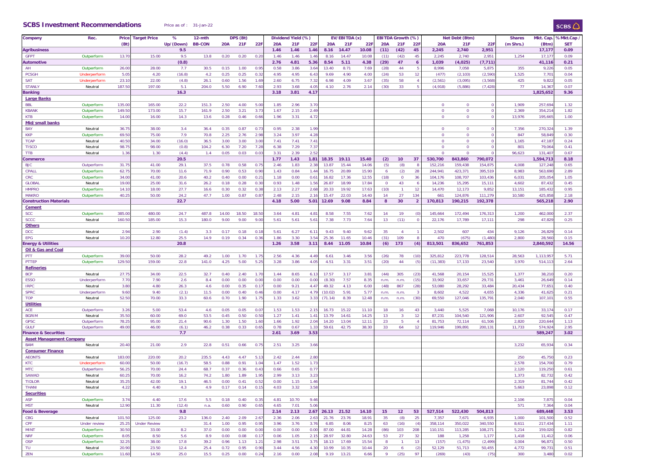#### **SCBS Investment Recommendations** Price as of : 31-Jan-22

| Company                         | Rec.         | Price  | <b>Target Price</b> | %            | 12-mth        |            | DPS (Bt)   |                  |              | Dividend Yield (%) |                  | EV/EBITDA (x)  |                |                | EBITDA Growth (%) |              |                     | Net Debt (Btm)     |                    | <b>Shares</b>     | Mkt. Cap. | %Mkt.Cap            |              |
|---------------------------------|--------------|--------|---------------------|--------------|---------------|------------|------------|------------------|--------------|--------------------|------------------|----------------|----------------|----------------|-------------------|--------------|---------------------|--------------------|--------------------|-------------------|-----------|---------------------|--------------|
|                                 |              | (Bt)   |                     | Up/(Down)    | <b>BB-CON</b> | <b>20A</b> | <b>21F</b> | 22F              | <b>20A</b>   | 21F                | <b>22F</b>       | <b>20A</b>     | 21F            | <b>22F</b>     | <b>20A</b>        | 21F          | 22F                 | <b>20A</b>         | 21F                | 22F               | (m Shrs.) | (Btm)               | <b>SET</b>   |
| <b>Agribusiness</b>             |              |        |                     | 9.5          |               |            |            |                  | 1.46         | 1.46               | 1.46             | 8.16           | 14.47          | 10.08          | (11)              | (42)         | 45                  | 2,245              | 2,740              | 2,951             |           | 17,177              | 0.09         |
| <b>GFPT</b>                     | Outperform   | 13.7   | 15.00               | 9.5          | 13.8          | 0.20       | 0.20       | 0.2              | 1.46         | 1.46               | 1.4 <sub>0</sub> | 8.16           | 14.47          | 10.08          | (11)              | (42)         | 45                  | 2,245              | 2,740              | 2,95              | 1,254     | 17,17               | 0.09         |
| <b>Automotive</b>               |              |        |                     | (0.8)        |               |            |            |                  | 2.76         | 4.81               | 5.36             | 8.54           | 5.11           | 4.38           | (29)              | 47           | $\ddot{\mathbf{6}}$ | 1,039              | (4,025)            | (7, 711)          |           | 41,116              | 0.21         |
| AH                              | Outperform   | 26.0   | 28.00               | 7.7          | 30.5          | 0.15       | 1.00       | 0.9              | 0.58         | 3.86               | 3.6              | 13.40          | 8.71           | 7.69           | (28)              | 44           |                     | 8,996              | 7,058              | 5,875             | 355       | 9,22                | 0.05         |
| <b>PCSGH</b>                    | Underperform | 5.05   | 4.20                | (16.8)       | 4.2           | 0.25       | 0.25       | 0.32             | 4.95         | 4.95               | 6.43             | 9.69           | 4.90           | 4.00           | (24)              | 53           | 12                  | (477)              | (2, 103)           | (2,590)           | 1,525     | 7,70                | 0.04         |
| <b>SAT</b>                      | Underperform | 23.1   | 22.00               | (4.8)        | 26.1          | 0.60       | 1.56       | 1.6              | 2.60         | 6.75               | 7.31             | 6.98           | 4.09           | 3.67           | (35)              | 58           |                     | (2, 561)           | (3,095)            | (3,568)           | 425       | 9,82                | 0.05         |
| <b>STANLY</b>                   | Neutral      | 187.5  | 197.00              | 5.1          | 204.0         | 5.50       | 6.90       | 7.60             | 2.93         | 3.68               | 4.05             | 4.10           | 2.76           | 2.14           | (30)              | 33           | -5                  | (4,918)            | (5,886)            | (7, 428)          | 77        | 14,36               | 0.07         |
| <b>Banking</b>                  |              |        |                     | 16.3         |               |            |            |                  | 3.18         | 3.81               | 4.17             |                |                |                |                   |              |                     |                    |                    |                   |           | 1,825,652           | 9.36         |
| <b>Large Banks</b>              |              |        |                     |              |               |            |            |                  |              |                    |                  |                |                |                |                   |              |                     |                    |                    |                   |           |                     |              |
| <b>BBL</b>                      | Outperform   | 135.00 | 165.00              | 22.2         | 151.3         | 2.50       | 4.00       | 5.00             | 1.85         | 2.96               | 3.70             |                |                |                |                   |              |                     | $\mathbf{0}$       | $\mathbf 0$        | $\mathbf 0$       | 1,909     | 257,694             | 1.32         |
| <b>KBANK</b>                    | Outperform   | 149.5  | 173.00              | 15.7         | 161.9         | 2.50       | 3.21       | 3.7 <sub>3</sub> | 1.67         | 2.15               | 2.49             |                |                |                |                   |              |                     | $\mathbf{0}$       | $\mathbf 0$        | $\Omega$          | 2,369     | 354,21              | 1.82         |
| <b>KTB</b>                      | Outperform   | 14.00  | 16.00               | 14.3         | 13.6          | 0.28       | 0.46       | 0.66             | 1.96         | 3.31               | 4.72             |                |                |                |                   |              |                     | $\mathbf{0}$       | $\mathbf 0$        | $\mathbf 0$       | 13,976    | 195,66              | 1.00         |
| Mid/small banks                 |              |        |                     |              |               |            |            |                  |              |                    |                  |                |                |                |                   |              |                     |                    |                    |                   |           |                     |              |
| BAY                             | Neutral      | 36.7   | 38.00               | 3.4          | 36.4          | 0.35       | 0.87       | 0.7              | 0.95         | 2.38               | 1.99             |                |                |                |                   |              |                     | $\mathbf{0}$       | $\mathbf 0$        | $\mathbf 0$       | 7,356     | 270,32              | 1.39         |
| <b>KKP</b>                      | Outperform   | 69.5   | 75.00               | 7.9          | 70.8          | 2.25       | 2.76       | 2.98             | 3.24         | 3.97               | 4.28             |                |                |                |                   |              |                     | $\mathbf{0}$       | $\mathbf 0$        | $\Omega$          | 847       | 58,84               | 0.30         |
| <b>TCAP</b>                     | Neutral      | 40.5   | 34.00               | (16.0)       | 36.5          | 3.00       | 3.00       | 3.00             | 7.41         | 7.41               | 7.41             |                |                |                |                   |              |                     | $\mathbf 0$        | $\mathbf 0$        | $\mathbf{0}$      | 1,165     | 47,18               | 0.24         |
| <b>TISCO</b>                    | Neutral      | 98.7   | 98.00               | (0.8)        | 104.2         | 6.30       | 7.20       | 7.28             | 6.38         | 7.29               | 7.37             |                |                |                |                   |              |                     | $\mathbf{0}$       | $\mathbf 0$        | $\mathbf{0}$      | 801       | 79,06               | 0.41         |
|                                 | Neutral      | 1.36   | 1.30                | (4.4)        | 1.4           | 0.05       | 0.03       | 0.0              | 3.31         | 2.39               | 2.52             |                |                |                |                   |              |                     | $\mathbf{0}$       | $\Omega$           | $\mathbf{0}$      | 96,623    | 131,40              | 0.67         |
| <b>TTB</b>                      |              |        |                     |              |               |            |            |                  |              |                    |                  |                |                |                |                   |              |                     |                    |                    |                   |           |                     |              |
| Commerce<br><b>BJC</b>          |              | 31.7   | 41.00               | 20.5<br>29.1 | 37.5          | 0.78       | 0.58       |                  | 1.77<br>2.46 | 1.43<br>1.83       | 1.81<br>2.38     | 18.35<br>13.87 | 19.11<br>15.44 | 15.40<br>14.06 | (2)               | 10<br>(8)    | 37                  | 530,700<br>152,216 | 843,860<br>159,438 | 790,072<br>154,87 | 4,008     | 1,594,713<br>127,24 | 8.18<br>0.65 |
|                                 | Outperform   |        |                     |              |               |            |            | 0.7              |              |                    |                  |                |                |                | (5)               |              |                     |                    |                    |                   |           |                     |              |
| CPALL                           | Outperform   | 62.7   | 70.00               | 11.6         | 71.9          | 0.90       | 0.53       | 0.90             | 1.43         | 0.84               | 1.44             | 16.75          | 20.89          | 15.90          | -6                | (2)          | 28                  | 244,941            | 423,371            | 395,519           | 8,983     | 563,690             | 2.89         |
| <b>CRC</b>                      | Outperform   | 34.0   | 41.00               | 20.6         | 40.2          | 0.40       | 0.00       | 0.2              | 1.18         | 0.00               | $0.6^{\circ}$    | 16.82          | 17.36          | 12.55          | (18)              | $\mathbf{0}$ | 36                  | 104,176            | 108,707            | 103,436           | 6,031     | 205,05              | 1.05         |
| <b>GLOBAL</b>                   | Neutral      | 19.00  | 25.00               | 31.6         | 26.2          | 0.18       | 0.28       | 0.3              | 0.93         | 1.48               | 1.56             | 26.87          | 18.99          | 17.84          | $\overline{0}$    | 43           | 6                   | 14,236             | 15,295             | 15,11'            | 4,602     | 87,43               | 0.45         |
| <b>HMPRO</b>                    | Outperform   | 14.1   | 18.00               | 27.7         | 16.6          | 0.30       | 0.32       | 0.3              | 2.13         | 2.27               | 2.6              | 20.33          | 19.92          | 17.63          | (10)              |              | 12                  | 14,470             | 12,173             | 9,852             | 13,151    | 185,43              | 0.95         |
| <b>MAKRO</b>                    | Outperform   | 40.2   | 50.00               | 24.2         | 47.7          | 1.00       | 0.87       | 0.8              | 2.48         | 2.15               | 2.16             | 15.47          | 22.03          | 14.40          | 14                | 27           | 134                 | 661                | 124,876            | 111,279           | 10,580    | 425,85              | 2.18         |
| <b>Construction Materials</b>   |              |        |                     | 22.7         |               |            |            |                  | 4.18         | 5.00               | 5.01             | 12.69          | 9.08           | 8.84           | 8                 | 30           | $\overline{2}$      | 170,813            | 190,215            | 192,378           |           | 565,218             | 2.90         |
| <b>Cement</b>                   |              |        |                     |              |               |            |            |                  |              |                    |                  |                |                |                |                   |              |                     |                    |                    |                   |           |                     |              |
| <b>SCC</b>                      | Outperform   | 385.0  | 480.00              | 24.7         | 487.8         | 14.00      | 18.50      | 18.5             | 3.64         | 4.81               | $4.8^{\circ}$    | 8.58           | 7.55           | 7.62           | 14                | 19           | <b>C</b>            | 145,664            | 172,494            | 176,313           | 1,200     | 462,00              | 2.37         |
| <b>SCCC</b>                     | Neutral      | 160.5  | 185.00              | 15.3         | 180.0         | 9.00       | 9.00       | 9.0              | 5.61         | 5.61               | 5.61             | 7.38           | 7.73           | 7.64           | 13                | (11)         | $\Omega$            | 22,176             | 17,789             | 17,111            | 298       | 47,82               | 0.25         |
| <b>Others</b>                   |              |        |                     |              |               |            |            |                  |              |                    |                  |                |                |                |                   |              |                     |                    |                    |                   |           |                     |              |
| DCC                             | Neutral      | 2.94   | 2.90                | (1.4)        | 3.3           | 0.17       | 0.18       | 0.1              | 5.61         | 6.27               | 6.1              | 9.43           | 9.40           | 9.62           | 35                |              |                     | 2,502              | 607                | 434               | 9,126     | 26,82               | 0.14         |
| EPG                             | Neutral      | 10.2   | 12.80               | 25.5         | 14.9          | 0.19       | 0.34       | 0.3              | 1.86         | 3.30               | 3.54             | 25.36          | 11.65          | 10.46          | (31)              | 109          | -8                  | 470                | (675)              | (1, 480)          | 2,800     | 28,56               | 0.15         |
| <b>Energy &amp; Utilities</b>   |              |        |                     | 20.8         |               |            |            |                  | 1.26         | 3.58               | 3.11             | 8.44           | 11.05          | 10.84          | (6)               | 173          | (4)                 | 813,501            | 836,652            | 761,853           |           | 2,840,592           | 14.56        |
| <b>Oil &amp; Gas and Coal</b>   |              |        |                     |              |               |            |            |                  |              |                    |                  |                |                |                |                   |              |                     |                    |                    |                   |           |                     |              |
| PTT                             | Outperform   | 39.0   | 50.00               | 28.2         | 49.2          | 1.00       | 1.70       | 1.7              | 2.56         | 4.36               | 4.49             | 6.61           | 3.46           | 3.56           | (26)              | 78           | (10)                | 325,812            | 223,778            | 128,514           | 28,563    | 1,113,95            | 5.71         |
| PTTEP                           | Outperform   | 129.5  | 159.00              | 22.8         | 141.0         | 4.25       | 5.00       | 5.25             | 3.28         | 3.86               | 4.05             | 4.51           | 3.31           | 3.51           | (20)              | 44           | (5)                 | (11, 383)          | 17,133             | 23,540            | 3,970     | 514,11              | 2.64         |
| <b>Refineries</b>               |              |        |                     |              |               |            |            |                  |              |                    |                  |                |                |                |                   |              |                     |                    |                    |                   |           |                     |              |
| <b>BCP</b>                      | Neutral      | 27.75  | 34.00               | 22.5         | 32.7          | 0.40       | 2.40       | 1.7 <sub>0</sub> | 1.44         | 8.65               | 6.1              | 17.57          | 3.17           | 3.81           | (44)              | 305          | (23)                | 41,568             | 20,154             | 15,525            | 1,377     | 38,21               | 0.20         |
| <b>ESSO</b>                     | Underperform | 7.7    | 7.90                | 2.6          | 8.4           | 0.00       | 0.00       | 0.00             | 0.00         | 0.00               | 0.00             | (8.30)         | 7.57           | 8.35           | n.m.              | n.m.         | (15                 | 33,902             | 33,657             | 29,73'            | 3,461     | 26,64               | 0.14         |
| <b>IRPC</b>                     | Neutral      | 3.80   | 4.80                | 26.3         | 4.6           | 0.00       | 0.35       | 0.1              | 0.00         | 9.21               | 4.4              | 49.32          | 4.13           | 6.00           | (48)              | 867          | (28)                | 53,080             | 28,292             | 33,484            | 20,434    | 77,65               | 0.40         |
| <b>SPRC</b>                     | Underperform | 9.60   | 9.40                | (2.1)        | 11.5          | 0.00       | 0.40       | 0.46             | 0.00         | 4.17               | 4.79             | (10.02)        | 5.91           | 5.77           | n.m               | n.m          | -3                  | 8,602              | 4,522              | 4,655             | 4,336     | 41,62               | 0.21         |
| <b>TOP</b>                      | Neutral      | 52.50  | 70.00               | 33.3         | 60.6          | 0.70       | 1.90       | 1.75             | 1.33         | 3.62               | 3.33             | (71.14)        | 8.39           | 12.48          | n.m.              | n.m.         | (30)                | 69,550             | 127,046            | 135,791           | 2,040     | 107, 10             | 0.55         |
| <b>Utilities</b>                |              |        |                     |              |               |            |            |                  |              |                    |                  |                |                |                |                   |              |                     |                    |                    |                   |           |                     |              |
| ACE                             | Outperform   | 3.26   | 5.00                | 53.4         | 4.6           | 0.05       | 0.05       | 0.07             | 1.53         | 1.53               | 2.15             | 16.73          | 15.22          | 11.10          | 18                | 16           | 43                  | 3,440              | 5,525              | 7,068             | 10,176    | 33,17               | 0.17         |
| <b>BGRIM</b>                    | Neutral      | 35.50  | 60.00               | 69.0         | 53.5          | 0.45       | 0.50       | 0.50             | 1.27         | 1.41               | 1.41             | 13.79          | 14.61          | 14.25          | 13                | 3            | 12                  | 87,231             | 104,540            | 121,906           | 2,607     | 92,54               | 0.47         |
| <b>GPSC</b>                     | Outperform   | 78.25  | 95.00               | 21.4         | 90.6          | 1.30       | 1.50       | 1.6              | 1.66         | 1.92               | 2.04             | 14.20          | 13.04          | 12.11          | 23                | -5           |                     | 81,753             | 72,114             | 61,506            | 2,820     | 220,64              | 1.13         |
| <b>GULF</b>                     | Outperform   | 49.00  | 46.00               | (6.1)        | 46.2          | 0.38       | 0.33       | 0.65             | 0.78         | 0.67               | 1.3              | 59.61          | 42.75          | 38.30          | 33                | 64           | 12                  | 119,946            | 199,891            | 200,131           | 11,733    | 574,92              | 2.95         |
| <b>Finance &amp; Securities</b> |              |        |                     | 7.7          |               |            |            |                  | 2.61         | 3.69               | 3.53             |                |                |                |                   |              |                     |                    |                    |                   |           | 589,247             | 3.02         |
| <b>Asset Management Company</b> |              |        |                     |              |               |            |            |                  |              |                    |                  |                |                |                |                   |              |                     |                    |                    |                   |           |                     |              |
| <b>BAM</b>                      | Neutral      | 20.4   | 21.00               | 2.9          | 22.8          | 0.51       | 0.66       | 0.7              | 2.51         | 3.25               | 3.66             |                |                |                |                   |              |                     |                    |                    |                   | 3,232     | 65,93               | 0.34         |
| <b>Consumer Finance</b>         |              |        |                     |              |               |            |            |                  |              |                    |                  |                |                |                |                   |              |                     |                    |                    |                   |           |                     |              |
| <b>AEONTS</b>                   | Neutral      | 183.00 | 220.00              | 20.2         | 235.5         | 4.43       | 4.47       | 5.13             | 2.42         | 2.44               | 2.80             |                |                |                |                   |              |                     |                    |                    |                   | 250       | 45,75               | 0.23         |
| KTC                             | Underperform | 60.0   | 50.00               | (16.7)       | 58.5          | 0.88       | 0.91       | 1.04             | 1.47         | 1.52               | 1.73             |                |                |                |                   |              |                     |                    |                    |                   | 2,578     | 154,70              | 0.79         |
| <b>MTC</b>                      | Outperform   | 56.2   | 70.00               | 24.4         | 68.7          | 0.37       | 0.36       | 0.43             | 0.66         | 0.65               | 0.7              |                |                |                |                   |              |                     |                    |                    |                   | 2,120     | 119,25              | 0.61         |
| <b>SAWAD</b>                    | Neutral      | 60.2   | 70.00               | 16.2         | 74.2          | 1.80       | 1.89       | 1.9              | 2.99         | 3.13               | 3.2              |                |                |                |                   |              |                     |                    |                    |                   | 1,373     | 82,73               | 0.42         |
| <b>TIDLOR</b>                   | Neutral      | 35.25  | 42.00               | 19.1         | 46.5          | 0.00       | 0.41       | 0.5              | 0.00         | 1.15               | 1.46             |                |                |                |                   |              |                     |                    |                    |                   | 2,319     | 81,74               | 0.42         |
| <b>THANI</b>                    | Neutral      | 4.22   | 4.40                | 4.3          | 4.9           | 0.17       | 0.14       | 0.1              | 4.03         | 3.32               |                  |                |                |                |                   |              |                     |                    |                    |                   | 5,663     | 23,898              | 0.12         |
| <b>Securities</b>               |              |        |                     |              |               |            |            |                  |              |                    |                  |                |                |                |                   |              |                     |                    |                    |                   |           |                     |              |
| ASP                             | Outperform   | 3.74   | 4.40                | 17.6         | 5.5           | 0.18       | 0.40       | 0.3              | 4.81         | 10.70              | 9.46             |                |                |                |                   |              |                     |                    |                    |                   | 2,106     | 7,87                | 0.04         |
| <b>MST</b>                      | Neutral      | 12.90  | 11.30               | (12.4)       | n.a.          | 0.60       | 0.90       | 0.65             | 4.65         | 7.01               | 5.06             |                |                |                |                   |              |                     |                    |                    |                   | 571       | 7,364               | 0.04         |
| <b>Food &amp; Beverage</b>      |              |        |                     | 9.8          |               |            |            |                  | 2.14         | 2.13               | 2.67             | 26.13 21.52    |                | 14.10          | 15                | 12           | 53                  | 527,514            | 522,430            | 504,813           |           | 689,448             | 3.53         |
| <b>CBG</b>                      | Neutral      | 101.50 | 125.00              | 23.2         | 136.0         | 2.40       | 2.09       | 2.6              | 2.36         | 2.06               | 2.63             | 21.76          | 23.76          | 18.91          | 35                | (8)          | 25                  | 7,357              | 7,671              | 6,935             | 1,000     | 101,500             | 0.52         |
| <b>CPF</b>                      | Under review | 25.25  | <b>Under Review</b> |              | 31.4          | 1.00       | 0.95       | 0.95             | 3.96         | 3.76               | 3.76             | 6.85           | 8.06           | 8.25           | 63                | (16)         | (4)                 | 358,114            | 350,022            | 340,550           | 8,611     | 217,434             | 1.11         |
| <b>MINT</b>                     | Outperform   | 30.50  | 33.00               | 8.2          | 37.0          | 0.00       | 0.00       | 0.00             | 0.00         | 0.00               | 0.00             | 87.00          | 44.81          | 14.28          | (86)              | 103          | 208                 | 110,151            | 113,285            | 108,271           | 5,214     | 159,020             | 0.82         |
| <b>NRF</b>                      | Outperform   | 8.05   | 8.50                | 5.6          | 8.9           | 0.00       | 0.08       | 0.17             | 0.06         | 1.05               | 2.15             | 28.97          | 32.80          | 24.63          | 53                | 27           | 32                  | 188                | 1,258              | 1,177             | 1,418     | 11,41               | 0.06         |
| <b>OSP</b>                      | Outperform   | 32.25  | 38.00               | 17.8         | 39.2          | 0.96       | 1.13       | 1.21             | 2.98         | 3.51               | 3.75             | 18.13          | 17.69          | 15.54          | 8                 |              | 13                  | (157)              | (1, 475)           | (2, 499)          | 3,004     | 96,87               | 0.50         |
| TU                              | Neutral      | 20.90  | 23.50               | 12.4         | 25.4          | 0.72       | 0.95       | 0.90             | 3.44         | 4.56               | 4.30             | 10.99          | 10.35          | 10.44          | 20                | 6            | (2)                 | 52,129             | 51,713             | 50,455            | 4,772     | 99,731              | 0.51         |
| <b>ZEN</b>                      | Outperform   | 11.60  | 14.50               | 25.0         | 15.5          | 0.25       | 0.00       | 0.24             | 2.16         | 0.00               | 2.08             | 9.19           | 13.21          | 6.66           | -9                | (25)         | 97                  | (269)              | (43)               | (75)              | 300       | 3.480               | 0.02         |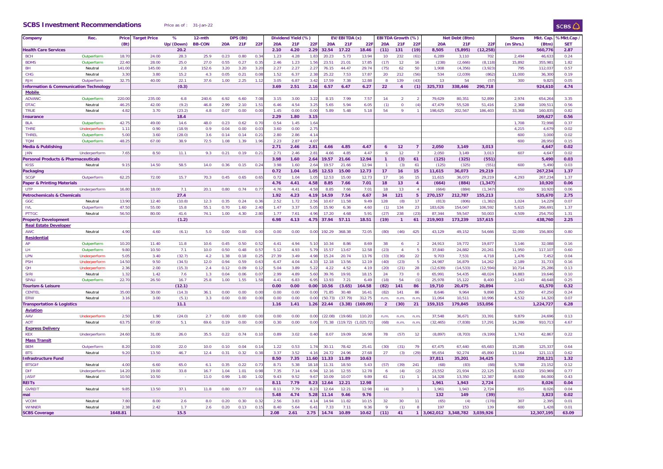#### **SCBS Investment Recommendations** Price as of : 31-Jan-22

| Company                               | Rec.         | Price             | <b>Target Price</b> | %         | 12-mth        |            | DPS (Bt) |               |            | Dividend Yield (%) |                  |            | EV/EBITDA (x) |            |                  | EBITDA Growth (%) |                |            | Net Debt (Btm) |           | <b>Shares</b> | Mkt. Cap   | %Mkt.Cap   |
|---------------------------------------|--------------|-------------------|---------------------|-----------|---------------|------------|----------|---------------|------------|--------------------|------------------|------------|---------------|------------|------------------|-------------------|----------------|------------|----------------|-----------|---------------|------------|------------|
|                                       |              | (Bt)              |                     | Up/(Down) | <b>BB-CON</b> | <b>20A</b> | 21F      | 22F           | <b>20A</b> | 21F                | 22F              | <b>20A</b> | 21F           | 22F        | <b>20A</b>       | 21F               | 221            | <b>20A</b> | 21F            | 22F       | (m Shrs.)     | (Btm       | <b>SET</b> |
| <b>Health Care Services</b>           |              |                   |                     | 20.2      |               |            |          |               | 2.10       | 4.20               | 2.29             | 32.54      | 17.22         | 18.46      | (11)             | 131               | (19)           | 8,505      | (5,895)        | (12, 258) |               | 560,77     | 2.87       |
| <b>BCH</b>                            | Outperform   | 18.7              | 24.00               | 28.3      | 25.9          | 0.23       | 0.80     | 0.34          | 1.23       | 4.28               | 1.83             | 20.23      | 5.73          | 13.94      | 10               | 232               | (61)           | 6,289      | 3,110          | 702       | 2,494         | 46,63      | 0.24       |
| <b>BDMS</b>                           | Outperform   | 22.4              | 28.00               | 25.0      | 27.0          | 0.55       | 0.27     | 0.3           | 2.46       | 1.23               | 1.56             | 23.51      | 21.01         | 17.85      | (17)             | 12                | 16             | (238)      | (2,666)        | (8, 118)  | 15,892        | 355.98     | 1.82       |
|                                       |              |                   |                     |           |               |            |          |               |            |                    |                  |            |               |            |                  |                   |                |            |                |           |               |            |            |
| BH                                    | Neutral      | 141.0             | 145.00              | 2.8       | 152.6         | 3.20       | 3.20     | 3.20          | 2.27       | 2.27               | $2.2^{\circ}$    | 76.15      | 44.47         | 29.74      | (75)             | 62                | 50             | 1,908      | (4, 356)       | (3,923)   | 795           | 112,03     | 0.57       |
| <b>CHG</b>                            | Neutral      | 3.3 <sub>0</sub>  | 3.80                | 15.2      | 4.3           | 0.05       | 0.21     | 0.08          | 1.52       | 6.37               | 2.38             | 25.22      | 7.53          | 17.87      | 20               | 212               | (56)           | 534        | (2,039)        | (862)     | 11,000        | 36,300     | 0.19       |
| <b>RJH</b>                            | Outperform   | 32.7              | 40.00               | 22.1      | 37.6          | 1.00       | 2.25     | 1.12          | 3.05       | 6.87               | 3.42             | 17.59      | 7.38          | 12.88      |                  | 139               | (43)           | 13         | 54             | (5)       | 300           | 9,82       | 0.05       |
| nformation & Communication Technology |              |                   |                     | (0.3)     |               |            |          |               | 3.69       | 2.51               | 2.16             | 6.57       | 6.47          | 6.27       | 22               | $\overline{4}$    | (1)            | 325,733    | 338,446        | 290,718   |               | 924,61     | 4.74       |
| <b>Mobile</b>                         |              |                   |                     |           |               |            |          |               |            |                    |                  |            |               |            |                  |                   |                |            |                |           |               |            |            |
| <b>ADVANC</b>                         |              | 220.0             | 235.00              | 6.8       | 240.6         | 6.92       | 6.60     | 7.0           | 3.15       | 3.00               |                  | 8.15       | 7.99          | 7.57       |                  | $\overline{2}$    |                | 79,629     | 80,351         | 52,899    | 2,974         | 654,26     | 3.35       |
|                                       | Outperform   |                   |                     |           |               |            |          |               |            |                    | 3.2              |            |               |            | 14               |                   |                |            |                |           |               |            |            |
| <b>DTAC</b>                           | Neutral      | 46.2              | 42.00               | (9.2)     | 46.8          | 2.99       | 2.10     | 1.5           | 6.46       | 4.54               | 3.2              | 5.65       | 5.94          | 6.05       | (1)              | $\overline{0}$    | (4)            | 47,479     | 55,528         | 51,416    | 2,368         | 109,51     | 0.56       |
| <b>TRUE</b>                           | Neutral      | 4.82              | 3.70                | (23.2)    | 4.8           | 0.07       | 0.00     | 0.00          | 1.45       | 0.00               | 0.00             | 5.89       | 5.48          | 5.18       | 54               | $\mathbf{q}$      |                | 198,625    | 202,567        | 186,403   | 33,368        | 160,83     | 0.82       |
| nsurance                              |              |                   |                     | 18.4      |               |            |          |               | 2.29       | 1.80               | 3.1!             |            |               |            |                  |                   |                |            |                |           |               | 109,62     | 0.56       |
| <b>BLA</b>                            | Outperform   | 42.7!             | 49.00               | 14.6      | 48.0          | 0.23       | 0.62     | 0.70          | 0.54       | 1.45               | 1.64             |            |               |            |                  |                   |                |            |                |           | 1,708         | 72,998     | 0.37       |
| <b>THRE</b>                           | Underperform | 1.1               | 0.90                | (18.9)    | 0.9           | 0.04       | 0.00     | 0.0           | 3.60       | 0.00               | 2.75             |            |               |            |                  |                   |                |            |                |           | 4.215         | 4,67       | 0.02       |
|                                       |              |                   |                     |           |               |            |          |               |            |                    |                  |            |               |            |                  |                   |                |            |                |           |               |            |            |
| <b>THREL</b>                          | Outperform   | 5.00              | 3.60                | (28.0)    | 3.6           | 0.14       | 0.14     | 0.2           | 2.80       | 2.86               | 4.1              |            |               |            |                  |                   |                |            |                |           | 600           | 3,000      | 0.02       |
| <b>TOM</b>                            | Outperform   | 48.2              | 67.00               | 38.9      | 72.5          | 1.08       | 1.39     | 1.96          | 2.23       | 2.87               | 4.0              |            |               |            |                  |                   |                |            |                |           | 600           | 28,950     | 0.15       |
| Media & Publishing                    |              |                   |                     |           |               |            |          |               | 2.71       | 2.46               | 2.81             | 4.66       | 4.85          | 4.47       | $\boldsymbol{6}$ | 12                | $\overline{7}$ | 2,050      | 3,149          | 3,013     |               | 4,64       | 0.02       |
| <b>JKN</b>                            | Underperform | 7.65              | 8.50                | 11.1      | 9.3           | 0.21       | 0.19     | $0.2^{\circ}$ | 2.71       | 2.46               | $2.8^{\circ}$    | 4.66       | 4.85          | 4.47       | 6                | 12                |                | 2.050      | 3.149          | 3.013     | 607           | 4.64       | 0.02       |
| Personal Products & Pharmaceuticals   |              |                   |                     |           |               |            |          |               | 3.98       | 1.60               | 2.64             | 19.57      | 21.66         | 12.94      | $\overline{1}$   | (3)               | 61             | (125)      | (325)          | (551)     |               | 5,490      | 0.03       |
|                                       |              | 9.1               | 14.50               | 58.5      |               |            |          |               |            | 1.60               |                  | 19.57      |               | 12.94      |                  |                   |                |            |                | (55)      | 600           | 5,490      | 0.03       |
| <b>KISS</b>                           | Neutral      |                   |                     |           | 14.0          | 0.36       | 0.15     | 0.2           | 3.98       |                    | 2.6              |            | 21.66         |            |                  | (3)               | 61             | (125)      | (325)          |           |               |            |            |
| Packaging                             |              |                   |                     |           |               |            |          |               | 0.72       | 1.04               | 1.05             | 12.53      | 15.00         | 12.73      | 17               | 16                | 15             | 11,615     | 36,073         | 29,219    |               | 267,234    | 1.37       |
| <b>SCGP</b>                           | Outperform   | 62.2              | 72.00               | 15.7      | 70.3          | 0.45       | 0.65     | 0.6           | 0.72       | 1.04               | 1.05             | 12.53      | 15.00         | 12.73      | 17               | 16                | 15             | 11,615     | 36,073         | 29,219    | 4,293         | 267,23     | 1.37       |
| Paper & Printing Materials            |              |                   |                     |           |               |            |          |               | 4.76       | 4.41               | 4.58             | 8.85       | 7.66          | 7.01       | 18               | 13                | $\overline{4}$ | (664)      | (884)          | (1, 347)  |               | 10,920     | 0.06       |
| <b>UTP</b>                            | Underperform | 16.8              | 18.00               | 7.1       | 20.1          | 0.80       | 0.74     | 0.7           | 4.76       | 4.41               | 4.58             | 8.85       | 7.66          | 7.01       | 18               | 13                | $\Delta$       | (664)      | (884)          | (1, 34)   | 650           | 10,920     | 0.06       |
| <b>Petrochemicals &amp; Chemicals</b> |              |                   |                     | 27.4      |               |            |          |               | 1.92       | 4.23               | 4.19             | 14.59      | 7.54          | 6.67       | 34               | 121               | 5              | 270,157    | 212,787        | 155,213   |               | 535,670    | 2.75       |
|                                       |              |                   |                     |           |               |            |          |               |            |                    |                  |            |               |            |                  |                   |                |            |                |           |               |            |            |
| GGC                                   | Neutral      | 13.9              | 12.40               | (10.8)    | 12.3          | 0.35       | 0.24     | 0.3           | 2.52       | 1.72               | 2.56             | 10.67      | 11.58         | 9.49       | 128              | (8)               | 17             | (813)      | (806)          | (1, 382)  | 1,024         | 14,22      | 0.07       |
| <b>IVL</b>                            | Outperform   | 47.5              | 55.00               | 15.8      | 55.1          | 0.70       | 1.60     | 2.40          | 1.47       | 3.37               | 5.05             | 15.90      | 6.36          | 4.60       | (1)              | 134               | 23             | 183,626    | 154,047        | 106,592   | 5,615         | 266,69     | 1.37       |
| <b>PTTGC</b>                          | Neutral      | 56.5              | 80.00               | 41.6      | 74.1          | 1.00       | 4.30     | 2.80          | 1.77       | 7.61               | 4.96             | 17.20      | 4.68          | 5.91       | (27)             | 238               | (23)           | 87,344     | 59,547         | 50,003    | 4,509         | 254,750    | 1.31       |
| <b>Property Development</b>           |              |                   |                     | (1.2)     |               |            |          |               | 6.98       | 4.13               | 4.75             | 37.94      | 57.11         | 18.51      | (19)             |                   | 61             | 219,903    | 173,239        | 157,615   |               | 438,760    | 2.25       |
| <b>Real Estate Developer</b>          |              |                   |                     |           |               |            |          |               |            |                    |                  |            |               |            |                  |                   |                |            |                |           |               |            |            |
| <b>AWC</b>                            | Neutral      | 4.90              | 4.60                | (6.1)     | 5.0           | 0.00       | 0.00     | 0.00          | 0.00       | 0.00               | 0.00             | 192.29     | 368.38        | 72.05      |                  | (46)              | 425            | 43,129     | 49,152         | 54,666    | 32,000        | 156,800    | 0.80       |
|                                       |              |                   |                     |           |               |            |          |               |            |                    |                  |            |               |            | (80)             |                   |                |            |                |           |               |            |            |
| Residential                           |              |                   |                     |           |               |            |          |               |            |                    |                  |            |               |            |                  |                   |                |            |                |           |               |            |            |
| AP                                    | Outperform   | 10.20             | 11.40               | 11.8      | 10.6          | 0.45       | 0.50     | 0.5           | 4.41       | 4.94               | 5.10             | 10.34      | 8.86          | 8.69       | 38               | 6                 |                | 24,913     | 19,772         | 19,877    | 3,146         | 32,08      | 0.16       |
| LH.                                   | Outperform   | 9.80              | 10.50               | 7.1       | 10.0          | 0.50       | 0.48     | $0.5^{\circ}$ | 5.12       | 4.93               | 5.79             | 15.57      | 13.67         | 12.58      | (23)             | $\overline{4}$    | 5              | 37,840     | 24,882         | 20,261    | 11,950        | 117,10     | 0.60       |
| LPN                                   | Underperform | 5.05              | 3.40                | (32.7)    | 4.2           | 1.38       | 0.18     | 0.2           | 27.39      | 3.49               | 4.98             | 15.24      | 20.74         | 13.76      | (33)             | (36)              | 22             | 9,703      | 7,531          | 4.718     | 1,476         | 7,45       | 0.04       |
| <b>PSH</b>                            | Underperform | 14.5              | 9.50                | (34.5)    | 12.0          | 0.94       | 0.59     | 0.6           | 6.47       | 4.04               | 4.33             | 12.18      | 13.56         | 12.19      | (40)             | (23)              |                | 24,987     | 16,879         | 14,262    | 2,189         | 31,73      | 0.16       |
|                                       |              |                   |                     |           |               |            |          |               |            |                    |                  |            |               |            |                  |                   |                |            |                |           |               |            |            |
| QH                                    | Underperform | 2.36              | 2.00                | (15.3)    | 2.4           | 0.12       | 0.09     | 0.1           | 5.04       | 3.89               | 5.22             | 4.22       | 4.52          | 4.19       | (20)             | (21)              | 28             | (12, 639)  | (14, 533)      | (12, 594) | 10,714        | 25,28      | 0.13       |
| <b>SIRI</b>                           | Neutral      | 1.32              | 1.42                | 7.6       | 1.3           | 0.04       | 0.06     | 0.0           | 2.99       | 4.89               | 5.60             | 39.76      | 19.91         | 18.15      | 24               | 73                | $\Omega$       | 65,991     | 54,435         | 48,024    | 14,883        | 19,64      | 0.10       |
| <b>SPALI</b>                          | Outperform   | 22.70             | 26.50               | 16.7      | 25.8          | 1.00       | 1.55     | 1.58          | 4.41       | 6.83               | 6.95             | 13.93      | 7.21          | 6.49       | (18)             | 54                | (1)            | 25,978     | 15,122         | 8,400     | 2,143         | 48,64      | 0.25       |
| ourism & Leisure                      |              |                   |                     | (12.1)    |               |            |          |               | 0.00       | 0.00               | 0.00             | 10.56      | (3.65)        | 164.58     | (82)             | 141               | 86             | 19,710     | 20,475         | 20,894    |               | 61,570     | 0.32       |
| <b>CENTEL</b>                         | Neutral      | 35.0              | 30.00               | (14.3)    | 36.1          | 0.00       | 0.00     | 0.0           | 0.00       | 0.00               | 0.0              | 71.85      | 30.48         | 16.41      | (82)             | 141               | 86             | 8,646      | 9,964          | 9,898     | 1,350         | 47,25      | 0.24       |
| ERW                                   | Neutral      | 3.1               | 3.00                | (5.1)     | 3.3           | 0.00       | 0.00     | 0.00          | 0.00       | 0.00               | 0.0              | (50.73)    | (37.79)       | 312.75     | n.m.             | n.m.              | n.m            | 11,064     | 10,511         | 10,996    | 4,532         | 14,320     | 0.07       |
|                                       |              |                   |                     |           |               |            |          |               |            |                    |                  |            |               |            |                  |                   |                |            |                |           |               |            |            |
| ransportation & Logistics             |              |                   |                     | 11.1      |               |            |          |               | 1.16       | 1.41               | 1.26             | 22.44      | (3.38)        | (169.09)   | $\overline{2}$   | (30)              | 21             | 159,315    | 179,845        | 153,056   |               | 1,224,727  | 6.28       |
| <b>Aviation</b>                       |              |                   |                     |           |               |            |          |               |            |                    |                  |            |               |            |                  |                   |                |            |                |           |               |            |            |
| AAV                                   | Underperform | 2.50              | 1.90                | (24.0)    | 2.7           | 0.00       | 0.00     | 0.00          | 0.00       | 0.00               | 0.00             | (22.08)    | (19.66)       | 110.20     | n.m              | n.m               | n.n            | 37,548     | 36,671         | 33,391    | 9.879         | 24,69      | 0.13       |
| <b>AOT</b>                            | Neutral      | 63.7              | 67.00               | 5.1       | 69.6          | 0.19       | 0.00     | 0.00          | 0.30       | 0.00               | 0.00             | 71.38      | (119.72)      | (1,025.72) | (68)             | n.m.              | n.m            | (32, 465)  | (7, 838)       | 17,291    | 14,286        | 910.71     | 4.67       |
| <b>Express Delivery</b>               |              |                   |                     |           |               |            |          |               |            |                    |                  |            |               |            |                  |                   |                |            |                |           |               |            |            |
| <b>KEX</b>                            |              |                   | 31.00               |           |               |            | 0.74     | 0.1           | 0.89       |                    | 0.40             | 8.07       | 19.09         | 16.98      |                  |                   |                |            |                | (9, 199)  | 1,743         | 42,86      | 0.22       |
|                                       | Underperform | 24.60             |                     | 26.0      | 35.5          | 0.22       |          |               |            | 3.02               |                  |            |               |            | 78               | (57)              | 12             | (8, 897)   | (8,703)        |           |               |            |            |
| <b>Mass Transit</b>                   |              |                   |                     |           |               |            |          |               |            |                    |                  |            |               |            |                  |                   |                |            |                |           |               |            |            |
| <b>BEM</b>                            | Outperform   | 8.2(              | 10.00               | 22.0      | 10.0          | 0.10       | 0.04     | 0.1           | 1.22       | 0.53               | 1.74             | 30.11      | 78.42         | 25.41      | (30)             | (31)              | 79             | 67,475     | 67.440         | 65.683    | 15.285        | 125.33     | 0.64       |
| <b>BTS</b>                            | Neutral      | 9.20              | 13.50               | 46.7      | 12.4          | 0.31       | 0.32     | 0.38          | 3.37       | 3.52               | 4.1 <sub>0</sub> | 24.72      | 24.96         | 27.68      | 27               | (3)               | (29)           | 95,654     | 92,274         | 45,890    | 13,164        | 121,11     | 0.62       |
| nfrastructure Fund                    |              |                   |                     |           |               |            |          |               | 8.50       | 7.35               | 11.60            | 11.33      | 11.89         | 10.63      |                  |                   |                | 37,811     | 35,201         | 34,425    |               | 258,12     | 1.32       |
|                                       | Neutral      | 4.00              | 6.60                | 65.0      | 6.1           | 0.35       | 0.22     | 0.7           | 8.71       | 5.38               |                  | 11.31      | 18.50         | 5.43       |                  |                   | 241            |            |                |           | 5.788         |            | 0.12       |
| <b>BTSGIF</b>                         |              |                   |                     |           |               |            |          |               |            |                    | 18.1             |            |               |            | (57)             | (39)              |                | (68)       | (83)           | (88)      |               | 23,15      |            |
| DIF                                   | Underperform | 14.2              | 19.00               | 33.8      | 16.7          | 1.04       | 1.01     | 0.98          | 7.35       | 7.14               | 6.94             | 12.16      | 12.55         | 12.78      | 6                | (4)               | (2)            | 23,552     | 21,934         | 22,125    | 10,632        | 150,96     | 0.77       |
| <b>JASIF</b>                          | Neutral      | 10.5 <sub>0</sub> | 10.50               |           | 11.0          | 0.99       | 1.00     | 1.02          | 9.43       | 9.52               | 9.6              | 10.09      | 10.07         | 9.89       | 61               | (1)               |                | 14,328     | 13,350         | 12,387    | 8,000         | 84,000     | 0.43       |
| <b>REITS</b>                          |              |                   |                     |           |               |            |          |               | 8.11       | 7.79               | 8.23             | 12.64      | 12.21         | 12.98      |                  |                   |                | 1,961      | 1,943          | 2,724     |               | 8,026      | 0.04       |
| <b>GVREIT</b>                         | Neutral      | 9.85              | 13.50               | 37.1      | 11.8          | 0.80       | 0.77     | $0.8^{\circ}$ | 8.11       | 7.79               | 8.21             | 12.64      | 12.21         | 12.98      | (4)              | $\overline{3}$    |                | 1,961      | 1.943          | 2,724     | 815           | 8.02       | 0.04       |
| nai                                   |              |                   |                     |           |               |            |          |               | 5.48       | 4.74               | 5.28             | 11.14      | 9.46          | 9.76       |                  |                   |                | 132        | 149            | (39)      |               | 3,82       | 0.02       |
|                                       |              |                   |                     |           |               |            |          |               |            |                    |                  |            |               |            |                  |                   |                |            |                |           |               |            |            |
| <b>VCOM</b>                           | Neutral      | 7.80              | 8.00                | 2.6       | 8.0           | 0.20       | 0.30     | 0.3           | 2.56       | 3.83               | 4.14             | 14.94      | 11.82         | 10.15      | 32               | 30                | 11             | (65)       | (4)            | (178)     | 307           | 2,39       | 0.01       |
| <b>WINNER</b>                         | Neutral      | 2.38              | 2.42                | 1.7       | 2.6           | 0.20       | 0.13     | 0.15          | 8.40       | 5.64               | 6.41             | 7.33       | 7.11          | 9.36       | $\mathsf{Q}$     | (1)               | 8              | 197        | 153            | 139       | 600           | 1,42       | 0.01       |
| <b>SCBS Coverage</b>                  |              | 1648.81           |                     | 15.5      |               |            |          |               | 2.08       | 2.61               | 2.75             | 14.74      | 10.89         | 10.62      | (11)             | 41                | $\mathbf{1}$   | 3.062.012  | 3.348.782      | 3.039.926 |               | 12.307.195 | 63.09      |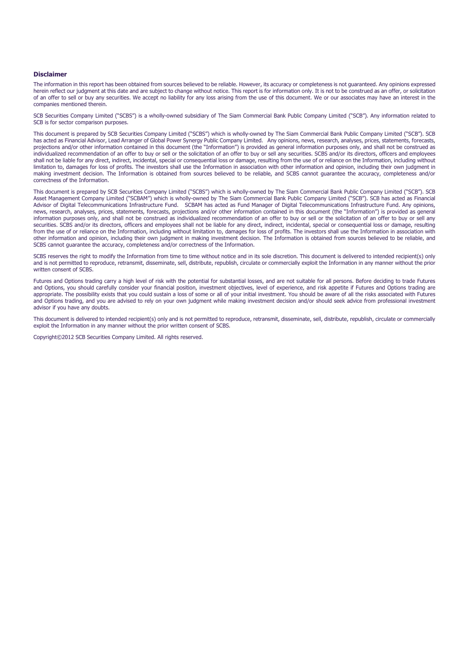#### **Disclaimer**

The information in this report has been obtained from sources believed to be reliable. However, its accuracy or completeness is not guaranteed. Any opinions expressed herein reflect our judgment at this date and are subject to change without notice. This report is for information only. It is not to be construed as an offer, or solicitation of an offer to sell or buy any securities. We accept no liability for any loss arising from the use of this document. We or our associates may have an interest in the companies mentioned therein.

SCB Securities Company Limited ("SCBS") is a wholly-owned subsidiary of The Siam Commercial Bank Public Company Limited ("SCB"). Any information related to SCB is for sector comparison purposes.

This document is prepared by SCB Securities Company Limited ("SCBS") which is wholly-owned by The Siam Commercial Bank Public Company Limited ("SCB"). SCB has acted as Financial Advisor, Lead Arranger of Global Power Synergy Public Company Limited. Any opinions, news, research, analyses, prices, statements, forecasts, projections and/or other information contained in this document (the "Information") is provided as general information purposes only, and shall not be construed as individualized recommendation of an offer to buy or sell or the solicitation of an offer to buy or sell any securities. SCBS and/or its directors, officers and employees shall not be liable for any direct, indirect, incidental, special or consequential loss or damage, resulting from the use of or reliance on the Information, including without limitation to, damages for loss of profits. The investors shall use the Information in association with other information and opinion, including their own judgment in making investment decision. The Information is obtained from sources believed to be reliable, and SCBS cannot guarantee the accuracy, completeness and/or correctness of the Information.

This document is prepared by SCB Securities Company Limited ("SCBS") which is wholly-owned by The Siam Commercial Bank Public Company Limited ("SCB"). SCB Asset Management Company Limited ("SCBAM") which is wholly-owned by The Siam Commercial Bank Public Company Limited ("SCB"). SCB has acted as Financial Advisor of Digital Telecommunications Infrastructure Fund. SCBAM has acted as Fund Manager of Digital Telecommunications Infrastructure Fund. Any opinions, news, research, analyses, prices, statements, forecasts, projections and/or other information contained in this document (the "Information") is provided as general information purposes only, and shall not be construed as individualized recommendation of an offer to buy or sell or the solicitation of an offer to buy or sell any securities. SCBS and/or its directors, officers and employees shall not be liable for any direct, indirect, incidental, special or consequential loss or damage, resulting from the use of or reliance on the Information, including without limitation to, damages for loss of profits. The investors shall use the Information in association with other information and opinion, including their own judgment in making investment decision. The Information is obtained from sources believed to be reliable, and SCBS cannot guarantee the accuracy, completeness and/or correctness of the Information.

SCBS reserves the right to modify the Information from time to time without notice and in its sole discretion. This document is delivered to intended recipient(s) only and is not permitted to reproduce, retransmit, disseminate, sell, distribute, republish, circulate or commercially exploit the Information in any manner without the prior written consent of SCBS.

Futures and Options trading carry a high level of risk with the potential for substantial losses, and are not suitable for all persons. Before deciding to trade Futures and Options, you should carefully consider your financial position, investment objectives, level of experience, and risk appetite if Futures and Options trading are appropriate. The possibility exists that you could sustain a loss of some or all of your initial investment. You should be aware of all the risks associated with Futures and Options trading, and you are advised to rely on your own judgment while making investment decision and/or should seek advice from professional investment advisor if you have any doubts.

This document is delivered to intended recipient(s) only and is not permitted to reproduce, retransmit, disseminate, sell, distribute, republish, circulate or commercially exploit the Information in any manner without the prior written consent of SCBS.

Copyright©2012 SCB Securities Company Limited. All rights reserved.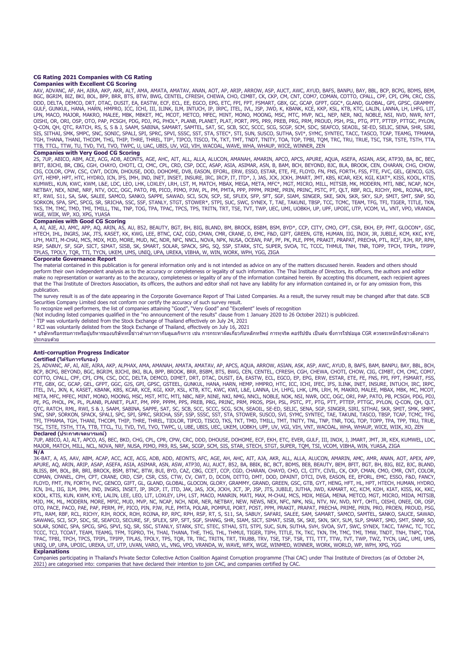### **CG Rating 2021 Companies with CG Rating**

#### **Companies with Excellent CG Scoring**

AAV, ADVANC, AF, AH, AIRA, AKP, AKR, ALT, AMA, AMATA, AMATAV, ANAN, AOT, AP, ARIP, ARROW, ASP, AUCT, AWC, AYUD, BAFS, BANPU, BAY, BBL, BCP, BCPG, BDMS, BEM, BGC, BGRIM, BIZ, BKI, BOL, BPP, BRR, BTS, BTW, BWG, CENTEL, CFRESH, CHEWA, CHO, CIMBT, CK, CKP, CM, CNT, COM7, COMAN, COTTO, CPALL, CPF, CPI, CPN, CRC, CSS,<br>DDD, DELTA, DEMCO, DRT, DTAC, DUSIT, EA, EASTW, ECF, ECC, EE, EGC TTB, TTCL, TTW, TU, TVD, TVI, TVO, TWPC, U, UAC, UBIS, UV, VGI, VIH, WACOAL, WAVE, WHA, WHAUP, WICE, WINNER, ZEN

#### **Companies with Very Good CG Scoring**

2S, 7UP, ABICO, ABM, ACE, ACG, ADB, AEONTS, AGE, AHC, AIT, ALL, ALLA, ALUCON, AMANAH, AMARIN, APCO, APCS, APURE, AQUA, ASEFA, ASIAN, ASK, ATP30, BA, BC, BEC, BFIT, BJCHI, BR, CBG, CGH, CHAYO, CHOTI, CI, CMC, CPL, CRD, CSP, DCC, ASAP, ASIA, ASIMAR, ASN, B, BAM, BCH, BEYOND, BJC, BLA, BROOK, CEN, CHARAN, CHG, CHOW, CIG, COLOR, CPW, CSC, CWT, DCON, DHOUSE, DOD, DOHOME, DV8, EASON, EFORL, ERW, ESSO, ESTAR, ETE, FE, FLOYD, FN, FNS, FORTH, FSS, FTE, FVC, GEL, GENCO, GJS,<br>GYT, HEMP, HPT, HTC, HYDRO, ICN, IFS, IMH, IND, INET, INSET, INSURE WGE, WIIK, WP, XO, XPG, YUASA

#### **Companies with Good CG Scoring**

A, AI, AIE, AJ, AMC, APP, AQ, ARIN, AS, AU, B52, BEAUTY, BGT, BH, BIG, BLAND, BM, BROCK, BSBM, BSM, BYD\*, CCP, CITY, CMO, CPT, CSR, EKH, EP, FMT, GLOCON\*, GSC, HTECH, IHL, INGRS, JAK, JTS, KASET, KK, KWG, LEE, BTNC, CAZ, CGD, CMAN, CMR, CRANE, D, EMC, F&D, GIFT, GREEN, GTB, HUMAN, IIG, INOX, JR, JUBILE, KCM, KKC, KYE, LPH, MATI, M-CHAI, MCS, MDX, MJD, MORE, MUD, NC, NDR, NFC, NNCL, NOVA, NPK, NUSA, OCEAN, PAF, PF, PP, PR, PP, PRAKIT, PRAPAT, PRECHA, PTL, RCI<sup>2</sup>, RJH, RP, RPH,<br>RSP, SABUY, SF, SGP, SICT, SIMAT, SISB, SK, SMART, SOLAR, SPA TPLAS, TPOLY, TQR, TTI, TYCN, UKEM, UMS, UNIQ, UPA, UREKA, VIBHA, W, WIN, WORK, WPH, YGG, ZIGA

#### **Corporate Governance Report**

The material contained in this publication is for general information only and is not intended as advice on any of the matters discussed herein. Readers and others should perform their own independent analysis as to the accuracy or completeness or legality of such information. The Thai Institute of Directors, its officers, the authors and editor make no representation or warranty as to the accuracy, completeness or legality of any of the information contained herein. By accepting this document, each recipient agrees that the Thai Institute of Directors Association, its officers, the authors and editor shall not have any liability for any information contained in, or for any omission from, this publication.

.<br>The survey result is as of the date appearing in the Corporate Governance Report of Thai Listed Companies. As a result, the survey result may be changed after that date. SCB Securities Company Limited does not conform nor certify the accuracy of such survey result.<br>To recognize well performers, the list of companies attaining "Good", "Very Good" and "Excellent" levels of recognition

To recognize well performers, the list of companies attaining "Good", "Very Good" and "Excellent" levels of recognition<br>(Not including listed companies qualified in the "no announcement of the results" clause from 1 Januar

TIP was voluntarily delisted from the Stock Exchange of Thailand effectively on July 24, 2021

<sup>2</sup> RCI was voluntarily delisted from the Stock Exchange of Thailand, effectively on July 16, 2021

\* บริษัทหรือกรรมการหรือผู้บริหารของบริษัททมี่ข่าวด้านการกากับดูแลกิจการ เช่น การกระทาผิดเกี่ยวกับหลักทรัพย์ การทาธิก คอร์รัปชัน เป็นตน ซึ่งการใช้ข้อมูล CGR ควรตระหนักถึงข่าวดังกล่าว ประกอบดวย้

#### **Anti-corruption Progress Indicator**

**Certified (ได้รับการรับรอง)**<br>25, ADVANC, AF, AIE, AIRA, AKP, ALPHAX, AMA, AMANAH, AMATAV, AP, APCS, AQUA, ARROW, ASIAN, ASK, ASP, AWC, AVUD, B, BAFS, BAM, BANPU, BAY, BBL, BCH,<br>BCP, BCPG, BEYOND, BGC, BGRIM, BJCHI, BKI, FTE, GBX, GC, GCAP, GEL, GFPT, GGC, GJS, GPI, GPSC, GSTEEL, GUNKUL, HANA, HARN, HEMP, HMPRO, HTC, ICC, ICHI, IFEC, IFS, ILINK, INET, INSURE, INTUCH, IRC, IRPC, ITEL, IVL, JKN, K, KASET, KBANK, KBS, KCAR, KCE, KGI, KKP, KSL, KTB, KTC, KWC, KWI, L&E, LANNA, LH, LHFG, LHK, LPN, LRH, M, MAKRO, MALEE, MBAX, MBK, MC, MCOT,<br>META, MFC, MFEC, MINT, MONO, MOONG, MSC, MST, MTC, MTI, NBC, NE TSC, TSTE, TSTH, TTA, TTB, TTCL, TU, TVD, TVI, TVO, TWPC, U, UBE, UBIS, UEC, UKEM, UOBKH, UPF, UV, VGI, VIH, VNT, WACOAL, WHA, WHAUP, WICE, WIIK, XO, ZEN **Declared (ประกาศเจตนารมณ์)** 

7UP, ABICO, AJ, ALT, APCO, AS, BEC, BKD, CHG, CPL, CPR, CPW, CRC, DDD, DHOUSE, DOHOME, ECF, EKH, ETC, EVER, GULF, III, INOX, J, JMART, JMT, JR, KEX, KUMWEL, LDC, MAJOR, MATCH, MILL, NCL, NOVA, NRF, NUSA, PIMO, PR9, RS, SAK, SCGP, SCM, SIS, STAR, STECH, STGT, SUPER, TQM, TSI, VCOM, VIBHA, WIN, YUASA, ZIGA **N/A** 

3K-BAT, A, A5, AAV, ABM, ACAP, ACC, ACE, ACG, ADB, ADD, AEONTS, AFC, AGE, AH, AHC, AIT, AJA, AKR, ALLLO, ALLLA, ALUCON, AMARIN, AMC, AMR, ANAN, AOT, APEX, APP,<br>APURE, AQ, ARIN, ARIP, ASAP, ASEFA, ASIA, ASIMAR, ASN, ASW, AT COMAN, CPANEL, CPH, CPT, CRANE, CRD, CSP, CSR, CSS, CTW, CV, CWT, D, DCON, DITTO, DMT, DOD, DPAINT, DTCI, DV8, EASON, EE, EFORL, EMC, ESSO, F&D, FANCY, FLOYD, FMT, FN, FORTH, FVC, GENCO, GIFT, GL, GLAND, GLOBAL, GLOCON, GLORY, GRAMMY, GRAND, GREEN, GSC, GTB, GYT, HENG, HFT, HL, HPT, HTECH, HUMAN, HYDRO,<br>ICN, IHL, IIG, ILM, IMH, IND, INGRS, INSET, IP, IRCP, IT, ITD, JAK, J OTO, PACE, PACO, PAE, PAF, PERM, PF, PICO, PIN, PJW, PLE, PMTA, POLAR, POMPUI, PORT, POST, PPM, PRAKIT, PRAPAT, PRECHA, PRIME, PRIM, PRO, PROEN, PROUD, PSG,<br>PTL, RAM, RBF, RCL, RICHY, RJH, ROCK, ROH, ROJNA, RP, RPC, RPH, R TPAC, TPBI, TPCH, TPCS, TPIPL, TPIPP, TPLAS, TPOLY, TPS, TQR, TR, TRC, TRITN, TRT, TRUBB, TRV, TSE, TSF, TSR, TTI, TTT, TTW, TVT, TWP, TWZ, TYCN, UAC, UMI, UMS,<br>UNIQ, UP, UPA, UPOIC, UREKA, UT, UTP, UVAN, VARO, VL, VNG, VP **Explanations** 

Companies participating in Thailand's Private Sector Collective Action Coalition Against Corruption programme (Thai CAC) under Thai Institute of Directors (as of October 24, 2021) are categorised into: companies that have declared their intention to join CAC, and companies certified by CAC.